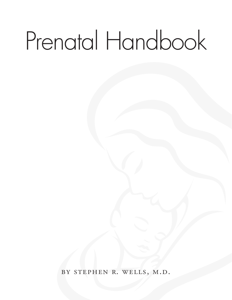# Prenatal Handbook

by stephen r. wells, m.d.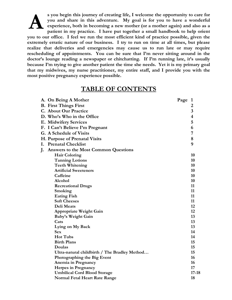**s you begin this journey of creating life, I welcome the opportunity to care for you and share in this adventure. My goal is for you to have a wonderful experience, both in becoming a new mother (or a mother again) and also as a patient in my practice. I have put together a small handbook to help orient you to our office. I feel we run the most efficient kind of practice possible, given the extremely erratic nature of our business. I try to run on time at all times, but please realize that deliveries and emergencies may cause us to run late or may require rescheduling of appointments. You can be sure that I'm never sitting around in the doctor's lounge reading a newspaper or chitchatting. If I'm running late, it's usually because I'm trying to give another patient the time she needs. Yet it is my primary goal that my midwives, my nurse practitioner, my entire staff, and I provide you with the most positive pregnancy experience possible. A**

### **TABLE OF CONTENTS**

| A. On Being A Mother                          | Page | $\mathbf{1}$            |
|-----------------------------------------------|------|-------------------------|
| <b>B.</b> First Things First                  |      | 2                       |
| <b>C. About Our Practice</b>                  |      | 3                       |
| D. Who's Who in the Office                    |      | $\overline{\mathbf{4}}$ |
| <b>E. Midwifery Services</b>                  |      | 5                       |
| F. I Can't Believe I'm Pregnant               |      | 6                       |
| G. A Schedule of Visits                       |      | 7                       |
| H. Purpose of Prenatal Visits                 |      | 8                       |
| I. Prenatal Checklist                         |      | 9                       |
| J.<br>Answers to the Most Common Questions    |      |                         |
| <b>Hair Coloring</b>                          |      | 10                      |
| <b>Tanning Lotions</b>                        |      | 10                      |
| <b>Teeth Whitening</b>                        |      | 10                      |
| <b>Artificial Sweeteners</b>                  |      | 10                      |
| Caffeine                                      |      | 10                      |
| Alcohol                                       |      | 10                      |
| <b>Recreational Drugs</b>                     |      | 11                      |
| Smoking                                       |      | 11                      |
| <b>Eating Fish</b>                            |      | 11                      |
| <b>Soft Cheeses</b>                           |      | 11                      |
| Deli Meats                                    |      | 12                      |
| <b>Appropriate Weight Gain</b>                |      | 12                      |
| Baby's Weight Gain                            |      | 13                      |
| Cats                                          |      | 13                      |
| Lying on My Back                              |      | 13                      |
| <b>Sex</b>                                    |      | 14                      |
| <b>Hot Tubs</b>                               |      | 14                      |
| <b>Birth Plans</b>                            |      | 15                      |
| Doulas                                        |      | 15                      |
| Ultra-natural childbirth / The Bradley Method |      | 15                      |
| Photographing the Big Event                   |      | 16                      |
| Anemia in Pregnancy                           |      | 16                      |
| <b>Herpes in Pregnancy</b>                    |      | 17                      |
| <b>Umbilical Cord Blood Storage</b>           |      | $17 - 18$               |
| Normal Fetal Heart Rate Range                 |      | 18                      |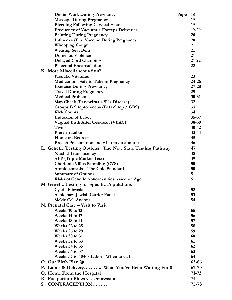| <b>Dental Work During Pregnancy</b>                       | Page | 18        |
|-----------------------------------------------------------|------|-----------|
| <b>Massage During Pregnancy</b>                           |      | 19        |
| <b>Bleeding Following Cervical Exams</b>                  |      | 19        |
| Frequency of Vacuum / Forceps Deliveries                  |      | $19 - 20$ |
| <b>Painting During Pregnancy</b>                          |      | 20        |
| Influenza (Flu) Vaccine During Pregnancy                  |      | 20        |
| <b>Whooping Cough</b>                                     |      | 21        |
| <b>Wearing Seat Belts</b>                                 |      | 21        |
| <b>Domestic Violence</b>                                  |      | 21        |
| <b>Delayed Cord Clamping</b>                              |      | $21 - 22$ |
| <b>Placental Encapsulation</b>                            |      | 22        |
| K. More Miscellaneous Stuff                               |      |           |
| <b>Prenatal Vitamins</b>                                  |      | 23        |
| <b>Medications Safe to Take in Pregnancy</b>              |      | $24 - 26$ |
| <b>Exercise During Pregnancy</b>                          |      | $27 - 28$ |
| <b>Travel During Pregnancy</b>                            |      | 29        |
| <b>Medical Problems</b>                                   |      | $30 - 31$ |
| Slap Cheek (Parvovirus / 5 <sup>th</sup> 's Disease)      |      | 32        |
| Groups B Streptococcus (Beta-Strep / GBS)                 |      | 33        |
| <b>Kick Counts</b>                                        |      | 34        |
| <b>Induction of Labor</b>                                 |      | $35 - 37$ |
| Vaginal Birth After Cesarean (VBAC)                       |      | $38-39$   |
| Twins                                                     |      | 40-42     |
| <b>Preterm Labor</b>                                      |      | 43-44     |
| <b>Home on Bedrest</b>                                    |      |           |
|                                                           |      | 45        |
| Breech Presentation and what to do about it               |      | 46        |
| L. Genetic Testing Options: The New State Testing Pathway |      | 47        |
| <b>Nuchal Translucency</b>                                |      | 48        |
| <b>AFP (Triple Marker Test)</b>                           |      | 49        |
| <b>Chorionic Villus Sampling (CVS)</b>                    |      | 50        |
| Amniocentesis - The Gold Standard                         |      | 50        |
| <b>Summary of Options</b>                                 |      | 51        |
| <b>Risks of Genetic Abnormalities based on Age</b>        |      | 51        |
| M. Genetic Testing for Specific Populations               |      |           |
| <b>Cystic Fibrosis</b>                                    |      | 52        |
| Ashkenazi Jewish Carrier Panel                            |      | 53        |
| Sickle Cell Anemia                                        |      | 54        |
| N. Prenatal Care – Visit to Visit                         |      |           |
| Weeks 10 to 13                                            |      | 55        |
| Weeks 14 to 17                                            |      | 56        |
| Weeks 18 to 21                                            |      | 57        |
| Weeks 22 to 25                                            |      | 58        |
| Weeks 26 to 29                                            |      | 59        |
| Weeks 30 to 31                                            |      | 60        |
| Weeks 32 to 33                                            |      | 61        |
| Weeks 34 to 35                                            |      | 62        |
| Weeks 36 to 37                                            |      | 63        |
| Weeks 37 to 40+ $\prime$ Labor - When to call             |      | 64        |
| O. Our Birth Plan $\odot$                                 |      | 65-66     |
|                                                           |      | 67-70     |
| P. Labor & Delivery What You've Been Waiting For!!!       |      |           |
| Q. Home From the Hospital                                 |      | 71-73     |
| R. Postpartum Blues vs. Depression                        |      | 74        |
| S. CONTRACEPTION                                          |      | 75-78     |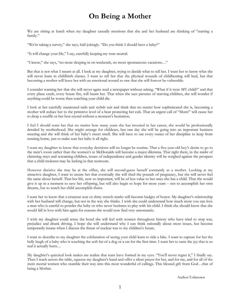## **On Being a Mother**

We are sitting at lunch when my daughter casually mentions that she and her husband are thinking of "starting a family."

"We're taking a survey," she says, half-jokingly. "Do you think I should have a baby?"

"It will change your life," I say, carefully keeping my tone neutral.

"I know," she says, "no more sleeping in on weekends, no more spontaneous vacations…"

But that is not what I meant at all. I look at my daughter, trying to decide what to tell her. I want her to know what she will never learn in childbirth classes. I want to tell her that the physical wounds of childbearing will heal, but that becoming a mother will leave her with an emotional wound so raw that she will forever be vulnerable.

I consider warning her that she will never again read a newspaper without asking, "What if it were MY child?" and that every plane crash, every house fire, will haunt her. That when she sees pictures of starving children, she will wonder if anything could be worse than watching your child die.

I look at her carefully manicured nails and stylish suit and think that no matter how sophisticated she is, becoming a mother will reduce her to the primitive level of a bear protecting her cub. That an urgent call of "Mom!" will cause her to drop a soufflé or her best crystal without a moment's hesitation.

I feel I should warn her that no matter how many years she has invested in her career, she would be professionally derailed by motherhood. She might arrange for childcare, but one day she will be going into an important business meeting and she will think of her baby's sweet smell. She will have to use every ounce of her discipline to keep from running home, just to make sure her baby is all right.

I want my daughter to know that everyday decisions will no longer be routine. That a five-year-old boy's desire to go to the men's room rather than the women's at McDonalds will become a major dilemma. That right there, in the midst of clattering trays and screaming children, issues of independence and gender identity will be weighed against the prospect that a child molester may be lurking in that restroom.

However decisive she may be at the office, she will second-guess herself constantly as a mother. Looking at my attractive daughter, I want to assure her that eventually she will shed the pounds of pregnancy, but she will never feel the same about herself. That her life, now so important, will be of less value to her once she has a child. That she would give it up in a moment to save her offspring, but will also begin to hope for more years – not to accomplish her own dreams, but to watch her child accomplish theirs.

I want her to know that a cesarean scar or shiny stretch marks will become badges of honor. My daughter's relationship with her husband will change, but not in the way she thinks. I wish she could understand how much more you can love a man who is careful to powder the baby or who never hesitates to play with his child. I think she should know that she would fall in love with him again for reasons she would now find very unromantic.

I wish my daughter could sense the bond she will feel with women throughout history who have tried to stop war, prejudice and drunk driving. I hope she will understand why I can think rationally about most issues, but become temporarily insane when I discuss the threat of nuclear war to my children's future.

I want to describe to my daughter the exhilaration of seeing your child learn to ride a bike. I want to capture for her the belly laugh of a baby who is touching the soft fur of a dog or a cat for the first time. I want her to taste the joy that is so real it actually hurts…

My daughter's quizzical look makes me realize that tears have formed in my eyes. "You'll never regret it," I finally say. Then I reach across the table, squeeze my daughter's hand and offer a silent prayer for her, and for me, and for all of the mere mortal women who stumble their way into this most wonderful of callings. This blessed gift from God…that of being a Mother.

Author Unknown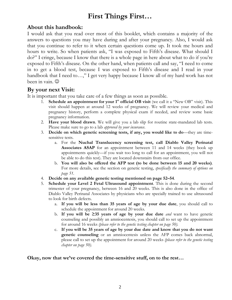# **First Things First…**

## **About this handbook:**

I would ask that you read over most of this booklet, which contains a majority of the answers to questions you may have during and after your pregnancy. Also, I would ask that you continue to refer to it when certain questions come up. It took me hours and hours to write. So when patients ask, "I was exposed to Fifth's disease. What should I do?" I cringe, because I know that there is a whole page in here about what to do if you're exposed to Fifth's disease. On the other hand, when patients call and say, "I need to come in to get a blood test, because I was exposed to Fifth's disease and I read in your handbook that I need to…," I get very happy because I know all of my hard work has not been in vain.

## **By your next Visit:**

It is important that you take care of a few things as soon as possible.

- 1. **Schedule an appointment for your 1st official OB visit** (we call it a "New OB" visit). This visit should happen at around 12 weeks of pregnancy. We will review your medical and pregnancy history, perform a complete physical exam if needed, and review some basic pregnancy information.
- 2. **Have your blood drawn**. We will give you a lab slip for routine state-mandated lab tests. Please make sure to go to a lab *approved by your insurance*.
- 3. **Decide on which genetic screening tests, if any, you would like to do**—they are timesensitive tests.
	- a. For the **Nuchal Translucency screening test, call Diablo Valley Perinatal Associates ASAP** for an appointment between 11 and 14 weeks (they book up appointments quickly—if you wait too long to call for an appointment, you will not be able to do this test). They are located downstairs from our office.
	- b. **You will also be offered the AFP test (to be done between 15 and 20 weeks)**. For more details, see the section on genetic testing, *specifically the summary of options on page 51.*
- 4. **Decide on any available genetic testing mentioned on page 52–54**.
- 5. **Schedule your Level 2 Fetal Ultrasound appointment**. This is done during the second trimester of your pregnancy, between 16 and 20 weeks. This is also done in the office of Diablo Valley Perinatal Associates by physicians who are specially trained to use ultrasound to look for birth defects.
	- a. **If you will be less than 35 years of age by your due date**, you should call to schedule the appointment for around 20 weeks.
	- b. **If you will be ≥35 years of age by your due date** *and* want to have genetic counseling and possibly an amniocentesis, you should call to set up the appointment for around 16 weeks *(please refer to the genetic testing chapter on page 50).*
	- c. **If you will be 35 years of age by your due date and know that you do not want genetic counseling** or an amniocentesis unless the AFP comes back abnormal, please call to set up the appointment for around 20 weeks *(please refer to the genetic testing chapter on page 50).*

#### **Okay, now that we've covered the time-sensitive stuff, on to the rest…**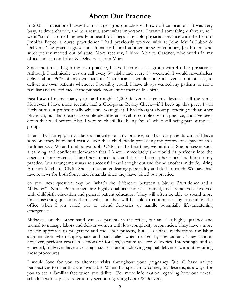## **About Our Practice**

In 2001, I transitioned away from a larger group practice with two office locations. It was very busy, at times chaotic, and as a result, somewhat impersonal. I wanted something different, so I went "solo"—something nearly unheard of. I began my solo physician practice with the help of Jennifer Boyce, a nurse practitioner I had previously worked with at John Muir's Labor & Delivery. The practice grew and ultimately I hired another nurse practitioner, Jen Butler, who subsequently moved out of state. More recently, I hired Monica Gardner, who works in my office and also on Labor & Delivery at John Muir.

Since the time I began my own practice, I have been in a call group with 4 other physicians. Although I technically was on call every  $5<sup>th</sup>$  night and every  $5<sup>th</sup>$  weekend, I would nevertheless deliver about 96% of my own patients. That meant I would come in, even if not on call, to deliver my own patients whenever I possibly could. I have always wanted my patients to see a familiar and trusted face at the pinnacle moment of their child's birth.

Fast-forward many, many years and roughly 6,000 deliveries later; my desire is still the same. However, I have more recently had a God-given Reality Check—if I keep up this pace, I will likely burn out professionally while still young(ish). I had thought about partnering with another physician, but that creates a completely different level of complexity in a practice, and I've been down that road before. Also, I very much still like being "solo," while still being part of my call group.

Then I had an epiphany: Have a midwife join my practice, so that our patients can still have someone they know and trust deliver their child, while preserving my professional passion in a healthier way. When I met Sonya Jubb, CNM for the first time, we hit it off. She possesses such a calming and confident demeanor that I knew immediately she would fit perfectly into the essence of our practice. I hired her immediately and she has been a phenomenal addition to my practice. Our arrangement was so successful that I sought out and found another midwife, hiring Amanda Machette, CNM. She also has an endearing personality and skill to match. We have had rave reviews for both Sonya and Amanda since they have joined our practice.

So your next question may be "what's the difference between a Nurse Practitioner and a Midwife?" Nurse Practitioners are highly qualified and well trained, and are actively involved with childbirth education and general patient education. They will often be able to spend more time answering questions than I will; and they will be able to continue seeing patients in the office when I am called out to attend deliveries or handle potentially life-threatening emergencies.

Midwives, on the other hand, can see patients in the office, but are also highly qualified and trained to manage labors and deliver women with low-complexity pregnancies. They have a more holistic approach to pregnancy and the labor process, but also utilize medications for labor augmentation when appropriate and pain relief when desired by the patient. They cannot, however, perform cesarean sections or forceps/vacuum-assisted deliveries. Interestingly and as expected, midwives have a very high success rate in achieving vaginal deliveries without requiring these procedures.

I would love for you to alternate visits throughout your pregnancy. We all have unique perspectives to offer that are invaluable. When that special day comes, my desire is, as always, for you to see a familiar face when you deliver. For more information regarding how our on-call schedule works, please refer to my section regarding Labor & Delivery.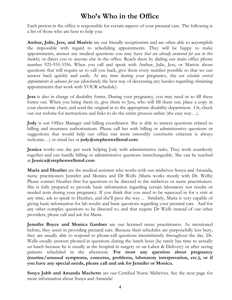## **Who's Who in the Office**

Each person in the office is responsible for certain aspects of your prenatal care. The following is a list of those who are here to help you:

**Ambur, Julie, Jess, and Marivic** are our friendly receptionists and are often able to accomplish the impossible with regard to scheduling appointments. They will be happy to make appointments, answer any medical questions you may have *that are already answered for you in this booklet*, or direct you to anyone else in the office. Reach them by dialing our main office phone number 925-935-5356. When you call and speak with Ambur, Julie, Jess, or Marivic about questions that will require us to call you back, give them every number possible so that we can answer back quickly and easily. At any time during your pregnancy, *they can schedule several appointments in advance for you* (absolutely the best way of decreasing any hassles regarding obtaining appointments that work with YOUR schedule).

**Jess** is also in charge of disability forms. During your pregnancy, you may need us to fill these forms out. When you bring them in, give them to Jess, who will fill them out, place a copy in your electronic chart, and send the original in to the appropriate disability department. Or, check out our website for instructions and links to do the entire process online (the easy way…).

**Jody** is our Office Manager and billing coordinator. She is able to answer questions related to billing and insurance authorizations. Please call her with billing or administrative questions or suggestions that would help our office run more smoothly (*constructive* criticism is always welcome…) or email her at **jody@stephenwellsmd.com**

**Jessica** works one day per week helping Jody with administrative tasks. They work seamlessly together and can handle billing or administrative questions interchangeably. She can be reached at **Jessica@stephenwellsmd.com**

**Maria and Heather** are the medical assistant who works with our midwives Sonya and Amanda, nurse practitioners Jennifer and Monica and Dr Wells (Maria works mostly with Dr. Wells) Please contact Heather first for questions to be directed to the midwives or nurse practitioners. She is fully prepared to provide basic information regarding certain laboratory test results or needed tests during your pregnancy. If you think that you need to be squeezed in for a visit at any time, ask to speak to Heather, and she'll pave the way… Similarly, Maria is very capable of giving basic information for lab results and basic questions regarding your prenatal care. And for any other complex questions to be directed to, and that require Dr Wells instead of our other providers, please call and ask for Maria.

**Jennifer Boyce and Monica Gardner** are our licensed nurse practitioners. As mentioned before, they assist in providing prenatal care. Because their schedules are purposefully less busy, they are usually able to respond to phone-call questions intermittently throughout the day. Dr. Wells usually answers phoned-in questions during the lunch hour (he rarely has time to actually *eat* lunch because he is usually at the hospital in surgery or on Labor & Delivery) or after seeing patients scheduled in the afternoon. **For most any question about pregnancy (routine/unusual symptoms, concerns, problems, laboratory interpretation, etc.), or if you have any special needs, please call and ask for Jennifer or Monica.** 

**Sonya Jubb and Amanda Machette** are our Certified Nurse Midwives. See the next page for more information about Sonya and Amanda!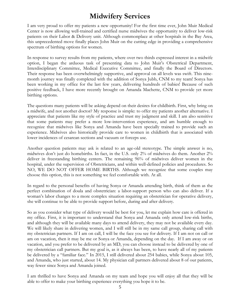## **Midwifery Services**

I am very proud to offer my patients a new opportunity! For the first time ever, John Muir Medical Center is now allowing well-trained and certified nurse midwives the opportunity to deliver low-risk patients on their Labor & Delivery unit. Although commonplace at other hospitals in the Bay Area, this unprecedented move finally places John Muir on the cutting edge in providing a comprehensive spectrum of birthing options for women.

In response to survey results from my patients, where over two thirds expressed interest in a midwife option, I began the arduous task of presenting data to John Muir's Obstetrical Department, Interdisciplinary Committee, Medical Executive Committee, and finally the Board of Directors. Their response has been overwhelmingly supportive, and approval on all levels was swift. This ninemonth journey was finally completed with the addition of Sonya Jubb, CNM to my team! Sonya has been working in my office for the last few years, delivering hundreds of babies! Because of such positive feedback, I have more recently brought on Amanda Machette, CNM to provide yet more birthing options.

The questions many patients will be asking depend on their desires for childbirth. First, why bring on a midwife, and not another doctor? My response is simple: to offer my patients another alternative. I appreciate that patients like my style of practice and trust my judgment and skill. I am also sensitive that some patients may prefer a more low-intervention experience, and am humble enough to recognize that midwives like Sonya and Amanda have been specially trained to provide such an experience. Midwives also historically provide care to women in childbirth that is associated with lower incidences of cesarean sections and vacuum or forceps use.

Another question patients may ask is related to an age-old stereotype. The simple answer is no, midwives don't just do homebirths. In fact, in the U.S. only 2% of midwives do them. Another 2% deliver in freestanding birthing centers. The remaining 96% of midwives deliver women in the hospital, under the supervision of Obstetricians, and within well-defined policies and procedures. So NO, WE DO NOT OFFER HOME BIRTHS. Although we recognize that some couples may choose this option, this is not something we feel comfortable with. At all.

In regard to the personal benefits of having Sonya or Amanda attending birth, think of them as the perfect combination of doula and obstetrician: a labor-support person who can also deliver. If a woman's labor changes to a more complex situation requiring an obstetrician for operative delivery, she will continue to be able to provide support before, during and after delivery.

So as you consider what type of delivery would be best for you, let me explain how care is offered in my office. First, it is important to understand that Sonya and Amanda only attend low-risk births, and although they will be available many days to attend delivery, they may not be available every day. We will likely share in delivering women, and I will still be in my same call group, sharing call with my obstetrician partners. If I am on call, I will be the face you see for delivery. If I am not on call or am on vacation, then it may be me or Sonya or Amanda, depending on the day. If I am away or on vacation, and you prefer to be delivered by an MD, you can choose instead to be delivered by one of my obstetrician call partners. But my goal is, as it always has been, to have nearly all of my patients be delivered by a "familiar face." In 2015, I still delivered about 254 babies, while Sonya about 105, and Amanda, who just started, about 14. My physician call partners delivered about 8 of our patients, way fewer since Sonya and Amanda joined.

I am thrilled to have Sonya and Amanda on my team and hope you will enjoy all that they will be able to offer to make your birthing experience everything you hope it to be.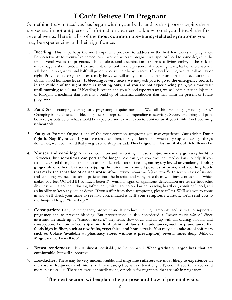## **I Can't Believe I'm Pregnant**

Something truly miraculous has begun within your body, and as this process begins there are several important pieces of information you need to know to get you through the first several weeks. Here is a list of the **most common pregnancy-related symptoms** you may be experiencing and their significance:

- 1. **Bleeding:** This is perhaps the most important problem to address in the first few weeks of pregnancy. Between twenty to twenty-five percent of all women who are pregnant will spot or bleed to some degree in the first several weeks of pregnancy. If an ultrasound examination confirms a living embryo, the risk of miscarriage is about 3–5%. If we are unable to confirm the presence of a beating heart, half of these women will lose the pregnancy, and half will go on to carry their baby to term. If heavy bleeding occurs, call us day or night. Provided bleeding is not extremely heavy we will ask you to come in for an ultrasound evaluation and obtain blood hormone levels. **If bleeding is very heavy we may ask you to go to the emergency room**. **If in the middle of the night there is spotting only, and you are not experiencing pain, you may wait until morning to call us**. If bleeding is recent, and your blood type warrants, we will administer an injection of Rhogam, a medicine that prevents a build-up of maternal antibodies that may harm the present or future pregnancy.
- 2. **Pain:** Some cramping during early pregnancy is quite normal. We call this cramping "growing pains." Cramping in the absence of bleeding does not represent an impending miscarriage. **Severe** cramping and pain, however, is outside of what should be expected, and we want you to **contact us if you think it is becoming unbearable**.
- 3. **Fatigue:** Extreme fatigue is one of the most common symptoms you may experience. Our advice: **Don't fight it. Nap if you can**. If you have small children, then you know that when they nap you can get things done. But, we recommend that you get some sleep instead. **This fatigue will last until about 14 to 16 weeks**.
- 4. **Nausea and vomiting:** Also very common and frustrating. **These symptoms usually go away by 14 to 16 weeks, but sometimes can persist for longer**. We can give you excellent medications to help if you absolutely need them, but sometimes using little tricks can suffice, i.e., **eating dry bread or crackers, sipping ginger ale or other clear sodas, sipping the juice from canned peaches or pears, and avoiding foods that make the sensation of nausea worse**. *Motion sickness wristbands help occasionally*. In severe cases of nausea and vomiting, we need to admit patients into the hospital and re-hydrate them with intravenous fluid (which makes you feel OOOHHH so much better!!!). Warning signs of significant dehydration are severe headache, dizziness with standing, urinating infrequently with dark colored urine, a racing heartbeat, vomiting blood, and an inability to keep any liquids down. If you suffer from these symptoms, please call us. We'll ask you to come in and we'll check your urine to see how concentrated it is. **If your symptoms warrant, we'll send you to the hospital to get "tuned up."**
- **5. Constipation**: Early in pregnancy, progesterone is produced in high amounts and serves to support a pregnancy and to prevent bleeding. But progesterone is also considered a *"smooth muscle relaxer."* Since intestines are made up of "smooth muscle," they relax, slow down and fill up with air, causing bloating and constipation. **To combat constipation, drink plenty of fluids. Include juices, such as prune juice. Eat foods high in fiber, such as raw fruits, vegetables, and bran cereals. You may also take stool softeners such as Colace (available at pharmacy stores without a prescription) several times daily. Milk of Magnesia works well too!**
- 6. **Breast tenderness:** This is almost inevitable, so be prepared. **Wear gradually larger bras that are comfortable**, but well supportive.
- 7. **Headaches:** These may be very uncomfortable, and **migraine sufferers are most likely to experience an increase in frequency and intensity**. If you can, get by with extra-strength Tylenol. If you think you need more, please call us. There are excellent medications, especially for migraines, that are safe in pregnancy.

#### **The next section will explain the purpose and flow of prenatal visits.**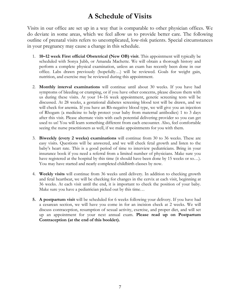# **A Schedule of Visits**

Visits in our office are set up in a way that is comparable to other physician offices. We do deviate in some areas, which we feel allow us to provide better care. The following outline of prenatal visits refers to uncomplicated, low-risk patients. Special circumstances in your pregnancy may cause a change in this schedule.

- 1. **10–12 week First official Obstetrical (New OB) visit**. This appointment will typically be scheduled with Sonya Jubb, or Amanda Machette. We will obtain a thorough history and perform a complete physical examination, unless an exam has recently been done in our office. Labs drawn previously (hopefully…) will be reviewed. Goals for weight gain, nutrition, and exercise may be reviewed during this appointment.
- 2. **Monthly interval examinations** will continue until about 30 weeks. If you have had symptoms of bleeding or cramping, or if you have other concerns, please discuss them with us during these visits. At your 14–16 week appointment, genetic screening tests will be discussed. At 28 weeks, a gestational diabetes screening blood test will be drawn, and we will check for anemia. If you have an Rh-negative blood type, we will give you an injection of Rhogam (a medicine to help protect your baby from maternal antibodies) 1 to 3 days after this visit. Please alternate visits with each potential delivering provider so you can get used to us! You will learn something different from each encounter. Also, feel comfortable seeing the nurse practitioners as well, if we make appointments for you with them.
- 3. **Biweekly (every 2 weeks) examinations** will continue from 30 to 36 weeks. These are easy visits. Questions will be answered, and we will check fetal growth and listen to the baby's heart rate. This is a good period of time to interview pediatricians. Bring in your insurance book if you need a referral from a limited number of physicians. Make sure you have registered at the hospital by this time (it should have been done by 15 weeks or so...). You may have started and nearly completed childbirth classes by now.
- 4. **Weekly visits** will continue from 36 weeks until delivery. In addition to checking growth and fetal heartbeat, we will be checking for changes in the cervix at each visit, beginning at 36 weeks. At each visit until the end, it is important to check the position of your baby. Make sure you have a pediatrician picked out by this time…
- **5. A postpartum visit** will be scheduled for 6 weeks following your delivery. If you have had a cesarean section, we will have you come in for an incision check at 2 weeks. We will discuss contraception, resumption of sexual activity, exercise, and proper diet, and will set up an appointment for your next annual exam. **Please read up on Postpartum Contraception (at the end of this booklet).**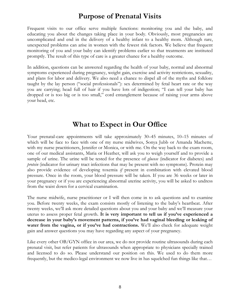## **Purpose of Prenatal Visits**

Frequent visits to our office serve multiple functions: monitoring you and the baby, and educating you about the changes taking place in your body. Obviously, most pregnancies are uncomplicated and end in the delivery of a healthy infant to a healthy mom. Although rare, unexpected problems can arise in women with the fewest risk factors. We believe that frequent monitoring of you and your baby can identify problems earlier so that treatments are instituted promptly. The result of this type of care is a greater chance for a healthy outcome.

In addition, questions can be answered regarding the health of your baby, normal and abnormal symptoms experienced during pregnancy, weight gain, exercise and activity restrictions, sexuality, and plans for labor and delivery. We also need a chance to dispel all of the myths and folklore taught by the lay person ("social professionals"): sex determined by fetal heart rate or the way you are carrying; head full of hair if you have lots of indigestion; "I can tell your baby has dropped or is too big or is too small," cord entanglement because of raising your arms above your head, etc.

## **What to Expect in Our Office**

Your prenatal-care appointments will take approximately 30–45 minutes, 10–15 minutes of which will be face to face with one of my nurse midwives, Sonya Jubb or Amanda Machette, with my nurse practitioners, Jennifer or Monica, or with me. On the way back to the exam room, one of our medical assistants, Maria or Heather, will ask you to weigh yourself and to provide a sample of urine. The urine will be tested for the presence of *glucose* (indicator for diabetes) and *protein* (indicator for urinary tract infections that may be present with no symptoms). Protein may also provide evidence of developing toxemia *if* present in combination with elevated blood pressure. Once in the room, your blood pressure will be taken. If you are 36 weeks or later in your pregnancy or if you are experiencing abnormal uterine activity, you will be asked to undress from the waist down for a cervical examination.

The nurse midwife, nurse practitioner or I will then come in to ask questions and to examine you. Before twenty weeks, the exam consists mostly of listening to the baby's heartbeat. After twenty weeks, we'll ask more detailed questions about you and your baby and we'll measure your uterus to assess proper fetal growth. **It is very important to tell us if you've experienced a decrease in your baby's movement patterns, if you've had vaginal bleeding or leaking of water from the vagina, or if you've had contractions.** We'll also check for adequate weight gain and answer questions you may have regarding any aspect of your pregnancy.

Like every other OB/GYN office in our area, we do not provide routine ultrasounds during each prenatal visit, but refer patients for ultrasounds when appropriate to physicians specially trained and licensed to do so. Please understand our position on this. We used to do them more frequently, but the medico-legal environment we now live in has squelched fun things like that…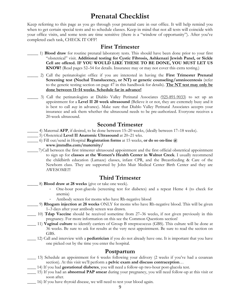## **Prenatal Checklist**

Keep referring to this page as you go through your prenatal care in our office. It will help remind you when to get certain special tests and to schedule classes. Keep in mind that not all tests will coincide with your office visits, and some tests are time sensitive (there is a "window of opportunity"). After you've completed each task, CHECK IT OFF!

#### **First Trimester**

- \_\_\_\_\_ 1) **Blood draw** for routine prenatal laboratory tests. This should have been done prior to your first "obstetrical" visit. **Additional testing for Cystic Fibrosis, Ashkenazi Jewish Panel, or Sickle Cell are offered. IF YOU WOULD LIKE THESE TO BE DONE, YOU MUST LET US KNOW!** (Read pages 52–54 for details. Insurance may or may not cover this extra testing.)
- \_\_\_\_\_ 2) Call the perinatologist office if you are interested in having the **First Trimester Prenatal Screening test (Nuchal Translucency, or NT) or genetic counseling/amniocentesis** (refer to the genetic testing section on page 47 in this handbook for details). **The NT test may only be done between 11–14 weeks. Schedule far in advance!**
	- \_\_\_\_\_ 3) Call the perinatologists at Diablo Valley Perinatal Associates (925-891-9033) to set up an appointment for a **Level II 20 week ultrasound** (Believe it or not, they are extremely busy and it is best to call *way* in advance). Make sure that Diablo Valley Perinatal Associates accepts your insurance and ask them whether the ultrasound needs to be pre-authorized. Everyone receives a 20-week ultrasound.

#### **Second Trimester**

- \_\_\_\_\_ 4) Maternal **AFP**, if desired, to be done between 15–20 weeks, (ideally between 17–18 weeks).
	- \_\_\_\_\_ 5) Obstetrical **Level II Anatomic Ultrasound** at 20–21 wks.
- \_\_\_\_\_ 6) Fill out/send in Hospital **Registration forms** at 15 weeks, **or do so on-line @ www.jmmdhs.com/maternity/**
- \_\_\_\_\_7)Call between the first trimester ultrasound appointment and the first official obstetrical appointment to sign up for **classes at the Women's Health Center in Walnut Creek**. I usually recommend the childbirth education (Lamaze) classes, infant CPR, and the Breastfeeding & Care of the Newborn class. They are supported by John Muir Medical Center Birth Center and they are AWESOME!!!

## **Third Trimester**

- \_\_\_\_\_ 8) **Blood draw at 28 weeks** (give or take one week).
	- One-hour post-glucola (screening test for diabetes) and a repeat Heme 4 (to check for anemia)
		- Antibody screen for moms who have Rh-negative blood
- \_\_\_\_\_ 9) **Rhogam injection at 28 weeks** ONLY for moms who have Rh-negative blood. This will be given 1–3 days after your antibody screen was drawn.
- \_\_\_\_ 10) **Tdap Vaccine** should be received sometime from 27–36 weeks, if not given previously in this pregnancy. For more information on this see the Common Questions section!
- \_\_\_\_ 11) **Vaginal culture** to identify carriers of Group B streptococcus (GBS). This culture will be done at 36 weeks. Be sure to ask for results at the very next appointment. Be sure to read the section on GBS.
- \_\_\_\_ 12) Call and interview with a **pediatrician** if you do not already have one. It is important that you have one picked out by the time you enter the hospital.

#### **Postpartum**

- \_\_\_\_ 13) Schedule an appointment for 6 weeks following your delivery (2 weeks if you've had a cesarean section). At this visit we'll perform a **pelvic exam and discuss contraception**…
	- \_\_\_\_ 14) If you had **gestational diabetes**, you will need a follow-up two-hour post-glucola test.
- \_\_\_\_ 15) If you had an **abnormal PAP smear** during your pregnancy, you will need follow-up at this visit or soon after.
	- \_\_\_\_ 16) If you have thyroid disease, we will need to test your blood again.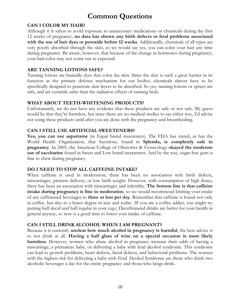# **Common Questions**

#### **CAN I COLOR MY HAIR?**

Although it is safest to avoid exposure to unnecessary medications or chemicals during the first 12 weeks of pregnancy, **no data has shown any birth defects or fetal problems associated with the use of hair dyes or peroxide before 12 weeks**. Additionally, chemicals of all types are very poorly absorbed through the skin, so we would say yes, you can color your hair any time during pregnancy. Be aware, however, that because of the change in hormones during pregnancy, your hair color may not come out as expected.

#### **ARE TANNING LOTIONS SAFE?**

Tanning lotions are basically dyes that color the skin. Since the skin is such a great barrier in its function as the primary defense mechanism for our bodies, chemicals almost have to be specifically designed to penetrate skin layers to be absorbed. So yes, tanning lotions or sprays are safe, and are certainly safer than the radiation effects of tanning beds.

#### **WHAT ABOUT TEETH-WHITENING PRODUCTS?**

Unfortunately, we do not have any evidence that these products are safe or not safe. My guess would be that they're harmless, but since there are no medical studies to say either way, I'd advise not using these products until after you are done with the pregnancy and breastfeeding.

#### **CAN I STILL USE ARTIFICIAL SWEETENERS?**

**Yes, you can use aspartame** (in Equal brand sweeteners). The FDA has stated, as has the World Health Organization, that Sucralose, found in **Splenda, is completely safe in pregnancy**. In 2005, the American College of Obstetrics & Gynecology **okayed the moderate use of saccharine** found in Sweet and Low brand sweeteners. And by the way, sugar-free gum is fine to chew during pregnancy.

#### **DO I NEED TO STOP ALL CAFFEINE INTAKE?**

When caffeine is used in moderation, there has been no association with birth defects, miscarriages, preterm delivery, or low birth weight. However, with consumption of high doses, there has been an association with miscarriages and infertility. **The bottom line is that caffeine intake during pregnancy is fine in moderation**, so we would recommend limiting your intake of any caffeinated beverages to **three or less per day**. Remember that caffeine is found not only in coffee, but also to a lesser degree in teas and sodas. (If you are a coffee addict, you might try putting half decaf and half regular in your cup.) Decaffeinated drinks are better for your health in general anyway, so now is a good time to lower your intake of caffeine.

#### **CAN I STILL DRINK ALCOHOL WHEN I AM PREGNANT?**

Because it is currently **unclear how much alcohol in pregnancy is harmful**, the best advice is to not drink at all. **Having a half glass of wine on a special occasion is most likely harmless**. However, women who abuse alcohol in pregnancy increase their odds of having a miscarriage, a premature baby, or delivering a baby with fetal alcohol syndrome. This syndrome can lead to growth problems, heart defects, facial defects, and behavioral problems. The women with the highest risk for delivering a baby with Fetal Alcohol Syndrome are those who drink two alcoholic beverages a day for the entire pregnancy and those who binge drink.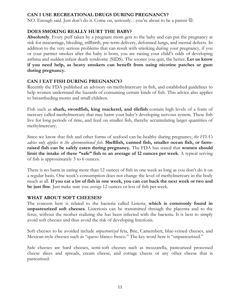#### **CAN I USE RECREATIONAL DRUGS DURING PREGNANCY?**

NO. Enough said. Just don't do it. Come on, seriously...you're about to be a parent  $\mathcal{O}$ .

#### **DOES SMOKING REALLY HURT THE BABY?**

**Absolutely**. Every puff taken by a pregnant mom gets to the baby and can put the pregnancy at risk for miscarriage, bleeding, stillbirth, pre-term delivery, deformed lungs, and mental defects. In addition to the very serious problems that can result with smoking during your pregnancy, if you or your partner smokes after the baby is born, you are raising your child's odds of developing asthma and sudden infant death syndrome (SIDS). The sooner you quit, the better. **Let us know if you need help, as heavy smokers can benefit from using nicotine patches or gum during pregnancy.**

#### **CAN I EAT FISH DURING PREGNANCY?**

Recently the FDA published an advisory on methylmercury in fish, and established guidelines to help women understand the hazards of consuming certain kinds of fish. This advice also applies to breastfeeding moms and small children.

Fish such as **shark, swordfish, king mackerel, and tilefish** contain high levels of a form of mercury called methylmercury that may harm your baby's developing nervous system. These fish live for long periods of time, and feed on smaller fish, thereby accumulating larger quantities of methylmercury.

Since we know that fish and other forms of seafood can be healthy during pregnancy, *the FDA's advice only applies to the aforementioned fish*. **Shellfish, canned fish, smaller ocean fish, or farmraised fish can be safely eaten during pregnancy.** The FDA has stated that **women should limit the intake of these "safe" fish to an average of 12 ounces per week**. A typical serving of fish is approximately 3 to 6 ounces.

There is no harm in eating more than 12 ounces of fish in one week as long as you don't do it on a regular basis. One week's consumption does not change the level of methylmercury in the body much at all. **If you eat a lot of fish in one week, you can cut back the next week or two and be just fine**. Just make sure you *average* 12 ounces or less of fish per week.

#### **WHAT ABOUT SOFT CHEESES?**

The concern here is related to the bacteria called Listeria, **which is commonly found in unpasteurized soft cheeses**. Listeriosis can be transmitted through the placenta and to the fetus, without the mother realizing she has been infected with the bacteria. It is best to simply avoid soft cheeses and thus avoid the risk of developing listeriosis.

Soft cheeses to be avoided include *unpasteurized* feta, Brie, Camembert, blue-veined cheeses, and Mexican-style cheeses such as "queso blanco fresco." The key word here is "unpasteurized."

Safe cheeses are hard cheeses, semi-soft cheeses such as mozzarella, pasteurized processed cheese slices and spreads, cream cheese, and cottage cheese or any other cheese that is pasteurized.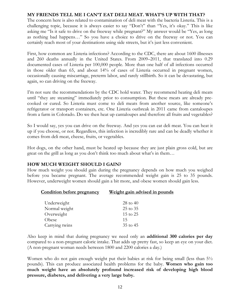#### **MY FRIENDS TELL ME I CAN'T EAT DELI MEAT. WHAT'S UP WITH THAT?**

The concern here is also related to contamination of deli meat with the bacteria Listeria. This is a challenging topic, because it is always easier to say "Don't" than "Yes, it's okay." This is like asking me "Is it safe to drive on the freeway while pregnant?" My answer would be "Yes, as long as nothing bad happens…" So you have a choice to drive on the freeway or not. You can certainly reach most of your destinations using side streets, but it's just less convenient.

First, how common are Listeria infections? According to the CDC, there are about 1600 illnesses and 260 deaths annually in the United States. From 2009–2011, that translated into 0.29 documented cases of Listeria per 100,000 people. More than one half of all infections occurred in those older than 65, and about 14% of cases of Listeria occurred in pregnant women, occasionally causing miscarriage, preterm labor, and rarely stillbirth. So it can be devastating, but again, so can driving on the freeway.

I'm not sure the recommendations by the CDC hold water. They recommend heating deli meats until "they are steaming" immediately prior to consumption. But these meats are already precooked or cured. So Listeria must come to deli meats from another source, like someone's refrigerator or transport containers, etc. One Listeria outbreak in 2011 came from cantaloupes from a farm in Colorado. Do we then heat up cantaloupes and therefore all fruits and vegetables?

So I would say, yes you can drive on the freeway. And yes you can eat deli meat. You can heat it up if you choose, or not. Regardless, this infection is incredibly rare and can be deadly whether it comes from deli meat, cheese, fruits, or vegetables.

Hot dogs, on the other hand, must be heated up because they are just plain gross cold, but are great on the grill as long as you don't think too much about what's in them…

#### **HOW MUCH WEIGHT SHOULD I GAIN?**

How much weight you should gain during the pregnancy depends on how much you weighed before you became pregnant. The average recommended weight gain is 25 to 35 pounds. However, underweight women should gain a bit more, and obese women should gain less.

| <b>Condition before pregnancy</b> | Weight gain advised in pounds |
|-----------------------------------|-------------------------------|
| Underweight                       | $28$ to $40$                  |
| Normal weight                     | 25 to 35                      |
| Overweight                        | $15 \text{ to } 25$           |
| Obese                             | 15                            |
| Carrying twins                    | 35 to 45                      |
|                                   |                               |

Also keep in mind that during pregnancy we need only an **additional 300 calories per day** compared to a non-pregnant caloric intake. That adds up pretty fast, so keep an eye on your diet. (A non-pregnant woman needs between 1800 and 2200 calories a day.)

Women who do not gain enough weight put their babies at risk for being small (less than  $5\frac{1}{2}$ ) pounds). This can produce associated health problems for the baby. **Women who gain too much weight have an absolutely profound increased risk of developing high blood pressure, diabetes, and delivering a very large baby.**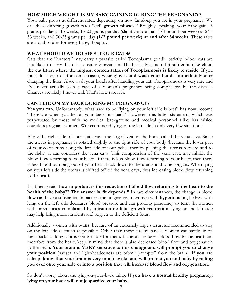#### **HOW MUCH WEIGHT IS MY BABY GAINING DURING THE PREGNANCY?**

Your baby grows at different rates, depending on how far along you are in your pregnancy. We call these differing growth rates "**cell growth phases**." Roughly speaking, your baby gains 5 grams per day at 15 weeks, 15-20 grams per day (slightly more than 1/4 pound per week) at 24 - 33 weeks, and 30-35 grams per day **(1/2 pound per week) at and after 34 weeks**. These rates are not absolutes for every baby, though…

#### **WHAT SHOULD WE DO ABOUT OUR CATS?**

Cats that are "hunters" may carry a parasite called Toxoplasma gondii. Strictly indoor cats are less likely to carry this disease-causing organism. The best advice is to **let someone else clean the cat litter, where the highest concentration of Toxoplasmosis is likely to reside**. If you must do it yourself for some reason, **wear gloves and wash your hands immediately** after changing the litter. Also, wash your hands after handling your cat. Toxoplasmosis is very rare and I've never actually seen a case of a woman's pregnancy being complicated by the disease. Chances are likely I never will. That's how rare it is.

#### **CAN I LIE ON MY BACK DURING MY PREGNANCY?**

Yes you can. Unfortunately, what used to be "lying on your left side is best" has now become "therefore when you lie on your back, it's bad." However, this latter statement, which was perpetuated by those with no medical background and medical personnel alike, has misled countless pregnant women. We recommend lying on the left side in only very few situations.

Along the right side of your spine runs the largest vein in the body, called the vena cava. Since the uterus in pregnancy is rotated slightly to the right side of your body (because the lower part of your colon runs along the left side of your pelvis thereby pushing the uterus forward and to the right), it can compress the vena cava. This compression of the vena cava may inhibit the blood flow returning to your heart. If there is less blood flow returning to your heart, then there is less blood pumping out of your heart back down to the uterus and other organs. When lying on your left side the uterus is shifted off of the vena cava, thus increasing blood flow returning to the heart.

That being said, **how important is this reduction of blood flow returning to the heart to the health of the baby?? The answer is "it depends."** In rare circumstances, the change in blood flow can have a substantial impact on the pregnancy. In women with **hypertension**, bedrest with lying on the left side decreases blood pressure and can prolong pregnancy to term. In women with pregnancies complicated by **intrauterine fetal growth restriction**, lying on the left side may help bring more nutrients and oxygen to the deficient fetus.

Additionally, women with **twins**, because of an extremely large uterus, are recommended to stay on the left side as much as possible. Other than these circumstances, women can safely lie on their backs as long as it is comfortable for them. If there is reduced blood flow to the heart and therefore from the heart, keep in mind that there is also decreased blood flow and oxygenation to the brain. **Your brain is VERY sensitive to this change and will prompt you to change your position** (nausea and light-headedness are often "prompts" from the brain). **If you are asleep, know that your brain is very much awake and will protect you and baby by rolling you over onto your side or into a position that will increase blood flow and oxygenation**.

So don't worry about the lying-on-your-back thing. **If you have a normal healthy pregnancy, lying on your back will not jeopardize your baby.**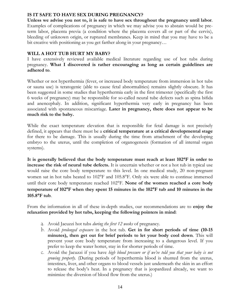#### **IS IT SAFE TO HAVE SEX DURING PREGNANCY?**

**Unless we advise you not to, it is safe to have sex throughout the pregnancy until labor**. Examples of complications of pregnancy in which we may advise you to abstain would be preterm labor, placenta previa (a condition where the placenta covers all or part of the cervix), bleeding of unknown origin, or ruptured membranes. Keep in mind that you may have to be a bit creative with positioning as you get farther along in your pregnancy…

#### **WILL A HOT TUB HURT MY BABY?**

I have extensively reviewed available medical literature regarding use of hot tubs during pregnancy. **What I discovered is rather encouraging as long as certain guidelines are adhered to**.

Whether or not hyperthermia (fever, or increased body temperature from immersion in hot tubs or sauna use) is teratogenic (able to cause fetal abnormalities) remains slightly obscure. It has been suggested in some studies that hyperthermia early in the first trimester (specifically the first 6 weeks of pregnancy) may be responsible for so-called neural tube defects such as spina bifida and anencephaly. In addition, significant hyperthermia very early in pregnancy has been associated with spontaneous miscarriage. **Later in pregnancy, there does not appear to be much risk to the baby.**

While the exact temperature elevation that is responsible for fetal damage is not precisely defined, it appears that there must be a **critical temperature at a critical developmental stage** for there to be damage. This is usually during the time from attachment of the developing embryo to the uterus, until the completion of organogenesis (formation of all internal organ systems).

**It is generally believed that the body temperature must reach at least 102**°**F in order to increase the risk of neural tube defects.** It is uncertain whether or not a hot tub in typical use would raise the core body temperature to this level. In one medical study, 20 non-pregnant women sat in hot tubs heated to 102°F and 105.8°F. Only six were able to continue immersed until their core body temperature reached 102°F. **None of the women reached a core body temperature of 102**°**F when they spent 15 minutes in the 102**°**F tub and 10 minutes in the 105.8**°**F tub**.

From the information in all of these in-depth studies, our recommendations are to **enjoy the relaxation provided by hot tubs, keeping the following pointers in mind**:

- a. Avoid Jacuzzi hot tubs *during the first 12 weeks* of pregnancy.
- b. Avoid *prolonged exposure* in the hot tub. **Get in for short periods of time (10-15 minutes), then get out for brief periods to let your body cool down**. This will prevent your core body temperature from increasing to a dangerous level. If you prefer to keep the water hotter, stay in for shorter periods of time.
- c. Avoid the Jacuzzi if you have *high blood pressure or if we've told you that your baby is not growing properly.* (During periods of hyperthermia blood is shunted from the uterus, intestines, liver, and other organs to blood vessels just underneath the skin in an effort to release the body's heat. In a pregnancy that is jeopardized already, we want to minimize the diversion of blood flow from the uterus.)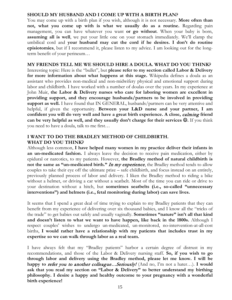#### **SHOULD MY HUSBAND AND I COME UP WITH A BIRTH PLAN?**

You may come up with a birth plan if you wish, although it is not necessary. **More often than not, what you come up with is what we usually do as a routine.** Regarding pain management, you can have whatever you want **or go without**. When your baby is born, **assuming all is well**, we put your little one on your stomach immediately. We'll clamp the umbilical cord and **your husband may cut the cord if he desires. I don't do routine episiotomies**, but if I recommend it, please listen to my advice. I am looking out for the longterm benefit of your perineum…

#### **MY FRIENDS TELL ME WE SHOULD HIRE A DOULA. WHAT DO YOU THINK?** Interesting topic: Here is the "bullet", but **please refer to my section called Labor & Delivery for more information about what happens at this stage.** Wikipedia defines a doula as an assistant who provides non[-medical](http://en.wikipedia.org/wiki/Obstetrics) and non[-midwifery](http://en.wikipedia.org/wiki/Midwifery) physical and emotional support during labor and childbirth. I have worked with a number of doulas over the years. In my experience at John Muir, **the Labor & Delivery nurses who care for laboring women are excellent in providing support, and they encourage husbands/partners to be involved in providing support as well.** I have found that IN GENERAL, husbands/partners can be very attentive and helpful, if given the opportunity. **Between your L&D nurse and your partner, I am confident you will do very well and have a great birth experience. A close,** calming **friend can be very helpful as well, and they usually don't charge for their services .** If you think you need to have a doula, talk to me first…

#### **I WANT TO DO THE BRADLEY METHOD OF CHILDBIRTH. WHAT DO YOU THINK?**

Although less common, **I have helped many women in my practice deliver their infants in an un-medicated fashion.** I always leave the decision to receive pain medication, either by epidural or narcotics, to my patients. However, **the Bradley method of natural childbirth is not the same as "un-medicated birth."** In my experience, the Bradley method tends to allow couples to take their eye off the ultimate prize – safe childbirth, and focus instead on an entirely, previously planned process of labor and delivery. I liken the Bradley method to riding a bike without a helmet, or driving a car without a seatbelt. Most of the time you can ride or drive to your destination without a hitch, but **sometimes seatbelts (i.e., so-called "unnecessary interventions") and helmets (i.e., fetal monitoring during labor) can save lives.**

It seems that I spend a great deal of time trying to explain to my Bradley patients that they can benefit from my experience of delivering over six thousand babies, and I know all the "tricks of the trade" to get babies out safely and usually vaginally. **Sometimes "nature" isn't all that kind and doesn't listen to what we want to have happen, like back in the 1800s.** Although I respect couples' wishes to undergo un-medicated, un-monitored, no-intervention-at-all-cost births, **I would rather have a relationship with my patients that includes trust in my expertise so we can walk through labor as a real team.**

I have always felt that my "Bradley patients" harbor a certain degree of distrust in my recommendations, and those of the Labor & Delivery nursing staff. **So, if you wish to go through labor and delivery using the Bradley method, please let me know. I will be happy to** refer you to another colleague…Seriously! (And no, I'm not a hater…). **I would ask that you read my section on "Labor & Delivery" to better understand my birthing philosophy. I desire a happy and healthy outcome to your pregnancy with a wonderful birth experience!**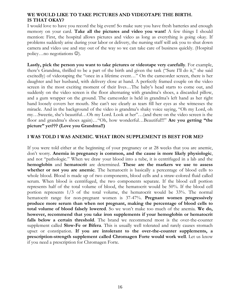#### **WE WOULD LIKE TO TAKE PICTURES AND VIDEOTAPE THE BIRTH. IS THAT OKAY?**

I would love to have you record the big event! So make sure you have fresh batteries and enough memory on your card. **Take all the pictures and video you want!** A few things I should mention: First, the hospital allows pictures and video as long as everything is going okay. If problems suddenly arise during your labor or delivery, the nursing staff will ask you to shut down camera and video use and stay out of the way so we can take care of business quickly. (Hospital policy... no negotiations  $\mathcal{O}$ ).

**Lastly, pick the person you want to take pictures or videotape very carefully**. For example, there's Grandma, thrilled to be a part of the birth and given the task ("Sure I'll do it," she said excitedly) of videotaping the "once in a lifetime event…" On the camcorder screen, there is her daughter and her husband, with delivery close at hand. A perfectly framed couple on the video screen in the most exciting moment of their lives…The baby's head starts to come out, and suddenly on the video screen is the floor alternating with grandma's shoes, a discarded pillow, and a gum wrapper on the ground. The camcorder is held in grandma's left hand as her right hand loosely covers her mouth. She can't see clearly as tears fill her eyes as she witnesses the miracle. And in the background of the video is grandma's shaky voice saying, "Oh my Lord, oh my…Sweetie, she's beautiful…Oh my Lord. Look at her"…(and there on the video screen is the floor and grandma's shoes again)…"Oh, how wonderful…Beautiful!!!" **Are you getting "the picture" yet??? (Love you Grandma!!)**

#### **I WAS TOLD I WAS ANEMIC. WHAT IRON SUPPLEMENT IS BEST FOR ME?**

If you were told either at the beginning of your pregnancy or at 28 weeks that you are anemic, don't worry. **Anemia in pregnancy is common, and the cause is more likely physiologic**, and not "pathologic." When we draw your blood into a tube, it is centrifuged in a lab and the **hemoglobin** and **hematocrit** are determined. **These are the markers we use to assess whether or not you are anemic**. The hematocrit is basically a percentage of blood cells to whole blood. Blood is made up of two components, blood cells and a straw-colored fluid called serum. When blood is centrifuged, the two components separate. If the blood cell portion represents half of the total volume of blood, the hematocrit would be 50%. If the blood cell portion represents 1/3 of the total volume, the hematocrit would be 33%. The normal hematocrit range for non-pregnant women is 37-47%. **Pregnant women progressively produce more serum than when not pregnant, making the percentage of blood cells to total volume of blood falsely lowered**. So we won't make too much of the anemia. **We do, however, recommend that you take iron supplements if your hemoglobin or hematocrit falls below a certain threshold**. The brand we recommend most is the over-the-counter supplement called **Slow-Fe or Bifera**. This is usually well tolerated and rarely causes stomach upset or constipation. **If you are intolerant to the over-the-counter supplements, a prescription-strength supplement called Chromagen Forte would work well**. Let us know if you need a prescription for Chromagen Forte.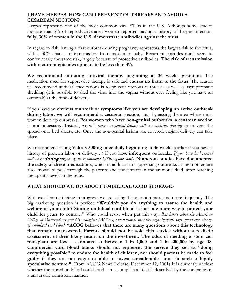#### **I HAVE HERPES. HOW CAN I PREVENT OUTBREAKS AND AVOID A CESAREAN SECTION?**

Herpes represents one of the most common viral STDs in the U.S. Although some studies indicate that 5% of reproductive-aged women reported having a history of herpes infection, **fully, 30% of women in the U.S. demonstrate antibodies against the virus.**

In regard to risk, having a first outbreak during pregnancy represents the largest risk to the fetus, with a 30% chance of transmission from mother to baby. Recurrent episodes don't seem to confer nearly the same risk, largely because of protective antibodies. **The risk of transmission with recurrent episodes appears to be less than 3%.**

**We recommend initiating antiviral therapy beginning at 36 weeks gestation**. The medication used for suppressive therapy is safe and **causes no harm to the fetus**. The reason we recommend antiviral medications is to prevent obvious outbreaks as well as asymptomatic shedding (it is possible to shed the virus into the vagina without ever feeling like you have an outbreak) at the time of delivery.

If you have an **obvious outbreak or symptoms like you are developing an active outbreak during labor, we will recommend a cesarean section**, thus bypassing the area where most women develop outbreaks. **For women who have non-genital outbreaks, a cesarean section is not necessary.** Instead, we will *cover non-genital lesions with an occlusive dressing* to prevent the spread onto bed sheets, etc. Once the non-genital lesions are covered, vaginal delivery can take place.

We recommend taking **Valtrex 500mg once daily beginning at 36 weeks** (earlier if you have a history of preterm labor or delivery…) if you have **infrequent** outbreaks. *If you have had several outbreaks* during *pregnancy, we recommend 1,000mg once daily*. **Numerous studies have documented the safety of these medications**, which in addition to suppressing outbreaks in the mother, are also known to pass through the placenta and concentrate in the amniotic fluid, after reaching therapeutic levels in the fetus.

#### **WHAT SHOULD WE DO ABOUT UMBILICAL CORD STORAGE?**

With excellent marketing in progress, we are seeing this question more and more frequently. The big marketing question is perfect: **"Wouldn't you do anything to assure the health and welfare of your child? Storing umbilical cord blood is just one more way to protect your child for years to come…"** Who could resist when put this way. *But here's what the American College of Obstetricians and Gynecologists (ACOG, our national specialty organization) says about cryo-storage of umbilical cord blood*: **"ACOG believes that there are many questions about this technology that remain unanswered. Parents should not be sold this service without a realistic assessment of their likely return on the investment. The odds of needing a stem cell transplant are low – estimated at between 1 in 1,000 and 1 in 200,000 by age 18. Commercial cord blood banks should not represent the service they sell as "doing everything possible" to endure the health of children, nor should parents be made to feel guilty if they are not eager or able to invest considerable sums in such a highly speculative venture."** (From ACOG News Release, December 12, 2001) It is currently unclear whether the stored umbilical cord blood can accomplish all that is described by the companies in a universally consistent manner.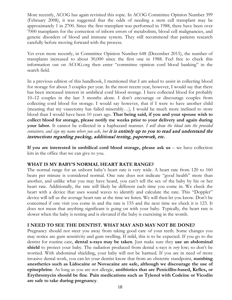More recently, ACOG has again revisited this topic. In ACOG Committee Opinion Number 399 (February 2008), it was suggested that the odds of needing a stem cell transplant may be approximately 1 in 2700. Since the first transplant was performed in 1988, there have been over 7000 transplants for the correction of inborn errors of metabolism, blood cell malignancies, and genetic disorders of blood and immune system. They still recommend that patients research carefully before moving forward with the process.

Yet even more recently, in Committee Opinion Number 648 (December 2015), the number of transplants increased to about 30,000 since the first one in 1988. Feel free to check this information out on ACOG.org then enter "committee opinion cord blood banking" in the search field.

In a previous edition of this handbook, I mentioned that I am asked to assist in collecting blood for storage for about 3 couples per year. In the most recent year, however, I would say that there has been increased interest in umbilical cord blood storage. I have collected blood for probably 10–12 couples in the last 3 months alone. I don't encourage or discourage couples from collecting cord blood for storage. I would say however, that if I were to have another child (meaning that my vasectomy has failed miserably…), I would be much more inclined to store blood than I would have been 10 years ago. **That being said, if you and your spouse wish to collect blood for storage, please notify me weeks prior to your delivery and again during your labor.** It cannot be collected in a haphazard manner. *I will draw the blood into the provided containers, and sign my name where you ask, but* it is entirely up to you to read and understand the instructions regarding packing, additional testing, paperwork, etc.

If you are interested in umbilical cord blood storage, please ask us – we have collection kits in the office that we can give to you.

#### **WHAT IS MY BABY'S NORMAL HEART RATE RANGE?**

The normal range for an unborn baby's heart rate is very wide. A heart rate from 120 to 160 beats per minute is considered normal. One rate does not indicate "good health" more than another, and unlike what you may have heard, you can't tell the sex of the baby by his or her heart rate. Additionally, the rate will likely be different each time you come in. We check the heart with a device that uses sound waves to identify and calculate the rate. This "Doppler" device will tell us the average heart rate at the time we listen. We will then let you know. Don't be concerned if one visit you come in and the rate is 155 and the next time we check it is 123. It does not mean that anything significant is going on with your baby. Typically, the heart rate is slower when the baby is resting and is elevated if the baby is exercising in the womb.

#### **I NEED TO SEE THE DENTIST. WHAT MAY AND MAY NOT BE DONE?**

Pregnancy should not steer you away from taking good care of your teeth. Some changes you may notice are gum sensitivity and gum swelling. If mild, this is to be expected. If you go to the dentist for routine care, **dental x-rays may be taken**. Just make sure they **use an abdominal shield** to protect your baby. The radiation produced from dental x-rays is *very* low; so don't be worried. With abdominal shielding, your baby will not be harmed. If you are in need of more invasive dental work, you can let your dentist know that from an obstetric standpoint, **numbing anesthetics such as Lidocaine or Novacaine are safe, although we discourage the use of epinephrine**. As long as you are not allergic, **antibiotics that are Penicillin-based, Keflex, or Erythromycin should be fine**. **Pain medications such as Tylenol with Codeine or Vicodin are safe to take during pregnancy**.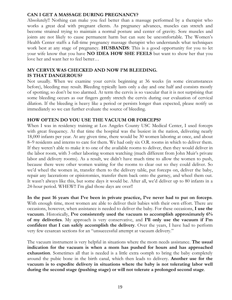#### **CAN I GET A MASSAGE DURING PREGNANCY?**

Absolutely!! Nothing can make you feel better than a massage performed by a therapist who works a great deal with pregnant clients. As pregnancy advances, muscles can stretch and become strained trying to maintain a normal posture and center of gravity. Sore muscles and joints are not likely to cause permanent harm but can sure be uncomfortable. The Women's Health Center staffs a full-time pregnancy massage therapist who understands what techniques work best at any stage of pregnancy. **HUSBANDS**: This is a good opportunity for you to let your wife know that you have **NO IDEA HOW SHE FEELS** but want to show her that you love her and want her to feel better…

#### **MY CERVIX WAS CHECKED AND NOW I'M BLEEDING. IS THAT DANGEROUS?**

Not usually. When we examine your cervix beginning at 36 weeks (in some circumstances before), bleeding may result. Bleeding typically lasts only a day and one half and consists mostly of spotting; so don't be too alarmed. At term the cervix is so vascular that it is not surprising that some bleeding occurs as our fingers gently stretch the cervix during our evaluation of cervical dilation. If the bleeding is heavy like a period or persists longer than expected, please notify us immediately so we can further evaluate the source of bleeding.

#### **HOW OFTEN DO YOU USE THE VACUUM OR FORCEPS?**

When I was in residency training at Los Angeles County USC Medical Center, I used forceps with great frequency. At that time the hospital was the busiest in the nation, delivering nearly 18,000 infants per year. At any given time, there would be 30 women laboring at once, and about 8–9 residents and interns to care for them. We had only six O.R. rooms in which to deliver them. If they weren't able to make it to one of the available rooms to deliver, then they would deliver in the labor room, with 3 other laboring women watching (much different from John Muir's private labor and delivery rooms). As a result, we didn't have much time to allow the women to push, because there were other women waiting for the rooms to clear out so they could deliver. So we'd wheel the women in, transfer them to the delivery table, put forceps on, deliver the baby, repair any lacerations or episiotomies, transfer them back onto the gurney, and wheel them out. It wasn't always like this, but some days it would be. After all, we'd deliver up to 80 infants in a 24-hour period. WHEW!! I'm glad those days are over!!

**In the past 16 years that I've been in private practice, I've never had to put on forceps**. With enough time, most women are able to deliver their babies with their own effort. There are occasions, however, when assistance is needed to deliver the baby. For these occasions, **I use the vacuum**. Historically, **I've consistently used the vacuum to accomplish approximately 6% of my deliveries**. My approach is very conservative, and **I'll only use the vacuum if I'm confident that I can safely accomplish the delivery**. Over the years, I have had to perform very few cesarean sections for an "unsuccessful attempt at vacuum delivery."

The vacuum instrument is very helpful in situations where the mom needs assistance. **The usual indication for the vacuum is when a mom has pushed for hours and has approached exhaustion**. Sometimes all that is needed is a little extra oomph to bring the baby completely around the pubic bone in the birth canal, which then leads to delivery. **Another use for the vacuum is to expedite delivery in situations where the baby is not tolerating labor well during the second stage (pushing stage) or will not tolerate a prolonged second stage**.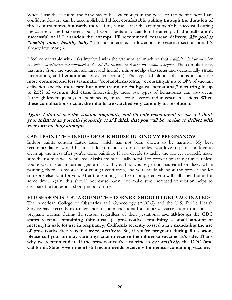When I use the vacuum, the baby has to be low enough in the pelvis to the point where I am confident delivery can be accomplished. **I'll feel comfortable pulling through the duration of three contractions, but rarely more**. If my sense is that the attempt won't be successful during the course of the first several pulls, I won't hesitate to abandon the attempt. **If the pulls aren't successful or if I abandon the attempt, I'll recommend cesarean delivery**. My goal is "healthy mom, healthy baby**."** I'm not interested in lowering my cesarean section rate. It's already low enough.

I feel comfortable with risks involved with the vacuum, so much so that *I didn't mind at all when my wife's obstetrician recommended and used the vacuum to deliver my second daughter*. The complications that arise from the vacuum are rare, and include minor **scalp abrasions** and occasionally **small lacerations**, and **hematomas** (blood collections). The types of blood collections include the **more common and less traumatic "cephalohematoma," occurring in up to 14%** of vacuum deliveries, and the **more rare but more traumatic "subgaleal hematoma," occurring in up to 2.5% of vacuum deliveries**. Interestingly, these two types of hematomas can also occur (although less frequently) in spontaneous, un-assisted deliveries and in cesarean sections. **When these complications occur, the infants are watched very carefully for resolution.**

#### Again, I do not use the vacuum frequently, and I'll only recommend its use if I think your infant is in potential jeopardy or if I think that you will be unable to deliver with your own pushing attempts.

#### **CAN I PAINT THE INSIDE OF OUR HOUSE DURING MY PREGNANCY?**

Indoor paints contain Latex base, which has not been shown to be harmful. My best recommendation would be first to let someone else do it, unless you love to paint and love to clean up the mess after you're done painting. If you decide to tackle the project yourself, make sure the room is well ventilated. Masks are not usually helpful to prevent breathing fumes unless you're wearing an industrial grade mask. If you find you're getting nauseated or dizzy while painting, there is obviously not enough ventilation, and you should abandon the project and let someone else do it for you. After the painting has been completed, you will still smell fumes for some time. Again, this should not cause harm, but make sure increased ventilation helps to dissipate the fumes in a short period of time.

#### **FLU SEASON IS JUST AROUND THE CORNER. SHOULD I GET VACCINATED**?

The American College of Obstetrics and Gynecology (ACOG) and the U.S. Public Health Service have recently expanded their recommendations for influenza vaccination to include all pregnant women during flu season, regardless of their gestational age. **Although the CDC states vaccine containing thimerosal (a preservative containing a small amount of mercury) is safe for use in pregnancy, California recently passed a law mandating the use of preservative-free vaccine** when available**. So, if you're pregnant during flu season, please call your primary care physician to receive the influenza vaccine. It's safe. That's why we recommend it. If the preservative-free vaccine is** not available**, the CDC (and California State government) still recommends receiving thimerosal-containing vaccine.**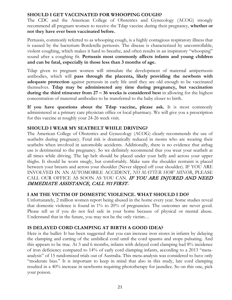#### **SHOULD I GET VACCINATED FOR WHOOPING COUGH?**

The CDC and the American College of Obstetrics and Gynecology (ACOG) strongly recommend all pregnant women to receive the Tdap vaccine during their pregnancy, **whether or not they have ever been vaccinated before.**

Pertussis, commonly referred to as whooping cough, is a highly contagious respiratory illness that is caused by the bacterium Bordetella pertussis. The disease is characterized by uncontrollable, violent coughing, which makes it hard to breathe, and often results in an inspiratory "whooping" sound after a coughing fit. **Pertussis most commonly affects infants and young children and can be fatal, especially in those less than 3 months of age.** 

Tdap given to pregnant women will stimulate the development of maternal antipertussis antibodies, which will **pass through the placenta, likely providing the newborn with adequate protection** against pertussis in early life until they are old enough to be vaccinated themselves. **Tdap may be administered any time during pregnancy, but vaccination during the third trimester from 27 – 36 weeks is considered best** in allowing for the highest concentration of maternal antibodies to be transferred to the baby closer to birth.

**If you have questions about the Tdap vaccine, please ask.** It is most commonly administered at a primary care physician office or local pharmacy. We will give you a prescription for this vaccine at roughly your 24-26 week visit.

#### **SHOULD I WEAR MY SEATBELT WHILE DRIVING?**

The American College of Obstetrics and Gynecology (ACOG) clearly recommends the use of seatbelts during pregnancy. Fetal risk is dramatically reduced in moms who are wearing their seatbelts when involved in automobile accidents. Additionally, there is no evidence that airbag use is detrimental to the pregnancy. So we definitely recommend that you wear your seatbelt at all times while driving. The lap belt should be placed under your belly and across your upper thighs. It should be worn snugly, but comfortably. Make sure the shoulder restraint is placed between your breasts and across your shoulder (Never slipped off your shoulder). IF YOU ARE INVOLVED IN AN AUTOMOBILE ACCIDENT, *NO MATTER HOW MINOR*, PLEASE CALL OUR OFFICE AS SOON AS YOU CAN. IF YOU ARE INJURED AND NEED IMMEDIATE ASSISTANCE, CALL 911 FIRST**.**

#### **I AM THE VICTIM OF DOMESTIC VIOLENCE. WHAT SHOULD I DO?**

Unfortunately, 2 million women report being abused in the home every year. Some studies reveal that domestic violence is found in 1% to 20% of pregnancies. The outcomes are never good. Please tell us if you do not feel safe in your home because of physical or mental abuse. Understand that in the future, you may not be the only victim…

#### **IS DELAYED CORD CLAMPING AT BIRTH A GOOD IDEA?**

Here is the bullet: It has been suggested that you can increase iron stores in infants by delaying the clamping and cutting of the umbilical cord until the cord spasms and stops pulsating. And this appears to be true. At 3 and 6 months, infants with delayed cord clamping had 8% incidence of iron deficiency compared to 14% of early cord clamping infants, according to a 2013 "metaanalysis" of 15 randomized trials out of Australia. This meta-analysis was considered to have only "moderate bias." It is important to keep in mind that also in this study, late cord clamping resulted in a 40% increase in newborns requiring phototherapy for jaundice. So on this one, pick your poison.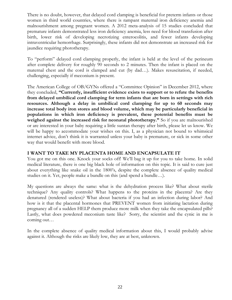There is no doubt, however, that delayed cord clamping is beneficial for preterm infants or those women in third world countries, where there is rampant maternal iron deficiency anemia and malnourishment among pregnant women. A 2012 meta-analysis of 15 studies concluded that premature infants demonstrated less iron deficiency anemia, less need for blood transfusion after birth, lower risk of developing necrotizing enterocolitis, and fewer infants developing intraventricular hemorrhage. Surprisingly, these infants did not demonstrate an increased risk for jaundice requiring phototherapy.

To "perform" delayed cord clamping properly, the infant is held at the level of the perineum after complete delivery for roughly 90 seconds to 2 minutes. Then the infant is placed on the maternal chest and the cord is clamped and cut (by dad…). Makes resuscitation, if needed, challenging, especially if meconium is present.

The American College of OB/GYNs offered a "Committee Opinion" in December 2012, where they concluded, **"Currently, insufficient evidence exists to support or to refute the benefits from delayed umbilical cord clamping for term infants that are born in settings with rich resources. Although a delay in umbilical cord clamping for up to 60 seconds may increase total body iron stores and blood volume, which may be particularly beneficial in populations in which iron deficiency is prevalent, these potential benefits must be**  weighed against the increased risk for neonatal phototherapy." So if you are malnourished or are interested in your baby requiring a little suntan therapy after birth, please let us know. We will be happy to accommodate your wishes on this. I, as a physician not bound to whimsical internet advice, don't think it is warranted unless your baby is premature, or sick in some other way that would benefit with more blood.

#### **I WANT TO TAKE MY PLACENTA HOME AND ENCAPSULATE IT**

You got me on this one. Knock your socks off! We'll bag it up for you to take home. In solid medical literature, there is one big black hole of information on this topic. It is said to cure just about everything like snake oil in the 1800's, despite the complete absence of quality medical studies on it. Yet, people make a bundle on this (and spend a bundle…).

My questions are always the same: what is the dehydration process like? What about sterile technique? Any quality controls? What happens to the proteins in the placenta? Are they denatured (rendered useless)? What about bacteria if you had an infection during labor? And how is it that the placental hormones that PREVENT women from initiating lactation during pregnancy all of a sudden HELP them produce more milk when they take the encapsulated pills? Lastly, what does powdered meconium taste like? Sorry, the scientist and the cynic in me is coming out…

In the complete absence of quality medical information about this, I would probably advise against it. Although the risks are likely low, they are at best, unknown.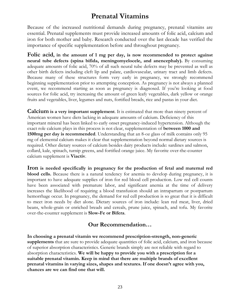## **Prenatal Vitamins**

Because of the increased nutritional demands during pregnancy, prenatal vitamins are essential. Prenatal supplements must provide increased amounts of folic acid, calcium and iron for both mother and baby. Research conducted over the last decade has verified the importance of specific supplementation before and throughout pregnancy.

**Folic acid, in the amount of 1 mg per day, is now recommended to protect against neural tube defects (spina bifida, meningomyelocele, and anencephaly).** By consuming adequate amounts of folic acid, 70% of all such neural tube defects may be prevented as well as other birth defects including cleft lip and palate, cardiovascular, urinary tract and limb defects. Because many of these structures form very early in pregnancy, we strongly recommend beginning supplementation prior to attempting conception. As pregnancy is not always a planned event, we recommend starting as soon as pregnancy is diagnosed. If you're looking at food sources for folic acid, try increasing the amount of green leafy vegetables, dark yellow or orange fruits and vegetables, liver, legumes and nuts, fortified breads, rice and pastas in your diet.

**Calcium is a very important supplement**. It is estimated that more than ninety percent of American women have diets lacking in adequate amounts of calcium. Deficiency of this important mineral has been linked to early onset pregnancy-induced hypertension. Although the exact role calcium plays in this process is not clear, supplementation of **between 1000 and 1500mg per day is recommended**. Understanding that an 8-oz glass of milk contains only 95 mg of elemental calcium makes it clear that supplementation beyond normal dietary sources is required. Other dietary sources of calcium besides dairy products include: sardines and salmon, collard, kale, spinach, turnip greens, and fortified orange juice. My favorite over-the-counter calcium supplement is **Viactiv**.

**Iron is needed specifically in pregnancy for the production of fetal and maternal red blood cells.** Because there is a natural tendency for anemia to develop during pregnancy, it is important to have adequate supplies of iron for red blood cell production. Low red cell counts have been associated with premature labor, and significant anemia at the time of delivery increases the likelihood of requiring a blood transfusion should an intrapartum or postpartum hemorrhage occur. In pregnancy, the demand for red cell production is so great that it is difficult to meet iron needs by diet alone. Dietary sources of iron include: lean red meat, liver, dried beans, whole-grain or enriched breads and cereals, prune juice, spinach, and tofu. My favorite over-the-counter supplement is **Slow-Fe or Bifera**.

## **Our Recommendation…**

**In choosing a prenatal vitamin we recommend prescription-strength, non-generic supplements** that are sure to provide adequate quantities of folic acid, calcium, and iron because of superior absorption characteristics. Generic brands simply are not reliable with regard to absorption characteristics. **We will be happy to provide you with a prescription for a suitable prenatal vitamin. Keep in mind that there are multiple brands of excellent prenatal vitamins in varying sizes, shapes and textures. If one doesn't agree with you, chances are we can find one that will.**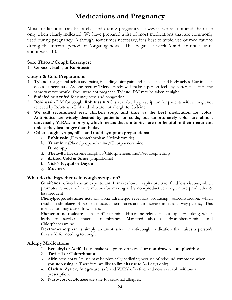## **Medications and Pregnancy**

Most medications can be safely used during pregnancy; however, we recommend their use only when clearly indicated. We have prepared a list of most medications that are commonly used during pregnancy. Although sometimes necessary, it is best to avoid use of medications during the interval period of "organogenesis." This begins at week 6 and continues until about week 10.

#### **Sore Throat/Cough Lozenges:**

#### 1. **Cepacol, Halls, or Robitussin**

#### **Cough & Cold Preparations**

- 1. **Tylenol** for general aches and pains, including joint pain and headaches and body aches. Use in such doses as necessary. As one regular Tylenol rarely will make a person feel any better, take it in the same way you would if you were not pregnant. **Tylenol PM** may be taken at night.
- 2. **Sudafed** or **Actifed** for runny nose and congestion
- 3. **Robitussin DM** for cough. **Robitussin AC** is available by prescription for patients with a cough not relieved by Robitussin DM and who are not allergic to Codeine.
- 4. **We still recommend rest, chicken soup, and time as the best medication for colds. Antibiotics are widely desired by patients for colds, but unfortunately colds are almost universally VIRAL in origin, which means that antibiotics are not helpful in their treatment, unless they last longer than 10 days.**

#### 5. **Other cough syrups, pills, and multi-symptom preparations:**

- a. **Robitussin** (Dextromethorphan Hydrobromide)
- b. **Triaminic** (Phenylpropanolamine/Chlorpheneramine)
- c. **Dimetapp**
- d. **Thera-flu** (Dextromethorphan/Chlorpheneramine/Pseudoephedrin)
- e. **Actifed Cold & Sinus** (Triprolidine)
- f. **Vick's Nyquil or Dayquil**
- g. **Mucinex**

#### **What do the ingredients in cough syrups do?**

**Guaifenesin**. Works as an expectorant. It makes lower respiratory tract fluid less viscous, which promotes removal of more mucous by making a dry non-productive cough more productive & less frequent

**Phenylpropanolamine** acts on alpha adrenergic receptors producing vasoconstriction, which results in shrinkage of swollen mucous membranes and an increase in nasal airway patency. This medication may cause drowsiness.

**Pheneramine maleate** is an "anti"-histamine. Histamine release causes capillary leaking, which leads to swollen mucous membranes. Marketed also as Brompheneramine and Chlorpheneramine.

**Dextromethorphan** is simply an anti-tussive or anti-cough medication that raises a person's threshold for needing to cough.

#### **Allergy Medications**

- 1. **Benadryl or Actifed** (can make you pretty drowsy…) **or non-drowsy sudaphedrine**
- 2. **Tavist-1 or Chlortrimaton**
- 3. **Afrin** nose spray (its use may be physically addicting because of rebound symptoms when you stop using it. Therefore, we like to limit its use to 3–4 days only)
- 4. **Claritin, Zyrtec, Allegra** are safe and VERY effective, and now available without a prescription.
- 5. **Naso-cort or Flonase** are safe for seasonal allergies.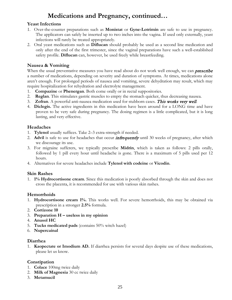## **Medications and Pregnancy, continued…**

#### **Yeast Infections**

- 1. Over-the-counter preparations such as **Monistat** or **Gyne-Lotrimin** are safe to use in pregnancy. The applicators can safely be inserted up to two inches into the vagina. If used only externally, yeast infections will rarely be treated appropriately.
- 2. Oral yeast medications such as **Diflucan** should probably be used as a second line medication and only after the end of the first trimester, since the vaginal preparations have such a well-established safety profile. **Diflucan** can, however, be used freely while breastfeeding.

#### **Nausea & Vomiting**

When the usual preventative measures you have read about do not work well enough, we can **prescribe** a number of medications, depending on severity and duration of symptoms. At times, medications alone aren't enough. For prolonged periods of nausea and vomiting, severe dehydration may result, which may require hospitalization for rehydration and electrolyte management.

- 1. **Compazine** or **Phenergan**. Both come orally or in rectal suppositories.
- 2. **Reglan**. This stimulates gastric muscles to empty the stomach quicker, thus decreasing nausea.
- 3. **Zofran**. A powerful anti-nausea medication used for stubborn cases. This works very well.
- 4. **Diclegis.** The active ingredients in this medication have been around for a LONG time and have proven to be very safe during pregnancy. The dosing regimen is a little complicated, but it is long lasting, and very effective.

#### **Headaches**

- 1. **Tylenol** usually suffices. Take 2–3 extra-strength if needed.
- 2. **Advil** is safe to use for headaches that occur *infrequently* until 30 weeks of pregnancy, after which we discourage its use.
- 3. For migraine sufferers, we typically prescribe **Midrin**, which is taken as follows: 2 pills orally, followed by 1 pill every hour until headache is gone. There is a maximum of 5 pills used per 12 hours.
- 4. Alternatives for severe headaches include **Tylenol with codeine** or **Vicodin**.

#### **Skin Rashes**

1. **1% Hydrocortisone cream**. Since this medication is poorly absorbed through the skin and does not cross the placenta, it is recommended for use with various skin rashes.

#### **Hemorrhoids**

- 1. **Hydrocortisone cream 1%.** This works well. For severe hemorrhoids, this may be obtained via prescription in a stronger **2.5%** formula.
- 2. **Cortizone 10**
- 3. **Preparation H – useless in my opinion**
- 4. **Anusol HC**
- 5. **Tucks medicated pads** (contains 50% witch hazel)
- 6. **Nupercainal**

#### **Diarrhea**

1. **Kaopectate or Imodium AD.** If diarrhea persists for several days despite use of these medications, please let us know.

#### **Constipation**

- 1. **Colace** 100mg twice daily
- 2. **Milk of Magnesia** 30 cc twice daily
- 3. **Metamucil**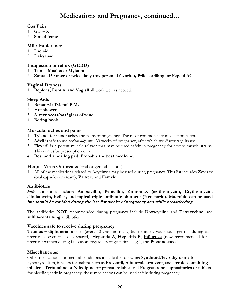## **Medications and Pregnancy, continued…**

#### **Gas Pain**

- 1. **Gas – X**
- 2. **Simethicone**

#### **Milk Intolerance**

- 1. **Lactaid**
- 2. **Dairyease**

#### **Indigestion or reflux (GERD)**

- 1. **Tums, Maalox or Mylanta**
- 2. **Zantac 150 once or twice daily (my personal favorite), Prilosec 40mg, or Pepcid AC**

#### **Vaginal Dryness**

1. **Replens, Lubrin, and Vagisil** all work well as needed.

#### **Sleep Aids**

- 1. **Benadryl/Tylenol P.M.**
- 2. **Hot shower**
- 3. **A** very occasional **glass of wine**
- 4. **Boring book**

#### **Muscular aches and pains**

- 1. **Tylenol** for minor aches and pains of pregnancy. The most common safe medication taken.
- 2. **Advil** is safe to use *periodically* until 30 weeks of pregnancy, after which we discourage its use.
- 3. **Flexeril** is a potent muscle relaxer that may be used safely in pregnancy for severe muscle strains. This comes by prescription only.
- 4. **Rest and a heating pad. Probably the best medicine.**

#### **Herpes Virus Outbreaks** (oral or genital lesions)

1. All of the medications related to **Acyclovir** may be used during pregnancy. This list includes **Zovirax**  (oral capsules or cream)**, Valtrex,** and **Famvir.**

#### **Antibiotics**

Safe antibiotics include: **Amoxicillin**, **Penicillin, Zithromax (azithromycin), Erythromycin, clindamycin, Keflex, and topical triple antibiotic ointment (Neosporin). Macrobid can be used**  but should be avoided during the last few weeks of pregnancy and while breastfeeding.

The antibiotics **NOT** recommended during pregnancy include **Doxycycline** and **Tetracycline**, and **sulfur-containing** antibiotics.

#### **Vaccines safe to receive during pregnancy**

**Tetanus – diphtheria** booster (every 10 years normally, but definitely you should get this during each pregnancy, even if closely spaced), **Hepatitis A**, **Hepatitis B**, **Influenza** (now recommended for all pregnant women during flu season, regardless of gestational age), and **Pneumococcal**.

#### **Miscellaneous:**

Other medications for medical conditions include the following: **Synthroid**/**levo-thyroxine** for hypothyroidism, inhalers for asthma such as **Proventil, Albuterol, atro-vent**, and **steroid-containing inhalers, Terbutaline or Nifedipine** for premature labor, and **Progesterone suppositories or tablets** for bleeding early in pregnancy; these medications can be used safely during pregnancy.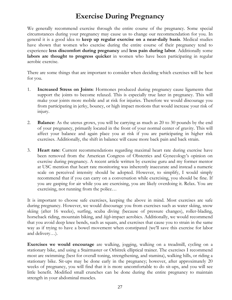# **Exercise During Pregnancy**

We generally recommend exercise through the entire course of the pregnancy. Some special circumstances during your pregnancy may cause us to change our recommendation for you. In general it is a good idea to **keep up regular exercise on a near-daily basis**. Medical studies have shown that women who exercise during the entire course of their pregnancy tend to experience **less discomfort during pregnancy** and **less pain during labor**. Additionally some **labors are thought to progress quicker** in women who have been participating in regular aerobic exercise.

There are some things that are important to consider when deciding which exercises will be best for you.

- 1. **Increased Stress on Joints**: Hormones produced during pregnancy cause ligaments that support the joints to become relaxed. This is especially true later in pregnancy. This will make your joints more mobile and at risk for injuries. Therefore we would discourage you from participating in jerky, bouncy, or high impact motions that would increase your risk of injury.
- 2. **Balance**: As the uterus grows, you will be carrying as much as 20 to 30 pounds by the end of your pregnancy, primarily located in the front of your normal center of gravity. This will affect your balance and again place you at risk if you are participating in higher risk exercises. Additionally, the shift in balance will cause more back pain and back strain.
- 3. **Heart rate**: Current recommendations regarding maximal heart rate during exercise have been removed from the American Congress of Obstetrics and Gynecology's opinion on exercise during pregnancy. A recent article written by exercise guru and my former mentor at USC mention that heart rate monitoring was inherently inaccurate and instead a numeric scale on perceived intensity should be adopted. However, to simplify, I would simply recommend that if you can carry on a conversation while exercising, you should be fine. If you are gasping for air while you are exercising, you are likely overdoing it. Relax. You are exercising, not running from the police…

It is important to choose safe exercises, keeping the above in mind. Most exercises are safe during pregnancy. However, we would discourage you from exercises such as water skiing, snow skiing (after 16 weeks), surfing, scuba diving (because of pressure changes), roller-blading, horseback riding, mountain biking, and *high*-impact aerobics. Additionally, we would recommend that you avoid deep knee bends, such as squats, and exercises that cause you to strain in the same way as if trying to have a bowel movement when constipated (we'll save this exercise for labor and delivery…).

**Exercises we would encourage** are walking, jogging, walking on a treadmill, cycling on a stationary bike, and using a Stairmaster or Orbitrek elliptical trainer. The exercises I recommend most are swimming (best for overall toning, strengthening, and stamina), walking hills, or riding a stationary bike. Sit-ups may be done early in the pregnancy; however, after approximately 20 weeks of pregnancy, you will find that it is more uncomfortable to do sit-ups, and you will see little benefit. Modified small crunches can be done during the entire pregnancy to maintain strength in your abdominal muscles.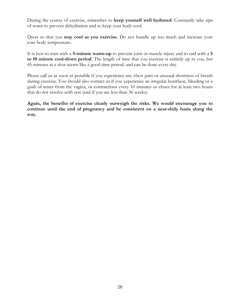During the course of exercise, remember to **keep yourself well hydrated**. Constantly take sips of water to prevent dehydration and to keep your body cool.

Dress so that you **stay cool as you exercise**. Do not bundle up too much and increase your core body temperature.

It is best to start with a **5-minute warm-up** to prevent joint or muscle injury and to end with a **5 to 10 minute cool-down period**. The length of time that you exercise is entirely up to you, but 45 minutes at a shot seems like a good time period, and can be done every day.

Please call us as soon as possible if you experience any chest pain or unusual shortness of breath during exercise. You should also contact us if you experience an irregular heartbeat, bleeding or a gush of water from the vagina, or contractions every 10 minutes or closer for at least two hours that do not resolve with rest (and if you are less than 36 weeks).

**Again, the benefits of exercise clearly outweigh the risks. We would encourage you to continue until the end of pregnancy and be consistent on a near-daily basis along the way.**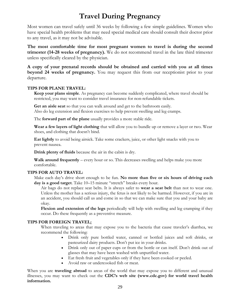# **Travel During Pregnancy**

Most women can travel safely until 36 weeks by following a few simple guidelines. Women who have special health problems that may need special medical care should consult their doctor prior to any travel, as it may not be advisable.

**The most comfortable time for most pregnant women to travel is during the second trimester (14-28 weeks of pregnancy).** We do not recommend travel in the late third trimester unless specifically cleared by the physician.

**A copy of your prenatal records should be obtained and carried with you at all times beyond 24 weeks of pregnancy.** You may request this from our receptionist prior to your departure.

#### **TIPS FOR PLANE TRAVEL:**

**Keep your plans simple**. As pregnancy can become suddenly complicated, where travel should be restricted, you may want to consider travel insurance for non-refundable tickets.

**Get an aisle seat** so that you can walk around and get to the bathroom easily. Also do leg extension and flexion exercises to help prevent swelling and leg cramps.

The **forward part of the plane** usually provides a more stable ride.

**Wear a few layers of light clothing** that will allow you to bundle up or remove a layer or two. Wear shoes, and clothing that doesn't bind.

**Eat lightly** to avoid being airsick. Take some crackers, juice, or other light snacks with you to prevent nausea.

**Drink plenty of fluids** because the air in the cabin is dry.

**Walk around frequently** – every hour or so. This decreases swelling and helps make you more comfortable.

#### **TIPS FOR AUTO TRAVEL:**

Make each day's drive short enough to be fun. **No more than five or six hours of driving each day is a good target**. Take 10–15 minute "stretch" breaks every hour.

Air bags do not replace seat belts. It is always safer to **wear a seat belt** than not to wear one. Unless the mother has a serious injury, the fetus is not likely to be harmed. However, if you are in an accident, you should call us and come in so that we can make sure that you and your baby are okay.

**Flexion and extension of the legs** periodically will help with swelling and leg cramping if they occur. Do these frequently as a preventive measure.

#### **TIPS FOR FOREIGN TRAVEL:**

When traveling to areas that may expose you to the bacteria that cause traveler's diarrhea, we recommend the following:

- Drink only pure bottled water, canned or bottled juices and soft drinks, or pasteurized dairy products. Don't put ice in your drinks.
- Drink only out of paper cups or from the bottle or can itself. Don't drink out of glasses that may have been washed with unpurified water.
- Eat fresh fruit and vegetables only if they have been cooked or peeled.
- Avoid raw or undercooked fish or meat.

When you are **traveling abroad** to areas of the world that may expose you to different and unusual illnesses, you may want to check out the **CDC's web site [\(www.cdc.gov\)](http://www.cdc.gov/) for world travel health information.**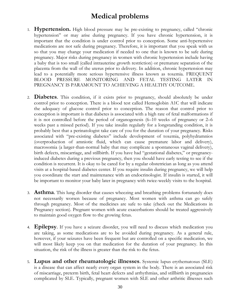# **Medical problems**

- 1. **Hypertension.** High blood pressure may be pre-existing to pregnancy, called "chronic hypertension" or may arise during pregnancy. If you have chronic hypertension, it is important that the condition is under control prior to conception. Some anti-hypertensive medications are not safe during pregnancy. Therefore, it is important that you speak with us so that you may change your medication if needed to one that is known to be safe during pregnancy. Major risks during pregnancy in women with chronic hypertension include having a baby that is too small (called intrauterine growth restriction) or premature separation of the placenta from the wall of the uterus prior to delivery. In addition, chronic hypertension may lead to a potentially more serious hypertensive illness known as toxemia. FREQUENT BLOOD PRESSURE MONITORING AND FETAL TESTING LATER IN PREGNANCY IS PARAMOUNT TO ACHIEVING A HEALTHY OUTCOME.
- 2. **Diabetes**. This condition, if it exists prior to pregnancy, should absolutely be under control prior to conception. There is a blood test called Hemoglobin A1C that will indicate the adequacy of glucose control prior to conception. The reason that control prior to conception is important is that diabetes is associated with a high rate of fetal malformations if it is not controlled before the period of organogenesis (6–10 weeks of pregnancy or 2–6 weeks past a missed period). If you take insulin regularly for a longstanding condition, it is probably best that a perinatologist take care of you for the duration of your pregnancy. Risks associated with "pre-existing diabetes" include development of toxemia, polyhydramnios (overproduction of amniotic fluid, which can cause premature labor and delivery), macrosomia (a larger-than-normal baby that may complicate a spontaneous vaginal delivery), birth defects, miscarriage, and stillbirth. If you have had "gestational diabetes," or pregnancyinduced diabetes during a previous pregnancy, then you should have early testing to see if the condition is recurrent. It is okay to be cared for by a regular obstetrician as long as you attend visits at a hospital-based diabetes center. If you require insulin during pregnancy, we will help you coordinate the start and maintenance with an endocrinologist. If insulin is started, it will be important to monitor your baby later in pregnancy with twice-weekly visits to the hospital.
- 3. **Asthma**. This lung disorder that causes wheezing and breathing problems fortunately does not necessarily worsen because of pregnancy. Most women with asthma can go safely through pregnancy. Most of the medicines are safe to take (check out the Medications in Pregnancy section). Pregnant women with acute exacerbations should be treated aggressively to maintain good oxygen flow to the growing fetus.
- 4. **Epilepsy**. If you have a seizure disorder, you will need to discuss which medication you are taking, as some medications are to be avoided during pregnancy. As a general rule, however, if your seizures have been frequent but are controlled on a specific medication, we will most likely keep you on that medication for the duration of your pregnancy. In this situation, the risk of the illness is greater than the risk to the fetus.
- 5. **Lupus and other rheumatologic illnesses**. Systemic lupus erythematosus (SLE) is a disease that can affect nearly every organ system in the body. There is an associated risk of miscarriage, preterm birth, fetal heart defects and arrhythmias, and stillbirth in pregnancies complicated by SLE. Typically, pregnant women with SLE and other arthritic illnesses such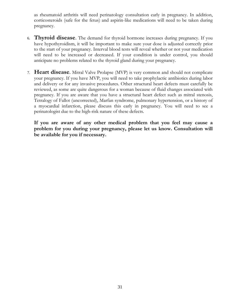as rheumatoid arthritis will need perinatology consultation early in pregnancy. In addition, corticosteroids (safe for the fetus) and aspirin-like medications will need to be taken during pregnancy.

- 6. **Thyroid disease**. The demand for thyroid hormone increases during pregnancy. If you have hypothyroidism, it will be important to make sure your dose is adjusted correctly prior to the start of your pregnancy. Interval blood tests will reveal whether or not your medication will need to be increased or decreased. If your condition is under control, you should anticipate no problems related to the thyroid gland during your pregnancy.
- 7. **Heart disease**. Mitral Valve Prolapse (MVP) is very common and should not complicate your pregnancy. If you have MVP, you will need to take prophylactic antibiotics during labor and delivery or for any invasive procedures. Other structural heart defects must carefully be reviewed, as some are quite dangerous for a woman because of fluid changes associated with pregnancy. If you are aware that you have a structural heart defect such as mitral stenosis, Tetralogy of Fallot (uncorrected), Marfan syndrome, pulmonary hypertension, or a history of a myocardial infarction, please discuss this early in pregnancy. You will need to see a perinatologist due to the high-risk nature of these defects.

**If you are aware of any other medical problem that you feel may cause a problem for you during your pregnancy, please let us know. Consultation will be available for you if necessary.**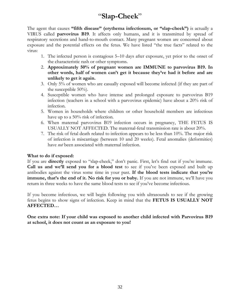# "**Slap-Cheek**"

The agent that causes **"fifth disease" (erythema infectiosum, or "slap-cheek")** is actually a VIRUS called **parvovirus B19**. It affects only humans, and it is transmitted by spread of respiratory secretions and hand-to-mouth contact. Many pregnant women are concerned about exposure and the potential effects on the fetus. We have listed "the true facts" related to the virus:

- 1. The infected person is contagious 5–10 days after exposure, yet prior to the onset of the characteristic rash or other symptoms.
- 2. **Approximately 50% of pregnant women are IMMUNE to parvovirus B19. In other words, half of women can't get it because they've had it before and are unlikely to get it again.**
- 3. Only 5% of women who are casually exposed will become infected (if they are part of the susceptible 50%).
- 4. Susceptible women who have intense and prolonged exposure to parvovirus B19 infection (teachers in a school with a parvovirus epidemic) have about a 20% risk of infection.
- 5. Women in households where children or other household members are infectious have up to a 50% risk of infection.
- 6. When maternal parvovirus B19 infection occurs in pregnancy, THE FETUS IS USUALLY NOT AFFECTED. The maternal-fetal transmission rate is about 20%.
- 7. The risk of fetal death related to infection appears to be less than 10%. The major risk of infection is miscarriage (between 10 and 20 weeks). Fetal anomalies (deformities) have *not* been associated with maternal infection.

#### **What to do if exposed:**

If you are **directly** exposed to "slap-cheek," don't panic. First, let's find out if you're immune. **Call us and we'll send you for a blood test** to see if you've been exposed and built up antibodies against the virus some time in your past. **If the blood tests indicate that you're immune, that's the end of it. No risk for you or baby.** If you are not immune, we'll have you return in three weeks to have the same blood tests to see if you've become infectious.

If you become infectious, we will begin following you with ultrasounds to see if the growing fetus begins to show signs of infection. Keep in mind that the **FETUS IS USUALLY NOT AFFECTED…**

**One extra note: If your child was exposed to another child infected with Parvovirus B19 at school, it does not count as an exposure to you!**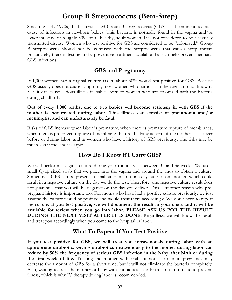## **Group B Streptococcus (Beta-Strep)**

Since the early 1970s, the bacteria called Group B streptococcus (GBS) has been identified as a cause of infections in newborn babies. This bacteria is normally found in the vagina and/or lower intestine of roughly 30% of all healthy, adult women. It is not considered to be a sexually transmitted disease. Women who test positive for GBS are considered to be "colonized." Group B streptococcus should not be confused with the streptococcus that causes strep throat. Fortunately, there is testing and a preventive treatment available that can help prevent neonatal GBS infections.

## **GBS and Pregnancy**

If 1,000 women had a vaginal culture taken, about 30% would test positive for GBS. Because GBS usually does not cause symptoms, most women who harbor it in the vagina do not know it. Yet, it can cause serious illness in babies born to women who are colonized with the bacteria during childbirth.

**Out of every 1,000 births, one to two babies will become seriously ill with GBS if the mother is** not **treated during labor. This illness can consist of pneumonia and/or meningitis, and can unfortunately be fatal.**

Risks of GBS increase when labor is premature, when there is premature rupture of membranes, when there is prolonged rupture of membranes before the baby is born, if the mother has a fever before or during labor, and in women who have a history of GBS previously. The risks may be much less if the labor is rapid.

## **How Do I Know if I Carry GBS?**

We will perform a vaginal culture during your routine visit between 35 and 36 weeks. We use a small Q-tip sized swab that we place into the vagina and around the anus to obtain a culture. Sometimes, GBS can be present in small amounts on one day but not on another, which could result in a negative culture on the day we do the test. Therefore, one negative culture result does not guarantee that you will be negative on the day you deliver. This is another reason why prepregnant history is important, too. For moms who have had a positive culture previously, we just assume the culture would be positive and would treat them accordingly. We don't need to repeat the culture**. If you test positive, we will document the result in your chart and it will be available for review when you go into labor. PLEASE ASK US FOR THE RESULT DURING THE NEXT VISIT AFTER IT IS DONE**. Regardless, we will know the result and treat you accordingly when you come to the hospital in labor.

## **What To Expect If You Test Positive**

**If you test positive for GBS, we will treat you intravenously during labor with an appropriate antibiotic. Giving antibiotics intravenously to the mother during labor can reduce by 50% the frequency of serious GBS infection in the baby after birth or during the first week of life.** Treating the mother with oral antibiotics earlier in pregnancy may decrease the amount of GBS for a short time, but it will not eliminate the bacteria completely. Also, waiting to treat the mother or baby with antibiotics after birth is often too late to prevent illness, which is why IV therapy during labor is recommended.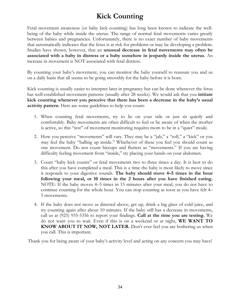# **Kick Counting**

Fetal movement awareness (or baby kick counting) has long been known to indicate the wellbeing of the baby while inside the uterus. The range of normal fetal movements varies greatly between babies and pregnancies. Unfortunately, there is no exact number of baby movements that automatically indicates that the fetus is at risk for problems or may be developing a problem. Studies have shown, however, that an **unusual decrease in fetal movements may often be associated with a baby in distress or a baby somehow in jeopardy inside the uterus**. An increase in movement is NOT associated with fetal distress.

By counting your baby's movement, you can monitor the baby yourself to reassure you and us on a daily basis that all seems to be going smoothly for the baby before it is born.

Kick counting is usually easier to interpret later in pregnancy but can be done whenever the fetus has well-established movement patterns (usually after 28 weeks). We would ask that you **initiate kick counting whenever you perceive that there has been a decrease in the baby's usual activity pattern**. Here are some guidelines to help you count:

- 1. When counting fetal movements, try to lie on your side or just sit quietly and comfortably. Baby movements are often difficult to feel or be aware of when the mother is active, so this "test" of movement monitoring requires mom to be in a "quiet" mode.
- 2. How you perceive "movements" will vary. They may be a "jab," a "roll," a "kick" or you may feel the baby "balling up inside." Whichever of these you feel you should count as one movement. Do not count hiccups and flutters as "movements." If you are having difficulty feeling movement from "inside," try placing your hands on your abdomen.
- 3. Count "baby kick counts" or fetal movements two to three times a day. It is best to do this after you have completed a meal. This is a time the baby is most likely to move since it responds to your digestive sounds. **The baby should move 4–5 times in the hour following your meal, or 10 times in the 2 hours after you have finished eating.** NOTE: If the baby moves 4–5 times in 15 minutes after your meal, you do not have to continue counting for the whole hour. You can stop counting as soon as you have felt 4– 5 movements.
- 4. If the baby does not move as directed above, get up, drink a big glass of cold juice, and try counting again after about 10 minutes. If the baby still has a decrease in movements, call us at (925) 935-5356 to report your findings. **Call at the time you are testing.** We do not want you to wait. Even if this is on a weekend or at night, **WE WANT TO KNOW ABOUT IT NOW, NOT LATER.** Don't ever feel you are bothering us when you call. This is important.

Thank you for being aware of your baby's activity level and acting on any concern you may have!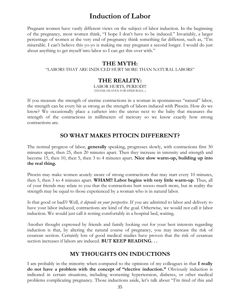## **Induction of Labor**

Pregnant women have vastly different views on the subject of labor induction. In the beginning of the pregnancy, most women think, "I hope I don't have to be induced." Invariably, a larger percentage of women at the very end of pregnancy think something far different, such as, "I'm miserable. I can't believe this yo-yo is making me stay pregnant a second longer. I would do just about anything to get myself into labor so I can get this over with."

### **THE MYTH:**

"LABORS THAT ARE INDUCED HURT MORE THAN NATURAL LABORS"

### **THE REALITY:**

LABOR HURTS, PERIOD!!! (THANK HEAVEN FOR EPIDURALS...)

If you measure the strength of uterine contractions in a woman in spontaneous "natural" labor, the strength can be every bit as strong as the strength of labors induced with Pitocin. How do we know? We occasionally place a catheter into the uterus next to the baby that measures the strength of the contractions in millimeters of mercury so we know exactly how strong contractions are.

## **SO WHAT MAKES PITOCIN DIFFERENT?**

The normal progress of labor, **generally** speaking, progresses slowly, with contractions first 30 minutes apart, then 25, then 20 minutes apart. Then they increase in intensity and strength and become 15, then 10, then 5, then 3 to 4 minutes apart. **Nice slow warm-up, building up into the real thing.** 

Pitocin may make women acutely aware of strong contractions that may start every 10 minutes, then 5, then 3 to 4 minutes apart. **WHAM!! Labor begins with very little warm-up**. Thus, all of your friends may relate to you that the contractions hurt soooo much more, but in reality the strength may be equal to those experienced by a woman who is in natural labor.

Is that good or bad?? Well, *it depends on your perspective*. If you are admitted to labor and delivery to have your labor induced, contractions are kind of the goal. Otherwise, we would not call it labor induction. We would just call it resting comfortably in a hospital bed, waiting.

Another thought expressed by friends and family looking out for your best interests regarding induction is that, by altering the natural course of pregnancy, you may increase the risk of cesarean section. Certainly lots of good medical studies have proven that the risk of cesarean section increases if labors are induced. **BUT KEEP READING. . .**

## **MY THOUGHTS ON INDUCTIONS**

I am probably in the minority when compared to the opinions of my colleagues in that **I really do not have a problem with the concept of "elective induction."** Obviously induction is indicated in certain situations, including worsening hypertension, diabetes, or other medical problems complicating pregnancy. Those inductions aside, let's talk about "I'm tired of this and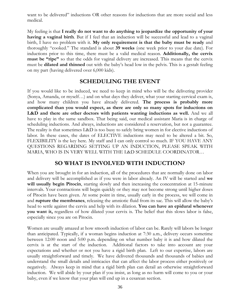want to be delivered" inductions OR other reasons for inductions that are more social and less medical.

My feeling is that **I really do not want to do anything to jeopardize the opportunity of your having a vaginal birth**. But if I feel that an induction will be successful and lead to a vaginal birth, I have no problem with it. **My only requirement is that the baby must be ready** and thoroughly "cooked." The standard is about **39 weeks** (one week prior to your due date). For inductions prior to this time, there must be a valid medical reason. **Additionally, the cervix must be "ripe"** so that the odds for vaginal delivery are increased. This means that the cervix must be **dilated and thinned** out with the baby's head low in the pelvis. This is a gestalt feeling on my part (having delivered over 6,000 kids).

### **SCHEDULING THE EVENT**

If you would like to be induced, we need to keep in mind who will be the delivering provider (Sonya, Amanda, or myself…) and on what days they deliver, what your starting cervical exam is, and how many children you have already delivered. **The process is probably more complicated than you would expect, as there are only so many spots for inductions on L&D and there are other doctors with patients wanting inductions as well.** And we all have to play in the same sandbox. That being said, our medical assistant Maria is in charge of scheduling inductions. And always, inductions are considered a reservation, but not a guarantee. The reality is that sometimes L&D is too busy to safely bring women in for elective inductions of labor. In these cases, the dates of ELECTIVE inductions may need to be altered a bit. So, FLEXIBILITY is the key here. My staff and I can only control so much. IF YOU HAVE ANY QUESTIONS REGARDING SETTING UP AN INDUCTION, PLEASE SPEAK WITH MARIA, WHO IS IN VERY WELL WITH THE L&D SCHEDULE COORDINATOR…

## **SO WHAT IS INVOLVED WITH INDUCTION?**

When you are brought in for an induction, all of the procedures that are normally done on labor and delivery will be accomplished as if you were in labor already. An IV will be started and **we**  will usually begin Pitocin, starting slowly and then increasing the concentration at 15-minute intervals. Your contractions will begin quickly or they may not become strong until higher doses of Pitocin have been given. At some point in time, usually early in the process, we will come in and **rupture the membranes**, releasing the amniotic fluid from its sac. This will allow the baby's head to settle against the cervix and help with its dilation. **You can have an epidural whenever you want it,** regardless of how dilated your cervix is. The belief that this slows labor is false, especially since you are on Pitocin.

Women are usually amazed at how smooth induction of labor can be. Rarely will labors be longer than anticipated. Typically, if a woman begins induction at 7:30 a.m., delivery occurs sometime between 12:00 noon and 5:00 p.m. depending on what number baby it is and how dilated the cervix is at the start of the induction. Additional factors to take into account are your expectations and whether or not you have a rigid birth plan. Left to our expertise, labors are usually straightforward and timely. We have delivered thousands and thousands of babies and understand the small details and intricacies that can affect the labor process either positively or negatively. Always keep in mind that a rigid birth plan can derail an otherwise straightforward induction. We will abide by your plan if you insist, as long as no harm will come to you or your baby, even if we know that your plan will end up in a cesarean section.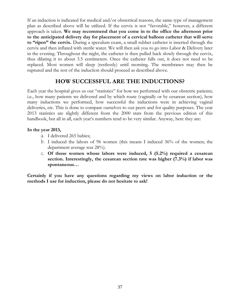If an induction is indicated for medical and/or obstetrical reasons, the same type of management plan as described above will be utilized. If the cervix is not "favorable," however, a different approach is taken. **We may recommend that you come in to the office the afternoon prior to the anticipated delivery day for placement of a cervical balloon catheter that will serve to "ripen" the cervix.** During a speculum exam, a small rubber catheter is inserted through the cervix and then inflated with sterile water. We will then ask you to go into Labor & Delivery later in the evening. Throughout the night, the catheter is then pulled back slowly through the cervix, thus dilating it to about 3.5 centimeters. Once the catheter falls out, it does not need to be replaced. Most women will sleep (restlessly) until morning. The membranes may then be ruptured and the rest of the induction should proceed as described above.

## **HOW SUCCESSFUL ARE THE INDUCTIONS?**

Each year the hospital gives us our "statistics" for how we performed with our obstetric patients; i.e., how many patients we delivered and by which route (vaginally or by cesarean section), how many inductions we performed, how successful the inductions were in achieving vaginal deliveries, etc. This is done to compare ourselves to our peers and for quality purposes. The year 2013 statistics are slightly different from the 2000 stats from the previous edition of this handbook, but all in all, each year's numbers tend to be very similar. Anyway, here they are:

#### **In the year 2013,**

- a. I delivered 265 babies;
- b. I induced the labors of 96 women (this means I induced 36% of the women; the department average was 28%).
- c. **Of those women whose labors were induced, 5 (5.2%) required a cesarean section. Interestingly, the cesarean section rate was higher (7.3%) if labor was spontaneous…**

**Certainly if you have any questions regarding my views on labor induction or the methods I use for induction, please do not hesitate to ask!**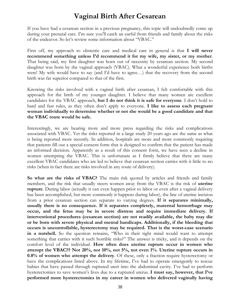# **Vaginal Birth After Cesarean**

If you have had a cesarean section in a previous pregnancy, this topic will undoubtedly come up during your prenatal care. I'm sure you'll catch an earful from friends and family about the risks of the endeavor. So let's review some information about "VBAC."

First off, my approach to obstetric care and medical care in general is that **I will never recommend something unless I'd recommend it for my wife, my sister, or my mother**. That being said, my first daughter was born out of necessity by cesarean section. My second daughter was born by the vaginal approach (VBAC). What a wonderful experience both births were! My wife would have to say (and I'd have to agree…) that the recovery from the second birth was far superior compared to that of the first.

Knowing the risks involved with a vaginal birth after cesarean, I felt comfortable with this approach for the birth of my younger daughter. I believe that many women are excellent candidates for the VBAC approach, **but I do not think it is safe for everyone**. I don't hold to hard and fast rules, as they often don't apply to everyone. **I like to assess each pregnant woman individually to determine whether or not she would be a good candidate and that the VBAC route would be safe.**

Interestingly, we are hearing more and more press regarding the risks and complications associated with VBAC. Yet the risks reported in a large study 20 years ago are the same as what is being reported more recently. In addition, hospitals are more and more commonly requiring that patients fill out a special consent form that is designed to confirm that the patient has made an informed decision. Apparently as a result of this consent form, we have seen a decline in women attempting the VBAC. This is unfortunate as I firmly believe that there are many excellent VBAC candidates who are led to believe that cesarean section carries with it little to no risks (when in fact there are risks involved in any route of delivery).

**So what are the risks of VBAC?** The main risk quoted by articles and friends and family members, and the risk that usually steers women away from the VBAC is the risk of **uterine rupture**. During labor (actually it can even happen prior to labor or even after a vaginal delivery has been accomplished, but more commonly it happens during labor), the line of uterine incision from a prior cesarean section can separate to varying degrees. **If it separates minimally, usually there is no consequence. If it separates completely, maternal hemorrhage may occur, and the fetus may be in severe distress and require immediate delivery. If interventional procedures (cesarean section) are not readily available, the baby may die or be born with severe physical and mental handicaps. Additionally, if the bleeding that occurs is uncontrollable, hysterectomy may be required. That is the worst-case scenario in a nutshell.** So the question remains, "Who in their right mind would want to attempt something that carries with it such horrible risks?" The answer is tricky, and it depends on the comfort level of the individual. **How often does uterine rupture occur in women who attempt the VBAC?? Not 20%, not 10%, not 5%, not even 1%. Uterine rupture occurs in 0.8% of women who attempt the delivery**. Of these, only a fraction require hysterectomy or have the complications listed above. In my lifetime, I've had to operate emergently to rescue babies that have passed through ruptured uteri into the abdominal cavity. I've had to perform hysterectomies to save women's lives due to a ruptured uterus. **I must say, however, that I've performed more hysterectomies in my career in women who delivered vaginally having**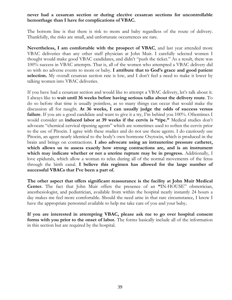#### **never had a cesarean section or during elective cesarean sections for uncontrollable hemorrhage than I have for complications of VBAC.**

The bottom line is that there is risk to mom and baby regardless of the route of delivery. Thankfully, the risks are small, and unfortunate occurrences are rare.

**Nevertheless, I am comfortable with the prospect of VBAC**, and last year attended more VBAC deliveries than any other staff physician at John Muir. I carefully selected women I thought would make good VBAC candidates, and didn't "push the ticket." As a result, there was 100% success in VBAC attempts. That is, all of the women who attempted a VBAC delivery did so with no adverse events to mom or baby. **I attribute that to God's grace and good patient selection.** My overall cesarean section rate is low, and I don't feel a need to make it lower by talking women into VBAC deliveries.

If you have had a cesarean section and would like to attempt a VBAC delivery, let's talk about it. I always like to **wait until 36 weeks before having serious talks about the delivery route**. To do so before that time is usually pointless, as so many things can occur that would make the discussion all for naught. **At 36 weeks, I can usually judge the odds of success versus failure**. If you are a good candidate and want to give it a try, I'm behind you 100%. Oftentimes I would consider an **induced labor at 39 weeks if the cervix is "ripe."** Medical studies don't advocate "chemical cervical ripening agents" which are sometimes used to soften the cervix prior to the use of Pitocin. I agree with these studies and do not use these agents. I do cautiously use Pitocin, an agent nearly identical to the body's own hormone Oxytocin, which is produced in the brain and brings on contractions. **I also advocate using an intrauterine pressure catheter, which allows us to assess exactly how strong contractions are, and is an instrument which may indicate whether or not a uterine rupture may be in progress.** Additionally, I love epidurals, which allow a woman to relax during all of the normal movements of the fetus through the birth canal. **I believe this regimen has allowed for the large number of successful VBACs that I've been a part of.** 

**The other aspect that offers significant reassurance is the facility at John Muir Medical Center.** The fact that John Muir offers the presence of an **"**IN-HOUSE" obstetrician, anesthesiologist, and pediatrician, available from within the hospital nearly instantly 24 hours a day makes me feel more comfortable. Should the need arise in that rare circumstance, I know I have the appropriate personnel available to help me take care of you and your baby**.**

**If you are interested in attempting VBAC, please ask me to go over hospital consent forms with you prior to the onset of labor.** The forms basically include all of the information in this section but are required by the hospital.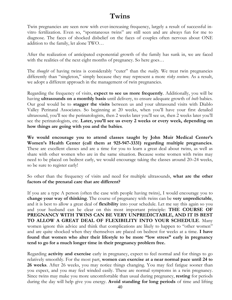## **Twins**

Twin pregnancies are seen now with ever-increasing frequency, largely a result of successful invitro fertilization. Even so, "spontaneous twins" are still seen and are always fun for me to diagnose. The faces of shocked disbelief on the faces of couples often nervous about ONE addition to the family, let alone TWO…

After the realization of anticipated exponential growth of the family has sunk in, we are faced with the realities of the next eight months of pregnancy. So here goes…

The *thought* of having twins is considerably "cuter" than the *reality*. We treat twin pregnancies differently than "singleton," simply because they may represent a more *risky venture*. As a result, we adopt a different approach in the management of twin pregnancies.

Regarding the frequency of visits, **expect to see us more frequently**. Additionally, you will be having **ultrasounds on a monthly basis** until delivery, to ensure adequate growth of *both* babies. Our goal would be to **stagger the visits** between us and your ultrasound visits with Diablo Valley Perinatal Associates. So beginning at 20 weeks, when you'll have your first detailed ultrasound, you'll see the perinatologists, then 2 weeks later you'll see us, then 2 weeks later you'll see the perinatologists, etc. **Later, you'll see us every 2 weeks or every week, depending on how things are going with you and the babies**.

**We would encourage you to attend classes taught by John Muir Medical Center's Women's Health Center (call them at 925-947-3331) regarding multiple pregnancies**. These are excellent classes and are a time for you to learn a great deal about twins, as well as share with other women who are in the same situation. Because some women with twins may need to be placed on bedrest early, we would encourage taking the classes around 20–24 weeks, so be sure to register early!

So other than the frequency of visits and need for multiple ultrasounds, **what are the other factors of the prenatal care that are different?**

If you are a type A person (often the case with people having twins), I would encourage you to **change your way of thinking**. The course of pregnancy with twins can be **very unpredictable**, and it is best to allow a great deal of **flexibility** into your schedule. Let me say this again so you and your husband can be clear on this most important principle: **THE COURSE OF PREGNANCY WITH TWINS CAN BE VERY UNPREDICTABLE, AND IT IS BEST TO ALLOW A GREAT DEAL OF FLEXIBILITY INTO YOUR SCHEDULE**. Many women ignore this advice and think that complications are likely to happen to "other women" and are quite shocked when they themselves are placed on bedrest for weeks at a time. **I have found that women who alter their lifestyle to be more "low stress" early in pregnancy tend to go for a much longer time in their pregnancy problem free.**

Regarding **activity and exercise** early in pregnancy, expect to feel normal and for things to go relatively smoothly. For the most part, **women can exercise at a near normal pace until 24 to 26 weeks**. After 26 weeks, you may notice things changing. You may feel fatigue sooner than you expect, and you may feel winded easily. These are normal symptoms in a twin pregnancy. Since twins may make you more uncomfortable than usual during pregnancy, **resting** for periods during the day will help give you energy. **Avoid standing for long periods** of time and lifting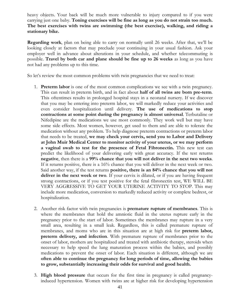heavy objects. Your back will be much more vulnerable to injury compared to if you were carrying just one baby. **Toning exercises will be fine as long as you do not strain too much. The best exercises with twins are swimming (the best exercise), walking, and riding a stationary bike.**

**Regarding work**, plan on being able to carry on normally until 26 weeks. After that, we'll be looking closely at factors that may preclude your continuing in your usual fashion. Ask your employer well in advance about alterations in your schedule, and whether telecommuting is possible. **Travel by both car and plane should be fine up to 26 weeks** as long as you have not had any problems up to this time.

So let's review the most common problems with twin pregnancies that we need to treat:

- 1. **Preterm labor** is one of the most common complications we see with a twin pregnancy. This can result in preterm birth, and in fact about **half of all twins are born pre-term**. This oftentimes results in prolonged hospital stays in a neonatal nursery. If we discover that you may be entering into preterm labor, we will markedly reduce your activities and even consider hospitalization until delivery. **The use of medications to stop contractions at some point during the pregnancy is almost universal**. Terbutaline or Nifedipine are the medications we use most commonly. They work well but may have some side effects. Most women, however, get used to them and are able to tolerate the medication without any problem. To help diagnose preterm contractions or preterm labor that needs to be treated, **we may check your cervix, send you to Labor and Delivery at John Muir Medical Center to monitor activity of your uterus, or we may perform a vaginal swab to test for the presence of Fetal Fibronectin.** This new test can predict the likelihood of your delivering early with great accuracy. If the test returns **negative**, then there is a **99% chance that you will not deliver in the next two weeks**. If it returns positive, there is a 16% chance that you will deliver in the next week or two. Said another way, if the test returns **positive, there is an 84% chance that you will not deliver in the next week or two**. If your cervix is dilated, or if you are having frequent strong contractions, or if you test positive for the fetal fibronectin test, WE WILL BE VERY AGGRESSIVE TO GET YOUR UTERINE ACTIVITY TO STOP. This may include more medication, conversion to markedly reduced activity or complete bedrest, or hospitalization.
- 2. Another risk factor with twin pregnancies is **premature rupture of membranes**. This is where the membranes that hold the amniotic fluid in the uterus rupture early in the pregnancy prior to the start of labor. Sometimes the membranes may rupture in a very small area, resulting in a small leak. Regardless, this is called premature rupture of membranes, and moms who are in this situation are at high risk for **preterm labor, preterm delivery, and infection**. With premature rupture of membranes prior to the onset of labor, mothers are hospitalized and treated with antibiotic therapy, steroids when necessary to help speed the lung maturation process within the babies, and possibly medications to prevent the onset of labor. Each situation is different, although we are **often able to continue the pregnancy for long periods of time, allowing the babies to grow, substantially increasing their odds for survival and good health.**
- 3. **High blood pressure** that occurs for the first time in pregnancy is called pregnancyinduced hypertension. Women with twins are at higher risk for developing hypertension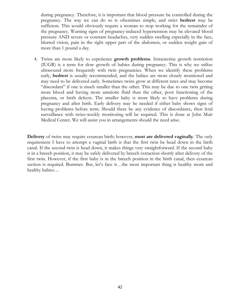during pregnancy. Therefore, it is important that blood pressure be controlled during the pregnancy. The way we can do so is oftentimes simple, and strict **bedrest** may be sufficient. This would obviously require a woman to stop working for the remainder of the pregnancy. Warning signs of pregnancy-induced hypertension may be elevated blood pressure AND severe or constant headaches, very sudden swelling especially in the face, blurred vision, pain in the right upper part of the abdomen, or sudden weight gain of more than 1 pound a day.

4. Twins are more likely to experience **growth problems**. Intrauterine growth restriction (IUGR) is a term for slow growth of babies during pregnancy. This is why we utilize ultrasound more frequently with twin pregnancies. When we identify these problems early, **bedrest** is usually recommended, and the babies are more closely monitored and may need to be delivered early. Sometimes twins grow at different rates and may become "discordant" if one is much smaller than the other. This may be due to one twin getting more blood and having more amniotic fluid than the other, poor functioning of the placenta, or birth defects. The smaller baby is more likely to have problems during pregnancy and after birth. Early delivery may be needed if either baby shows signs of having problems before term. Should there be any evidence of discordance, then fetal surveillance with twice-weekly monitoring will be required. This is done at John Muir Medical Center. We will assist you in arrangements should the need arise.

**Delivery** of twins may require cesarean birth; however, **most are delivered vaginally**. The only requirement I have to attempt a vaginal birth is that the first twin be head down in the birth canal. If the second twin is head down, it makes things very straightforward. If the second baby is in a breech position, it may be safely delivered by breech extraction shortly after delivery of the first twin. However, if the first baby is in the breech position in the birth canal, then cesarean section is required. Bummer. But, let's face it…the most important thing is healthy mom and healthy babies…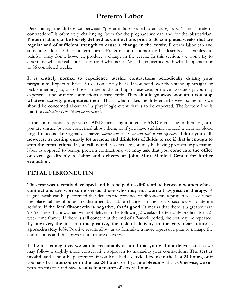# **Preterm Labor**

Determining the difference between "preterm (also called premature) labor" and "preterm contractions" is often very challenging, both for the pregnant woman and for the obstetrician. **Preterm labor can be loosely defined as contractions prior to 36 completed weeks that are regular and of sufficient strength to cause a change in the cervix**. Preterm labor can and sometimes does lead to preterm birth. Preterm contractions may be described as painless to painful. They don't, however, produce a change in the cervix. In this section, we won't try to determine what is real labor at term and what is not. We'll be concerned with what happens prior to 36 completed weeks.

**It is entirely normal to experience uterine contractions periodically during your pregnancy.** Expect to have 15 to 20 on a daily basis. If you bend over then stand up straight, or pick something up, or roll over in bed and stand up, or exercise, or move too quickly, you may experience one or more contractions subsequently. **They should go away soon after you stop whatever activity precipitated them**. That is what makes the difference between something we should be concerned about and a physiologic event that is to be expected. The bottom line is that the *contractions should not be persistent*.

If the contractions are persistent **AND** increasing in intensity **AND** increasing in duration, or if you are unsure but are concerned about them, or if you have suddenly noticed a clear or blood tinged mucous-like vaginal discharge, *please call us so we can sort it out together*. **Before you call, however, try resting quietly for an hour and drink lots of fluids to see if that is enough to stop the contractions**. If you call us and it seems like you may be having preterm or premature labor as opposed to benign preterm contractions, **we may ask that you come into the office or even go directly to labor and delivery at John Muir Medical Center for further evaluation.**

## **FETAL FIBRONECTIN**

**This test was recently developed and has helped us differentiate between women whose contractions are worrisome versus those who may not warrant aggressive therapy**. A vaginal swab can be performed that detects the presence of fibronectin, a protein released when the placental membranes are disturbed by subtle changes in the cervix secondary to uterine activity. **If the fetal fibronectin is negative, that's good.** It means that there is a greater than 95% chance that a woman will not deliver in the following 2 weeks (the test only predicts for a 2 week time frame). If there is still concern at the end of a 2-week period, the test may be repeated. **If, however, the test returns positive, the risk of delivery in the very near future is approximately 16%.** Positive results allow us to formulate a more aggressive plan to manage the contractions and thus prevent premature delivery.

**If the test is negative, we can be reasonably assured that you will not deliver**, and so we may follow a slightly more conservative approach to managing your contractions. **The test is invalid**, and cannot be performed, if you have had a **cervical exam in the last 24 hours**, or if you have had **intercourse in the last 24 hours**, or if you are **bleeding** at all. Otherwise, we can perform this test and have **results in a matter of several hours.**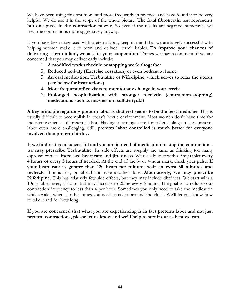We have been using this test more and more frequently in practice, and have found it to be very helpful. We do use it in the scope of the whole picture. **The fetal fibronectin test represents but one piece in the contraction puzzle**. So even if the results are negative, sometimes we treat the contractions more aggressively anyway.

If you have been diagnosed with preterm labor, keep in mind that we are largely successful with helping women make it to term and deliver "term" babies. **To improve your chances of delivering a term infant, we ask for your cooperation**. Things we may recommend if we are concerned that you may deliver early include:

- 1. **A modified work schedule or stopping work altogether**
- 2. **Reduced activity (Exercise cessation) or even bedrest at home**
- 3. **An oral medication, Terbutaline or Nifedipine, which serves to relax the uterus (see below for instructions)**
- 4. **More frequent office visits to monitor any change in your cervix**
- 5. **Prolonged hospitalization with stronger tocolytic (contraction-stopping) medications such as magnesium sulfate (yuk!)**

**A key principle regarding preterm labor is that rest seems to be the best medicine**. This is usually difficult to accomplish in today's hectic environment. Most women don't have time for the inconvenience of preterm labor. Having to arrange care for older siblings makes preterm labor even more challenging. Still, **preterm labor controlled is much better for everyone involved than preterm birth…**

**If we find rest is unsuccessful and you are in need of medication to stop the contractions, we may prescribe Terbutaline**. Its side effects are roughly the same as drinking too many espresso coffees: **increased heart rate and jitteriness**. We usually start with a 5mg tablet **every 4 hours or every 3 hours if needed.** At the end of the 3- or 4-hour mark, check your pulse. **If your heart rate is greater than 120 beats per minute, wait an extra 30 minutes and recheck**. If it is less, go ahead and take another dose. **Alternatively, we may prescribe Nifedipine**. This has relatively few side effects, but they may include dizziness. We start with a 10mg tablet every 6 hours but may increase to 20mg every 6 hours. The goal is to reduce your contraction frequency to less than 4 per hour. Sometimes you only need to take the medication while awake, whereas other times you need to take it around the clock. We'll let you know how to take it and for how long.

**If you are concerned that what you are experiencing is in fact preterm labor and not just preterm contractions, please let us know and we'll help to sort it out as best we can.**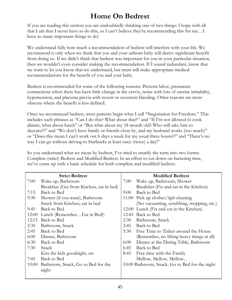# **Home On Bedrest**

If you are reading this section you are undoubtedly thinking one of two things: I hope with all that I am that I never have to do this, or I can't believe they're recommending this for me…I have so many important things to do!

We understand fully how much a recommendation of bedrest will interfere with your life. We recommend it only when we think that you and your unborn baby will derive significant benefit from doing so. If we didn't think that bedrest was important for you in your particular situation, then we wouldn't even consider making the recommendation. If I sound redundant, know that we want to let you know that we understand, but must still make appropriate medical recommendations for the benefit of you and your baby.

Bedrest is recommended for some of the following reasons: Preterm labor, premature contractions when there has been little change in the cervix, twins with lots of uterine irritability, hypertension, and placenta previa with recent or recurrent bleeding. Other reasons are more obscure where the benefit is less defined.

Once we recommend bedrest, most patients begin what I call "Negotiation for Freedom." This includes such phrases as "Can I do this? What about that?" and "If I'm not allowed to cook dinner, what about lunch" or "But what about my 18 month old? Who will take him to daycare??" and "We don't have family or friends close by, and my husband works (too much)" or "Does this mean I can't work out 6 days a week for my usual three hours??" and "There's no way I can go without driving to Starbucks at least once (twice) a day!"

So you understand what we mean by bedrest, I've tried to stratify the term into two forms: Complete (strict) Bedrest and Modified Bedrest. In an effort to cut down on bartering time, we've come up with a basic schedule for both complete and modified bedrest.

| <b>Strict Bedrest</b> |                                          |            | <b>Modified Bedrest</b>                        |  |  |
|-----------------------|------------------------------------------|------------|------------------------------------------------|--|--|
| 7:00                  | Wake up, Bathroom                        | 7:00       | Wake up, Bathroom, Shower                      |  |  |
|                       | Breakfast (Get from Kitchen, eat in bed) |            | Breakfast (Fix and eat in the Kitchen)         |  |  |
| 7:15                  | Back to Bed                              | $9:00^{-}$ | Back to Bed                                    |  |  |
| 9:30                  | Shower (if you want), Bathroom           | 11:00      | Pick up clothes/ <i>light</i> cleaning         |  |  |
|                       | Snack from Kitchen, eat in bed           |            | (No vacuuming, scrubbing, mopping, etc.)       |  |  |
| 9:45                  | Back to Bed                              | 12:00      | Lunch (Fix and eat in the Kitchen)             |  |  |
| 12:00                 | Lunch (RememberEat in Bed!)              | 12:45      | Back to Bed                                    |  |  |
| 12:15                 | Back to Bed                              | 2:30       | Bathroom, Snack                                |  |  |
| 2:30                  | Bathroom, Snack                          | 2:45       | Back to Bed                                    |  |  |
| 2:45                  | Back to Bed                              | 5:30       | Free Time to Tinker around the House           |  |  |
| 6:00                  | Dinner, Bathroom                         |            | (Remember, no lifting heavy things at all)     |  |  |
| 6:30                  | Back to Bed                              | 6:00       | Dinner at the Dining Table, Bathroom           |  |  |
| 7:30                  | Snack                                    | 6:45       | Back to Bed                                    |  |  |
|                       | Kiss the kids goodnight, etc             | 8:45       | Free time with the Family                      |  |  |
| 7:45                  | Back to Bed                              |            | Mellow, Mellow, Mellow                         |  |  |
| 10:00                 | Bathroom, Snack, Go to Bed for the       |            | 10:00 Bathroom, Snack, Go to Bed for the night |  |  |
|                       | night                                    |            |                                                |  |  |
|                       |                                          |            |                                                |  |  |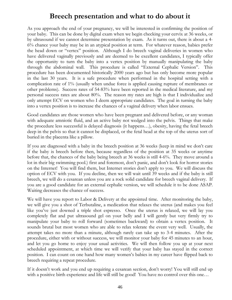## **Breech presentation and what to do about it**

As you approach the end of your pregnancy, we will be interested in confirming the position of your baby. This can be done by digital exam when we begin checking your cervix at 36 weeks, or by ultrasound if we cannot determine presentation by exam. As it turns out, there is about a 4- 6% chance your baby may be in an atypical position at term. For whatever reason, babies prefer the head down or "vertex" position. Although I do breech vaginal deliveries in women who have delivered vaginally previously and are deemed to be excellent candidates, I typically offer the opportunity to turn the baby into a vertex position by manually manipulating the baby through the abdominal wall. This procedure is called "External Cephalic Version". This procedure has been documented historically 2000 years ago but has only become more popular in the last 30 years. It is a safe procedure when performed in the hospital setting with a complication rate of 1% (usually when undue force is applied causing rupture of membranes or other problems). Success rates of 54-83% have been reported in the medical literature, and my personal success rates are about 80%. The reason my rates are high is that I individualize and only attempt ECV on women who I deem appropriate candidates. The goal in turning the baby into a vertex position is to increase the chances of a vaginal delivery when labor ensues.

Good candidates are those women who have been pregnant and delivered before, or any woman with adequate amniotic fluid, and an active baby not wedged into the pelvis. Things that make the procedure less successful is delayed diagnosis (it happens…), obesity, having the fetal breech deep in the pelvis so that it cannot be displaced, or the fetal head at the top of the uterus sort of buried in the placenta like a pillow.

If you are diagnosed with a baby in the breech position at 36 weeks (keep in mind we don't care if the baby is breech before then, because regardless of the position at 35 weeks or anytime before that, the chances of the baby being breech at 36 weeks is still 4-6%. They move around a lot in their big swimming pool.) first and foremost, don't panic, and don't look for horror stories on the Internet! You will find them, but Internet stories don't apply to you. We will discuss the option of ECV with you. If you decline, then we will wait until 39 weeks and if the baby is still breech, we will do a cesarean unless you are a rock solid candidate for breech vaginal delivery. If you are a good candidate for an external cephalic version, we will schedule it to be done ASAP. Waiting decreases the chance of success.

We will have you report to Labor & Delivery at the appointed time. After monitoring the baby, we will give you a shot of Terbutaline, a medication that relaxes the uterus (and makes you feel like you've just downed a triple shot espresso. Once the uterus is relaxed, we will lay you completely flat and put ultrasound gel on your belly and I will gently but very firmly try to manipulate your baby to roll forward (sometimes backward) to obtain a vertex position. It sounds brutal but most women who are able to relax tolerate the event very well. Usually, the attempt takes no more than a minute, although rarely can take up to 3-4 minutes. After the procedure, either with or without success, we will monitor your baby for 45 minutes to an hour, and let you go home to enjoy your usual activities. We will then follow you up at your next scheduled appointment, at which time we will verify that your baby has stayed in the correct position. I can count on one hand how many women's babies in my career have flipped back to breech requiring a repeat procedure.

If it doesn't work and you end up requiring a cesarean section, don't worry! You will still end up with a positive birth experience and life will still be good! You have no control over this one...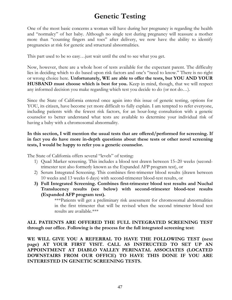# **Genetic Testing**

One of the most basic concerns a woman will have during her pregnancy is regarding the health and "normalcy" of her baby. Although no single test during pregnancy will reassure a mother more than "counting fingers and toes" after delivery, we now have the ability to identify pregnancies at risk for genetic and structural abnormalities.

This part used to be so easy…just wait until the end to see what you get.

Now, however, there are a whole host of tests available for the expectant parent. The difficulty lies in deciding which to do based upon risk factors and one's "need to know." There is no right or wrong choice here. **Unfortunately, WE are able to offer the tests, but YOU AND YOUR HUSBAND must choose which is best for you.** Keep in mind, though, that we will respect any informed decision you make regarding which test you decide to do (or not do…).

Since the State of California entered once again into this issue of genetic testing, options for YOU, its citizen, have become yet more difficult to fully explain. I am tempted to refer everyone, including patients with the fewest risk factors, for an hour-long consultation with a genetic counselor to better understand what tests are available to determine your individual risk of having a baby with a chromosomal abnormality.

### **In this section, I will mention the usual tests that are offered/performed for screening. If in fact you do have more in-depth questions about these tests or other novel screening tests, I would be happy to refer you a genetic counselor.**

The State of California offers several "levels" of testing:

- 1) Quad Marker screening. This includes a blood test drawn between 15–20 weeks (secondtrimester test also formerly known as the Expanded AFP program test), or
- 2) Serum Integrated Screening. This combines first-trimester blood results (drawn between 10 weeks and 13 weeks 6 days) with second-trimester blood-test results, or
- **3) Full Integrated Screening. Combines first-trimester blood test results and Nuchal Translucency results (see below) with second-trimester blood-test results (Expanded AFP program test).**

\*\*\*Patients will get a preliminary risk assessment for chromosomal abnormalities in the first trimester that will be revised when the second trimester blood test results are available.\*\*\*

### **ALL PATIENTS ARE OFFERED THE FULL INTEGRATED SCREENING TEST through our office. Following is the process for the full integrated screening test:**

**WE WILL GIVE YOU A REFERRAL TO HAVE THE FOLLOWING TEST (next page) AT YOUR FIRST VISIT. CALL AS INSTRUCTED TO SET UP AN APPOINTMENT AT DIABLO VALLEY PERINATAL ASSOCIATES (LOCATED DOWNSTAIRS FROM OUR OFFICE) TO HAVE THIS DONE IF YOU ARE INTERESTED IN GENETIC SCREENING TESTS.**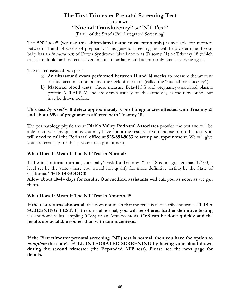## **The First Trimester Prenatal Screening Test**

also known as

### **"Nuchal Translucency"** or **"NT Test"**

(Part 1 of the State's Full Integrated Screening)

The **"NT test" (we use this abbreviated name most commonly)** is available for mothers between 11 and 14 weeks of pregnancy. This genetic screening test will help determine if your baby has an *increased risk* of Down Syndrome (also known as Trisomy 21) or Trisomy 18 (which causes multiple birth defects, severe mental retardation and is uniformly fatal at varying ages).

The test consists of two parts:

- a) **An ultrasound exam performed between 11 and 14 weeks** to measure the amount of fluid accumulation behind the neck of the fetus (called the "nuchal translucency").
- b) **Maternal blood tests**. These measure Beta-HCG and pregnancy-associated plasma protein-A (PAPP-A) and are drawn usually on the same day as the ultrasound, but may be drawn before.

### **This test** by itself **will detect approximately 75% of pregnancies affected with Trisomy 21 and about 69% of pregnancies affected with Trisomy 18.**

The perinatology physicians at **Diablo Valley Perinatal Associates** provide the test and will be able to answer any questions you may have about the results. If you choose to do this test, **you will need to call the Perinatal office at 925-891-9033 to set up an appointment.** We will give you a referral slip for this at your first appointment.

### **What Does It Mean If The NT Test Is Normal?**

**If the test returns normal**, your baby's risk for Trisomy 21 or 18 is not greater than 1/100, a level set by the state where you would not qualify for more definitive testing by the State of California. **THIS IS GOOD!!!**

**Allow about 10–14 days for results. Our medical assistants will call you as soon as we get them.**

#### **What Does It Mean If The NT Test Is Abnormal?**

**If the test returns abnormal**, this does not mean that the fetus is necessarily abnormal. **IT IS A SCREENING TEST**. If it returns abnormal, **you will be offered further definitive testing**  via chorionic villus sampling (CVS) or an Amniocentesis. **CVS can be done quickly and the results are available sooner than with amniocentesis.**

**If the First trimester prenatal screening (NT) test is normal, then you have the option to**  complete **the state's FULL INTEGRATED SCREENING by having your blood drawn during the second trimester (the Expanded AFP test). Please see the next page for details.**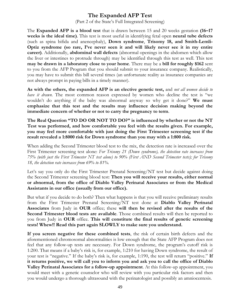## **The Expanded AFP Test**

(Part 2 of the State's Full Integrated Screening)

The **Expanded AFP is a blood test** that is drawn between 15 and 20 weeks gestation **(16–17 weeks is the ideal time)**. This test is most useful in identifying fetal open **neural tube defects** (such as spina bifida and anencephaly), **Down syndrome**, **Trisomy 18, and Smith-Lemli-Optiz syndrome (so rare, I've never seen it and will likely never see it in my entire career)**. Additionally, **abdominal wall defects** (abnormal openings in the abdomen which allow the liver or intestines to protrude through) may be identified through this test as well. This test **may be drawn in a laboratory close to your home**. There may be a **bill for roughly \$162** sent to you from the AFP Program that you should submit to your insurance company. Realistically, you may have to submit this bill several times (an unfortunate reality as insurance companies are not always prompt in paying bills in a timely manner).

**As with the others, the expanded AFP is an elective genetic test,** and *not all women decide to have it drawn*. The most common reason expressed by women who decline the test is "we wouldn't do anything if the baby was abnormal anyway so why get it done?" **We must emphasize that this test and the results may influence decision making beyond the immediate concern of whether or not to carry the pregnancy to term**.

**The Real Question "TO DO OR NOT TO DO?" is influenced by whether or not the NT Test was performed, and how comfortable you feel with the results given. For example, you may feel more comfortable with just doing the First Trimester screening test if the result revealed a 1:8000 risk for Down syndrome than you may with a 1:800 risk.** 

When adding the Second Trimester blood test to the mix, the detection rate is increased over the First Trimester screening test alone: *For Trisomy 21 (Down syndrome), the detection rate increases from 75% (with just the First Trimester NT test alone) to 90% (First AND Second Trimester tests); for Trisomy 18, the detection rate increases from 69% to 81%.*

Let's say you only do the First Trimester Prenatal Screening/NT test but decide against doing the Second Trimester screening blood test: **Then you will receive your results, either normal or abnormal, from the office of Diablo Valley Perinatal Associates or from the Medical Assistants in our office (usually from our office).**

But what if you decide to do both? Then what happens is that you will receive preliminary results from the First Trimester Prenatal Screening/NT test done at **Diablo Valley Perinatal Associates** from Judy in **OUR** office; these **will then be revised after the results of the Second Trimester blood tests are available**. Those combined results will then be reported to you from Judy in **OUR** office. **This will constitute the final results of genetic screening tests! Whew!! Read this part again SLOWLY to make sure you understand.** 

**If you screen negative for these combined tests**, the risk of certain birth defects and the aforementioned chromosomal abnormalities is low enough that the State AFP Program does not feel that any follow-up tests are necessary. For Down syndrome, the program's cutoff risk is 1:200. That means if a baby's risk is, for example, 1:210 for having Down syndrome, the result of your test is "negative." If the baby's risk is, for example, 1:190, the test will return "positive." **If it returns positive, we will call you to inform you and ask you to call the office of Diablo Valley Perinatal Associates for a follow-up appointment**. At this follow-up appointment, you would meet with a genetic counselor who will review with you particular risk factors and then you would undergo a thorough ultrasound with the perinatologist and possibly an amniocentesis.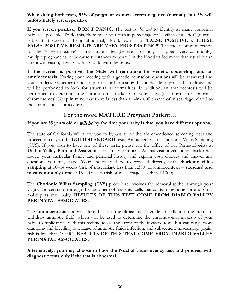**When doing both tests, 95% of pregnant women screen negative (normal), but 5% will unfortunately screen positive.** 

**If you screen positive, DON'T PANIC**. The test is *designed* to identify as many abnormal babies as possible. To do this, there must be a certain percentage of "civilian casualties" (normal babies that screen as being abnormal, also known as a "**FALSE POSITIVE**"). **THESE FALSE POSITIVE RESULTS ARE VERY FRUSTRATING!!!** The most common reason for the "screen positive" is inaccurate dates (believe it or not, it happens very commonly), multiple pregnancies, or because substances measured in the blood varied more than usual for an unknown reason, having nothing to do with the fetus**.**

**If the screen is positive, the State will reimburse for genetic counseling and an amniocentesis.** During your meeting with a genetic counselor, questions will be answered and you can decide whether or not to pursue further testing. If you decide to proceed, an ultrasound will be performed to look for structural abnormalities. In addition, an amniocentesis will be performed to determine the chromosomal makeup of your baby (i.e., normal or abnormal chromosomes). Keep in mind that there is less than a 1-in-1000 chance of miscarriage related to the amniocentesis procedure.

### **For the more MATURE Pregnant Patient…**

#### **If you are 35 years old or** will be **by the time your baby is due, you have different options**.

The state of California will allow you to bypass all of the aforementioned screening tests and proceed directly to the **GOLD STANDARD** tests, Amniocentesis or Chorionic Villus Sampling (CVS). If you wish to have one of these tests, please call the office of our Perinatologists at **Diablo Valley Perinatal Associates** for an appointment. At this visit, a genetic counselor will review your particular family and personal history and explain your choices and answer any questions you may have. Your choices will be to proceed directly with **chorionic villus sampling** at 10–14 weeks (risk of miscarriage less than 1:350) or amniocentesis – **standard and most commonly done** at 15–20 weeks (risk of miscarriage less than 1:1000).

The **Chorionic Villus Sampling (CVS)** procedure involves the removal (either through your vagina and cervix or through the abdomen) of placental cells that contain the same chromosomal makeup as your baby. **RESULTS OF THIS TEST COME FROM DIABLO VALLEY PERINATAL ASSOCIATES.**

The **amniocentesis** is a procedure that uses the ultrasound to guide a needle into the uterus to withdraw amniotic fluid, which will be used to determine the chromosomal makeup of your baby. Complications with this technique are the rarest of the invasive tests, but can range from cramping and bleeding to leakage of amniotic fluid, infection, and subsequent miscarriage (again, risk is less than 1:1000). **RESULTS OF THIS TEST COME FROM DIABLO VALLEY PERINATAL ASSOCIATES.**

**Alternatively, you may choose to have the Nuchal Translucency test and proceed with diagnostic tests only if the test is abnormal**.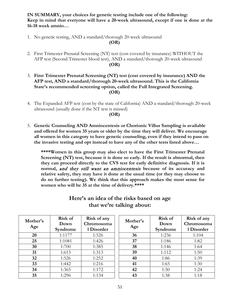**IN SUMMARY, your choices for genetic testing include one of the following: Keep in mind that everyone will have a 20-week ultrasound, except if one is done at the 16-18 week amnio…**

1. No genetic testing, AND a standard/thorough 20-week ultrasound

#### **(OR)**

- 2. First Trimester Prenatal Screening (NT) test (cost covered by insurance) WITHOUT the AFP test (Second Trimester blood test), AND a standard/thorough 20-week ultrasound **(OR)**
- 3. **First Trimester Prenatal Screening (NT) test (cost covered by insurance) AND the AFP test, AND a standard/thorough 20-week ultrasound. This is the California State's recommended screening option, called the Full Integrated Screening. (OR)**
- 4. The Expanded AFP test (cost by the state of California) AND a standard/thorough 20-week ultrasound (usually done if the NT test is missed)

#### **(OR)**

5. **Genetic Counseling AND Amniocentesis or Chorionic Villus Sampling is available and offered for women 35 years or older by the time they will deliver. We encourage all women in this category to have genetic counseling, even if they intend to pass on the invasive testing and opt instead to have any of the other tests listed above…**

**\*\*\*\*Women in this group may also elect to have the First Trimester Prenatal Screening (NT) test, because it is done so early. If the result is abnormal, then they can proceed directly to the CVS test for early definitive diagnosis. If it is normal,** and they still want an amniocentesis **because of its accuracy and relative safety, they may have it done at the usual time (or they may choose to do no further testing). We think that this approach makes the most sense for women who will be 35 at the time of delivery.\*\*\*\***

| Mother's<br>Age | Risk of<br>Down<br>Syndrome | Risk of any<br>Chromosoma<br>1 Disorder |    | Risk of<br>Down<br>Syndrome | Risk of any<br>Chromosoma<br>1 Disorder |
|-----------------|-----------------------------|-----------------------------------------|----|-----------------------------|-----------------------------------------|
| 20              | 1:1177                      | 1:526                                   | 36 | 1:236                       | 1:104                                   |
| 25              | 1:1081                      | 1:426                                   | 37 | 1:186                       | 1:82                                    |
| 30              | 1:700                       | 1:385                                   | 38 | 1:146                       | 1:64                                    |
| 31              | 1:613                       | 1:313                                   | 39 | 1:112                       | 1:50                                    |
| 32              | 1:526                       | 1:252                                   | 40 | 1:86                        | 1:39                                    |
| 33              | 1:442                       | 1:216                                   | 41 | 1:65                        | 1:30                                    |
| 34              | 1:365                       | 1:172                                   | 42 | 1:50                        | 1:24                                    |
| 35              | 1:296                       | 1:134                                   | 43 | 1:38                        | 1:18                                    |

## **Here's an idea of the risks based on age that we're talking about:**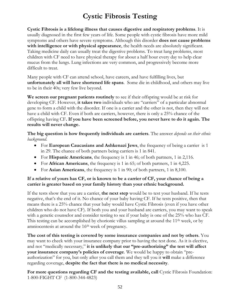# **Cystic Fibrosis Testing**

**Cystic Fibrosis is a lifelong illness that causes digestive and respiratory problems**. It is usually diagnosed in the first few years of life. Some people with cystic fibrosis have more mild symptoms and others have severe symptoms. Although this disorder **does not cause problems with intelligence or with physical appearance**, the health needs are absolutely significant. Taking medicine daily can usually treat the digestive problems. To treat lung problems, most children with CF need to have physical therapy for about a half hour every day to help clear mucus from the lungs. Lung infections are very common, and progressively become more difficult to treat.

Many people with CF can attend school, have careers, and have fulfilling lives, but **unfortunately all will have shortened life spans**. Some die in childhood, and others may live to be in their 40s; very few live beyond.

**We screen our pregnant patients routinely** to see if their offspring would be at risk for developing CF. However, **it takes two** individuals who are "carriers" of a particular abnormal gene to form a child with the disorder. If one is a carrier and the other is not, then they will not have a child with CF. Even if both are carriers, however, there is only a 25% chance of the offspring having CF**. If you have been screened before, you never have to do it again. The results will never change.**

**The big question is how frequently individuals are carriers**. The answer *depends on their ethnic background*.

- For **European Caucasians and Ashkenazi Jews**, the frequency of being a carrier is 1 in 29. The chance of both partners being carriers is 1 in 841.
- For **Hispanic Americans**, the frequency is 1 in 46; of both partners, 1 in 2,116.
- For **African Americans**, the frequency is 1 in 65; of both partners, 1 in 4,225.
- For **Asian Americans**, the frequency is 1 in 90; of both partners, 1 in 8,100.

### **If a relative of yours has CF, or is known to be a carrier of CF, your chance of being a carrier is greater based on your family history than your ethnic background.**

If the tests show that you are a carrier, **the next step** would be to test your husband. If he tests negative, that's the end of it. No chance of your baby having CF. If he tests positive, then that means there is a 25% chance that your baby would have Cystic Fibrosis (even if you have other children who do not have CF). If both you and your husband are carriers, you may want to speak with a genetic counselor and consider testing to see if your baby is one of the 25% who has CF. This testing can be accomplished by chorionic villus sampling at around the 11th week, or by amniocentesis at around the 16<sup>th</sup> week of pregnancy.

**The cost of this testing is covered by some insurance companies and not by others**. You may want to check with your insurance company prior to having the test done. As it is elective, and not "medically necessary," **it is unlikely that our "pre-authorizing" the test will affect your insurance company's policies of coverage**. We would be happy to obtain "preauthorization" for you, but only after you call them and they tell you it **will** make a difference regarding coverage, **despite the fact that there is no medical necessity**.

For more questions regarding CF and the testing available, call Cystic Fibrosis Foundation: 1-800-FIGHT CF (1-800-344-4823)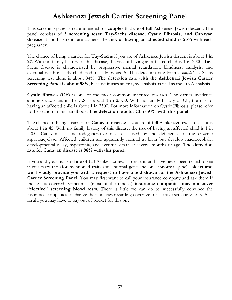# **Ashkenazi Jewish Carrier Screening Panel**

This screening panel is recommended for **couples** that are of **full** Ashkenazi Jewish descent. The panel consists of **3 screening tests: Tay-Sachs disease, Cystic Fibrosis, and Canavan disease**. If both parents are carriers, the **risk of having an affected child is 25%** with each pregnancy.

The chance of being a carrier for **Tay-Sachs** if you are of Ashkenazi Jewish descent is about **1 in 27**. With no family history of this disease, the risk of having an affected child is 1 in 2900. Tay-Sachs disease is characterized by progressive mental retardation, blindness, paralysis, and eventual death in early childhood, usually by age 5. The detection rate from a *simple* Tay-Sachs screening test alone is about 94%. **The detection rate with the Ashkenazi Jewish Carrier Screening Panel is about 98%**, because it uses an enzyme analysis as well as the DNA analysis.

**Cystic fibrosis (CF)** is one of the most common inherited diseases. The carrier incidence among Caucasians in the U.S. is about **1 in 25-30**. With no family history of CF, the risk of having an affected child is about 1 in 2500. For more information on Cystic Fibrosis, please refer to the section in this handbook. **The detection rate for CF is 97% with this panel**.

The chance of being a carrier for **Canavan disease** if you are of full Ashkenazi Jewish descent is about **1 in 45**. With no family history of this disease, the risk of having an affected child is 1 in 5200. Canavan is a neurodegenerative disease caused by the deficiency of the enzyme aspartoacyclase. Affected children are apparently normal at birth but develop macrocephaly, developmental delay, hypertonia, and eventual death at several months of age. **The detection rate for Canavan disease is 98% with this panel.**

If you and your husband are of full Ashkenazi Jewish descent, and have never been tested to see if you carry the aforementioned traits (one normal gene and one abnormal gene) **ask us and we'll gladly provide you with a request to have blood drawn for the Ashkenazi Jewish Carrier Screening Panel**. You may first want to call your insurance company and ask them if the test is covered. Sometimes (most of the time…) **insurance companies may not cover "elective" screening blood tests**. There is little we can do to successfully convince the insurance companies to change their policies regarding coverage for elective screening tests. As a result, you may have to pay out of pocket for this one.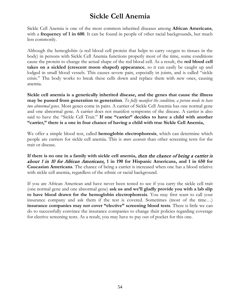# **Sickle Cell Anemia**

Sickle Cell Anemia is one of the most common inherited diseases among **African Americans**, with a **frequency of 1 in 600**. It can be found in people of other racial backgrounds, but much less commonly.

Although the hemoglobin (a red blood cell protein that helps to carry oxygen to tissues in the body) in persons with Sickle Cell Anemia functions properly most of the time, some conditions cause the protein to change the actual shape of the red blood cell. As a result, the **red blood cell takes on a sickled (crescent moon shaped) appearance**, so it can easily be caught up and lodged in small blood vessels. This causes severe pain, especially in joints, and is called "sickle crisis." The body works to break these cells down and replace them with new ones, causing anemia.

**Sickle cell anemia is a genetically inherited disease, and the genes that cause the illness may be passed from generation to generation**. *To fully manifest the condition, a person needs to have two abnormal genes.* Most genes come in pairs. A carrier of Sickle Cell Anemia has one normal gene and one abnormal gene. A carrier does not manifest symptoms of the disease. A carrier is also said to have the "Sickle Cell Trait." **If one "carrier" decides to have a child with another "carrier," there is a one in four chance of having a child with true Sickle Cell Anemia.**

We offer a simple blood test, called **hemoglobin electrophoresis**, which can determine which people are carriers for sickle cell anemia. This is *more accurate* than other screening tests for the trait or disease.

**If there is no one in a family with sickle cell anemia,** then the chance of being a carrier is about 1 in 10 for African Americans, **1 in 190 for Hispanic Americans, and 1 in 650 for Caucasian Americans**. The chance of being a carrier is increased when one has a blood relative with sickle cell anemia, regardless of the ethnic or racial background.

If you are African American and have never been tested to see if you carry the sickle cell trait (one normal gene and one abnormal gene) **ask us and we'll gladly provide you with a lab slip to have blood drawn for the hemoglobin electrophoresis**. You may first want to call your insurance company and ask them if the test is covered. Sometimes (most of the time…) **insurance companies may not cover "elective" screening blood tests**. There is little we can do to successfully convince the insurance companies to change their policies regarding coverage for elective screening tests. As a result, you may have to pay out of pocket for this one.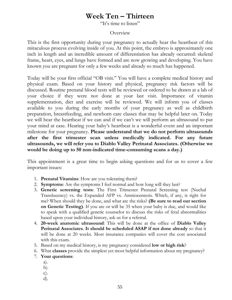# **Week Ten – Thirteen**

"It's time to listen"

### Overview

This is the first opportunity during your pregnancy to actually hear the heartbeat of this miraculous process evolving inside of you. At this point, the embryo is approximately one inch in length and an incredible amount of differentiation has already occurred: skeletal frame, heart, eyes, and lungs have formed and are now growing and developing. You have known you are pregnant for only a few weeks and already so much has happened.

Today will be your first official "OB visit." You will have a complete medical history and physical exam. Based on your history and physical, pregnancy risk factors will be discussed. Routine prenatal blood tests will be reviewed or ordered to be drawn at a lab of your choice if they were not done at your last visit. Importance of vitamin supplementation, diet and exercise will be reviewed. We will inform you of classes available to you during the early months of your pregnancy as well as childbirth preparation, breastfeeding, and newborn care classes that may be helpful later on. Today we will hear the heartbeat if we can and if we can't we will perform an ultrasound to put your mind at ease. Hearing your baby's heartbeat is a wonderful event and an important milestone for your pregnancy. **Please understand that we do not perform ultrasounds after the first trimester scan unless medically indicated. For any future ultrasounds, we will refer you to Diablo Valley Perinatal Associates. (Otherwise we would be doing up to 50 non-indicated time-consuming scans a day.)**

This appointment is a great time to begin asking questions and for us to cover a few important issues:

- 1. **Prenatal Vitamins**: How are you tolerating them?
- 2. **Symptoms**: Are the symptoms I feel normal and how long will they last?
- 3. **Genetic screening tests**: The First Trimester Prenatal Screening test (Nuchal Translucency) vs. the Expanded AFP vs. Amniocentesis. Which, if any, is right for me? When should they be done, and what are the risks? **(Be sure to read our section on Genetic Testing)**. If you are or will be 35 when your baby is due, and would like to speak with a qualified genetic counselor to discuss the risks of fetal abnormalities based upon your individual history, ask us for a referral.
- 4. **20-week anatomic ultrasound**: This will be done at the office of **Diablo Valley Perinatal Associates**. **It should be scheduled ASAP if not done already** so that it will be done at 20 weeks. Most insurance companies will cover the cost associated with this exam.
- 5. Based on my medical history, is my pregnancy considered **low or high risk**?
- 6. What **classes** provide the simplest yet most helpful information about my pregnancy?
- 7. **Your questions**:
	- a).
	- b).
	- c).
	- d).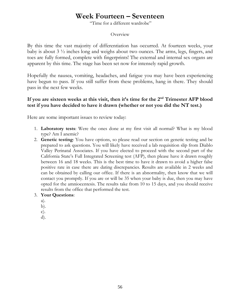# **Week Fourteen – Seventeen**

"Time for a different wardrobe"

#### Overview

By this time the vast majority of differentiation has occurred. At fourteen weeks, your baby is about 3 ½ inches long and weighs about two ounces. The arms, legs, fingers, and toes are fully formed, complete with fingerprints! The external and internal sex organs are apparent by this time. The stage has been set now for intensely rapid growth.

Hopefully the nausea, vomiting, headaches, and fatigue you may have been experiencing have begun to pass. If you still suffer from these problems, hang in there. They should pass in the next few weeks.

### **If you are sixteen weeks at this visit, then it's time for the 2nd Trimester AFP blood test if you have decided to have it drawn (whether or not you did the NT test.)**

Here are some important issues to review today:

- 1. **Laboratory tests**: Were the ones done at my first visit all normal? What is my blood type? Am I anemic?
- 2. **Genetic testing**: You have options, so please read our section on genetic testing and be prepared to ask questions. You will likely have received a lab requisition slip from Diablo Valley Perinatal Associates. If you have elected to proceed with the second part of the California State's Full Integrated Screening test (AFP), then please have it drawn roughly between 16 and 18 weeks. This is the best time to have it drawn to avoid a higher false positive rate in case there are dating discrepancies. Results are available in 2 weeks and can be obtained by calling our office. If there is an abnormality, then know that we will contact you promptly. If you are or will be 35 when your baby is due, then you may have opted for the amniocentesis. The results take from 10 to 15 days, and you should receive results from the office that performed the test.

#### 3. **Your Questions**:

- a).
- b).
- c).
- d).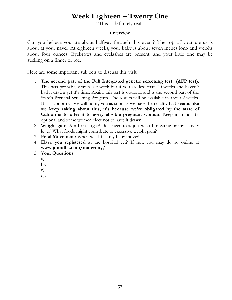# **Week Eighteen – Twenty One**

"This is definitely real"

### Overview

Can you believe you are about halfway through this event? The top of your uterus is about at your navel. At eighteen weeks, your baby is about seven inches long and weighs about four ounces. Eyebrows and eyelashes are present, and your little one may be sucking on a finger or toe.

- 1. **The second part of the Full Integrated genetic screening test (AFP test)**: This was probably drawn last week but if you are less than 20 weeks and haven't had it drawn yet it's time. Again, this test is optional and is the second part of the State's Prenatal Screening Program. The results will be available in about 2 weeks. If it is abnormal, we will notify you as soon as we have the results. **If it seems like we keep asking about this, it's because we're obligated by the state of California to offer it to every eligible pregnant woman**. Keep in mind, it's optional and some women elect not to have it drawn.
- 2. **Weight gain**: Am I on target? Do I need to adjust what I'm eating or my activity level? What foods might contribute to excessive weight gain?
- 3. **Fetal Movement**: When will I feel my baby move?
- 4. **Have you registered** at the hospital yet? If not, you may do so online at **www.jmmdhs.com/maternity/**
- 5. **Your Questions**:
	- a).
	- b).
	- c).
	- d).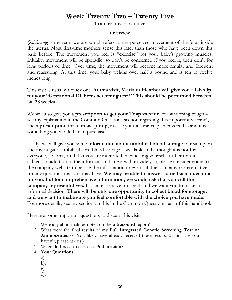# **Week Twenty Two – Twenty Five**

"I can feel my baby move"

### Overview

*Quickening* is the term we use which refers to the perceived movement of the fetus inside the uterus. Most first-time mothers sense this later than those who have been down this path before. The movement you feel is "exercise" for your baby's growing muscles. Initially, movement will be sporadic, so don't be concerned if you feel it, then don't for long periods of time. Over time, the movement will become more regular and frequent and reassuring. At this time, your baby weighs over half a pound and is ten to twelve inches long.

### This visit is usually a quick one. **At this visit, Maria or Heather will give you a lab slip for your "Gestational Diabetes screening test." This should be performed between 26–28 weeks.**

We will also give you a **prescription to get your Tdap vaccine** (for whooping cough – see my explanation in the Common Questions section regarding this important vaccine), and a **prescription for a breast pump**, in case your insurance plan covers this and it is something you would like to purchase.

Lastly, we will give you some **information about umbilical blood storage** to read up on and investigate. Umbilical cord blood storage is available and although it is not for everyone, you may find that you are interested in educating yourself further on the subject. In addition to the information that we will provide you, please consider going to the company website to peruse the information or even call the company representative for any questions that you may have. **We may be able to answer some basic questions for you, but for comprehensive information, we would ask that you call the company representatives.** It is an expensive prospect, and we want you to make an informed decision. **There will be only one opportunity to collect blood for storage, and we want to make sure you feel comfortable with the choice you have made.**  For more details, see my section on this in the Common Questions part of this handbook!

- 1. Were any abnormalities noted on the **ultrasound** report?
- 2. What were the final results of my **Full Integrated Genetic Screening Test or Amniocentesis**? (You likely have already received these results, but in case you haven't, please ask us.)
- 3. When do I need to choose a **Pediatrician**?
- 4. **Your Questions**:
	- a).
	- b).
	- c).
	- d).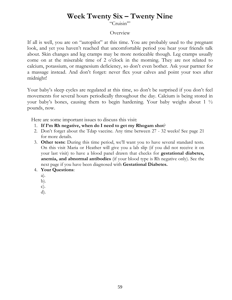# **Week Twenty Six – Twenty Nine**

"Cruisin'"

#### Overview

If all is well, you are on "autopilot" at this time. You are probably used to the pregnant look, and yet you haven't reached that uncomfortable period you hear your friends talk about. Skin changes and leg cramps may be more noticeable though. Leg cramps usually come on at the miserable time of 2 o'clock in the morning. They are not related to calcium, potassium, or magnesium deficiency, so don't even bother. Ask your partner for a massage instead. And don't forget: never flex your calves and point your toes after midnight!

Your baby's sleep cycles are regulated at this time, so don't be surprised if you don't feel movements for several hours periodically throughout the day. Calcium is being stored in your baby's bones, causing them to begin hardening. Your baby weighs about 1 ½ pounds, now.

- 1. **If I'm Rh negative, when do I need to get my Rhogam shot**?
- 2. Don't forget about the Tdap vaccine. Any time between 27 32 weeks! See page 21 for more details.
- 3. **Other tests:** During this time period, we'll want you to have several standard tests. On this visit Maria or Heather will give you a lab slip (if you did not receive it on your last visit) to have a blood panel drawn that checks for **gestational diabetes, anemia, and abnormal antibodies** (if your blood type is Rh negative only). See the next page if you have been diagnosed with **Gestational Diabetes.**
- 4. **Your Questions**:
	- a).
	- b).
	- c).
	- d).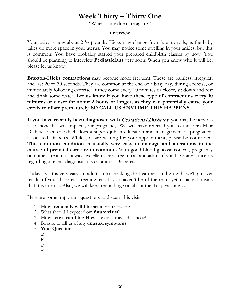# **Week Thirty – Thirty One**

"When is my due date again?"

#### Overview

Your baby is now about 2 <sup>1</sup>/<sub>2</sub> pounds. Kicks may change from jabs to rolls, as the baby takes up more space in your uterus. You may notice some swelling in your ankles, but this is common. You have probably started your prepared childbirth classes by now. You should be planning to interview **Pediatricians** very soon. When you know who it will be, please let us know.

**Braxton-Hicks contractions** may become more frequent. These are painless, irregular, and last 20 to 30 seconds. They are common at the end of a busy day, during exercise, or immediately following exercise. If they come every 10 minutes or closer, sit down and rest and drink some water. **Let us know if you have these type of contractions every 10 minutes or closer for about 2 hours or longer, as they can potentially cause your cervix to dilate prematurely**. **SO CALL US ANYTIME THIS HAPPENS…** 

**If you have recently been diagnosed with** *Gestational Diabetes*, you may be nervous as to how this will impact your pregnancy. We will have referred you to the John Muir Diabetes Center, which does a superb job in education and management of pregnancyassociated Diabetes. While you are waiting for your appointment, please be comforted. **This common condition is usually very easy to manage and alterations in the course of prenatal care are uncommon.** With good blood glucose control, pregnancy outcomes are almost always excellent. Feel free to call and ask us if you have any concerns regarding a recent diagnosis of Gestational Diabetes.

Today's visit is very easy. In addition to checking the heartbeat and growth, we'll go over results of your diabetes screening test. If you haven't heard the result yet, usually it means that it is normal. Also, we will keep reminding you about the Tdap vaccine…

- 1. **How frequently will I be seen** from now on?
- 2. What should I expect from **future visits**?
- 3. **How active can I be**? How late can I travel distances?
- 4. Be sure to tell us of any **unusual symptoms**.
- 5. **Your Questions**:
	- a).
	- b).
	- c).
	- d).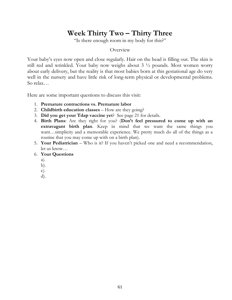# **Week Thirty Two – Thirty Three**

"Is there enough room in my body for this?"

#### **Overview**

Your baby's eyes now open and close regularly. Hair on the head is filling out. The skin is still red and wrinkled. Your baby now weighs about 3 ½ pounds. Most women worry about early delivery, but the reality is that most babies born at this gestational age do very well in the nursery and have little risk of long-term physical or developmental problems. So relax…

- 1. **Premature contractions vs. Premature labor**
- 2. **Childbirth education classes** How are they going?
- 3. **Did you get your Tdap vaccine yet**? See page 21 for details.
- 4. **Birth Plans**: Are they right for you? (**Don't feel pressured to come up with an extravagant birth plan**. Keep in mind that we want the same things you want…simplicity and a memorable experience. We pretty much do all of the things as a routine that you may come up with on a birth plan).
- 5. **Your Pediatrician** Who is it? If you haven't picked one and need a recommendation, let us know…
- 6. **Your Questions**
	- a).
	- b).
	- c).
	- d).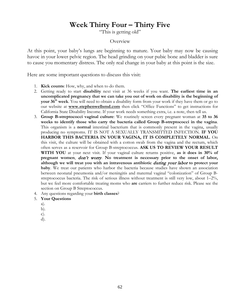# **Week Thirty Four – Thirty Five**

"This is getting old"

#### Overview

At this point, your baby's lungs are beginning to mature. Your baby may now be causing havoc in your lower pelvic region. The head grinding on your pubic bone and bladder is sure to cause you momentary distress. The only real change in your baby at this point is the size.

- 1. **Kick counts**: How, why, and when to do them.
- 2. Getting ready to start **disability** next visit at 36 weeks if you want. **The earliest time in an uncomplicated pregnancy that we can take you out of work on disability is the beginning of your 36th week**. You will need to obtain a disability form from your work if they have them or go to our website at **[www.stephenwellsmd.com](http://www.stephenwellsmd.com/)** then click "Office Functions" to get instructions for California State Disability Income. If your work needs something extra, i.e. a note, then tell us.
- 3. **Group B-streptococci vaginal culture**: We routinely screen every pregnant woman at **35 to 36 weeks to identify those who carry the bacteria called Group B-streptococci in the vagina**. This organism is a **normal** intestinal bacterium that is commonly present in the vagina, usually producing no symptoms. IT IS NOT A SEXUALLY TRANSMITTED INFECTION. **IF YOU HARBOR THIS BACTERIA IN YOUR VAGINA, IT IS COMPLETELY NORMAL**. On this visit, the culture will be obtained with a cotton swab from the vagina and the rectum, which often serves as a reservoir for Group B-streptococcus. **ASK US TO REVIEW YOUR RESULT WITH YOU** at your next visit. If your vaginal culture returns positive, **as it does in 30% of**  pregnant women, *don't worry*. No treatment is necessary prior to the onset of labor, **although we will treat you with an intravenous antibiotic** during your labor **to protect your baby**. We treat our patients who harbor the bacteria because studies have shown an association between neonatal pneumonia and/or meningitis and maternal vaginal "colonization" of Group Bstreptococcus bacteria. The risk of serious illness without treatment is still very low, about 1–2%, but we feel more comfortable treating moms who **are** carriers to further reduce risk. Please see the section on Group B Streptococcus.
- 4. Any questions regarding your **birth classes**?
- 5. **Your Questions**
	- a).
	- b).
	- c).
	- d).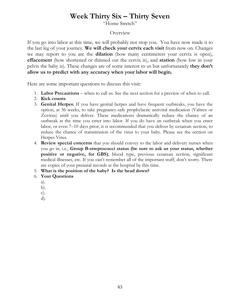# **Week Thirty Six – Thirty Seven**

"Home Stretch"

#### Overview

If you go into labor at this time, we will probably not stop you. You have now made it to the last leg of your journey. **We will check your cervix each visit** from now on. Changes we may report to you are the **dilation** (how many centimeters your cervix is open), **effacement** (how shortened or thinned out the cervix is), and **station** (how low in your pelvis the baby is). These changes are of some interest to us but unfortunately **they don't allow us to predict with any accuracy when your labor will begin.**

- 1. **Labor Precautions** when to call us. See the next section for a preview of when to call.
- 2. **Kick counts**
- 3. **Genital Herpes**: If you have genital herpes and have frequent outbreaks, you have the option, at 36 weeks, to take pregnancy-safe prophylactic antiviral medication (Valtrex or Zovirax) until you deliver. These medications dramatically reduce the chance of an outbreak at the time you enter into labor. If you do have an outbreak when you enter labor, or even 7–10 days prior, it is recommended that you deliver by cesarean section, to reduce the chance of transmission of the virus to your baby. Please see the section on Herpes Virus.
- 4. **Review special concerns** that you should convey to the labor and delivery nurses when you go in, i.e., **Group B-streptococci status (be sure to ask us your status, whether positive or negative, for GBS)**, blood type, previous cesarean section, significant medical illnesses, etc. If you can't remember all of the important stuff, don't worry. There are copies of your prenatal records at the hospital by this time.
- 5. **What is the position of the baby? Is the head down?**
- 6. **Your Questions**
	- a).
	- b).
	- c).
	- d).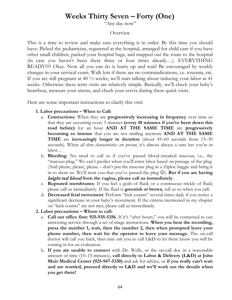# **Weeks Thirty Seven – Forty (One)**

"Any day now"

### Overview

This is a time to review and make sure everything is in order. By this time you should have: Picked the pediatrician, registered at the hospital, arranged for child care if you have other small children, packed your hospital bags, and mapped out the route to the hospital (in case you haven't been there three or four times already…). EVERYTHING READY??? Okay. Now all you can do is hurry up and wait! Be encouraged by weekly changes in your cervical exam. Walk lots if there are no contraindications, i.e. toxemia, etc. If you are still pregnant at 40 ½ weeks, we'll start talking about inducing your labor at 41 weeks. Otherwise these term visits are relatively simple. Basically, we'll check your baby's heartbeat, measure your uterus, and check your cervix during these quick visits.

Here are some important instructions to clarify this visit:

### **1. Labor precautions – When to Call:**

- a. **Contractions**: When they are **progressively increasing in frequency** over time so that they are occurring every 5 minutes **(every 10 minutes if you've been down this road before)** for an hour **AND AT THE SAME TIME** are **progressively becoming so intense** that you are not smiling anymore **AND AT THE SAME TIME** are **increasingly longer in duration** (about 45–60 seconds from 15–30 seconds). When *all three characteristics are present*, it's almost always a sure bet you're in labor…
- b. **Bleeding**: No need to call us if you've passed blood-streaked mucous, i.e., the "mucous plug." We can't predict when you'll enter labor based on passage of the plug. (And please, please, please – don't put the mucous plug in a Ziploc baggie and bring it in to show us. We'll trust you that you've passed the plug  $\mathbb{G}$ ). **But if you are having** bright red blood **from the vagina, please call us immediately**.
- c. **Ruptured membranes**: If you feel a gush of fluid, or a continuous trickle of fluid, please call us immediately. If the fluid is **greenish or brown**, tell us so when you call.
- d. **Decreased fetal movement**: Perform "kick counts" several times daily if you notice a significant decrease in your baby's movement. If the criteria mentioned in my chapter on "kick counts" are not met, please call us immediately.
- **2. Labor precautions – Whom to call:**
	- a. **Call our office first: 925-935-5356**. If it's "after hours," you will be connected to our answering service through a set of triage instructions. **When you hear the recording, press the number 1, wait, then the number 2, then when prompted leave your phone number, then wait for the operator to leave your message.** The on-call doctor will call you back, then may ask you to call L&D to let them know you will be coming in for an evaluation.
	- b. **If you are unable to connect** with Dr. Wells, or the on-call doc in a reasonable amount of time (10–15 minutes), **call directly to Labor & Delivery (L&D) at John Muir Medical Center (925-947-5330)** and ask for advice, or **if you really can't wait and are worried, proceed directly to L&D and we'll work out the details when you get there!**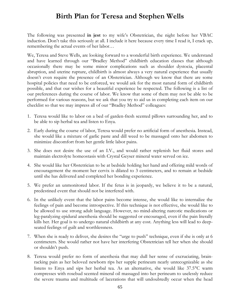# **Birth Plan for Teresa and Stephen Wells**

The following was presented **in jest** to my wife's Obstetrician, the night before her VBAC induction. Don't take this seriously at all. I include it here because every time I read it, I crack up, remembering the actual events of her labor…

We, Teresa and Steve Wells, are looking forward to a wonderful birth experience. We understand and have learned through our "Bradley Method" childbirth education classes that although occasionally there may be some minor complications such as shoulder dystocia, placental abruption, and uterine rupture, childbirth is almost always a very natural experience that usually doesn't even require the presence of an Obstetrician. Although we know that there are some hospital policies that need to be enforced, we would ask for the most natural form of childbirth possible, and that our wishes for a beautiful experience be respected. The following is a list of our preferences during the course of labor. We know that some of them may not be able to be performed for various reasons, but we ask that you try to aid us in completing each item on our checklist so that we may impress all of our "Bradley Method" colleagues:

- 1. Teresa would like to labor on a bed of garden-fresh scented pillows surrounding her, and to be able to sip herbal tea and listen to Enya.
- 2. Early during the course of labor, Teresa would prefer no artificial form of anesthesia. Instead, she would like a mixture of garlic paste and dill weed to be massaged onto her abdomen to minimize discomfort from her gentle little labor pains.
- 3. She does not desire the use of an I.V., and would rather replenish her fluid stores and maintain electrolyte homeostasis with Crystal Geyser mineral water served on ice.
- 4. She would like her Obstetrician to be at bedside holding her hand and offering mild words of encouragement the moment her cervix is dilated to 3 centimeters, and to remain at bedside until she has delivered and completed her bonding experience.
- 5. We prefer an unmonitored labor. If the fetus is in jeopardy, we believe it to be a natural, predestined event that should not be interfered with.
- 6. In the unlikely event that the labor pains become intense, she would like to internalize the feelings of pain and become introspective. If this technique is not effective, she would like to be allowed to use strong adult language. However, no mind-altering narcotic medications or leg-paralyzing epidural anesthesia should be suggested or encouraged, even if the pain literally kills her. Her goal is to undergo natural childbirth at any cost. Anything less will lead to deepseated feelings of guilt and worthlessness.
- 7. When she is ready to deliver, she desires the "urge to push" technique, even if she is only at 6 centimeters. She would rather not have her interfering Obstetrician tell her when she should or shouldn't push.
- 8. Teresa would prefer no form of anesthesia that may dull her sense of excruciating, brainracking pain as her beloved newborn rips her supple perineum nearly unrecognizable as she listens to Enya and sips her herbal tea. As an alternative, she would like 37.5°C warm compresses with rosebud scented mineral oil massaged into her perineum to uselessly reduce the severe trauma and multitude of lacerations that will undoubtedly occur when the head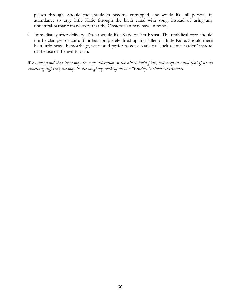passes through. Should the shoulders become entrapped, she would like all persons in attendance to urge little Katie through the birth canal with song, instead of using any unnatural barbaric maneuvers that the Obstetrician may have in mind.

9. Immediately after delivery, Teresa would like Katie on her breast. The umbilical cord should not be clamped or cut until it has completely dried up and fallen off little Katie. Should there be a little heavy hemorrhage, we would prefer to coax Katie to "suck a little harder" instead of the use of the evil Pitocin.

*We understand that there may be some alteration in the above birth plan, but keep in mind that if we do something different, we may be the laughing stock of all our "Bradley Method" classmates.*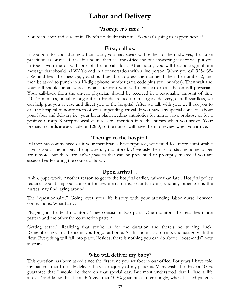## **Labor and Delivery**

### "Honey, it's time"

You're in labor and sure of it. There's no doubt this time. So what's going to happen next???

#### **First, call us.**

If you go into labor during office hours, you may speak with either of the midwives, the nurse practitioners, or me. If it is after hours, then call the office and our answering service will put you in touch with me or with one of the on-call docs. After hours, you will hear a triage phone message that should ALWAYS end in a conversation with a live person. When you call 925-935- 5356 and hear the message, you should be able to press the number 1 then the number 2, and then be asked to punch in a 10-digit phone number (area code plus your number). Then wait and your call should be answered by an attendant who will then text or call the on-call physician. Your call-back from the on-call physician should be received in a reasonable amount of time (10–15 minutes, possibly longer if our hands are tied up in surgery, delivery, etc). Regardless, we can help put you at ease and direct you to the hospital. After we talk with you, we'll ask you to call the hospital to notify them of your impending arrival. If you have any special concerns about your labor and delivery i.e., your birth plan, needing antibiotics for mitral valve prolapse or for a positive Group B streptococcal culture, etc., mention it to the nurses when you arrive. Your prenatal records are available on L&D, so the nurses will have them to review when you arrive.

### **Then go to the hospital.**

If labor has commenced or if your membranes have ruptured, we would feel more comfortable having you at the hospital, being carefully monitored. Obviously the risks of staying home longer are remote, but there are *serious problems* that can be prevented or promptly treated if you are assessed early during the course of labor.

### **Upon arrival…**

Ahhh, paperwork. Another reason to get to the hospital earlier, rather than later. Hospital policy requires your filling out consent-for-treatment forms, security forms, and any other forms the nurses may find laying around.

The "questionnaire." Going over your life history with your attending labor nurse between contractions. What fun…

Plugging in the fetal monitors. They consist of two parts. One monitors the fetal heart rate pattern and the other the contraction pattern.

Getting settled. Realizing that you're in for the duration and there's no turning back. Remembering all of the items you forgot at home. At this point, try to relax and just go with the flow. Everything will fall into place. Besides, there is nothing you can do about "loose-ends" now anyway.

### **Who will deliver my baby?**

This question has been asked since the first time you set foot in our office. For years I have told my patients that I usually deliver the vast majority of my patients. Many wished to have a 100% guarantee that I would be there on that special day. But most understood that I "had a life also…" and knew that I couldn't give that 100% guarantee. Interestingly, when I asked patients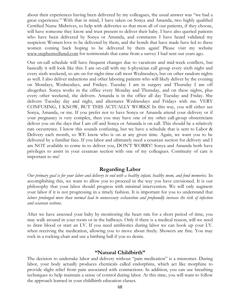about their experiences having been delivered by my colleagues, the usual answer was "we had a great experience." With that in mind, I have taken on Sonya and Amanda, two highly qualified Certified Nurse Midwives, to help with deliveries so that most all of our patients, if they choose, will have someone they know and trust present to deliver their baby. I have also queried patients who have been delivered by Sonya or Amanda, and comments I have heard validated my suspicion: Women love to be delivered by them, and the bonds that have made have led to these women coming back hoping to be delivered by them again! Please visit my website [www.stephenwellsmd.com](http://www.stephenwellsmd.com/) for testimonials that came from a survey I had sent out years ago.

Our on-call schedule will have frequent changes due to vacations and mid-week conflicts, but basically it will look like this: I am on-call with my 6-physician call group every sixth night and every sixth weekend, so am on for night-time call most Wednesdays, but on other random nights as well. I also deliver inductions and other laboring patients who will likely deliver by the evening on Mondays, Wednesdays, and Fridays. Tuesday I am in surgery and Thursday I am off altogether. Sonya works in the office every Monday and Thursday, and on these nights, plus every other weekend, she delivers. Amanda is in the office all day Tuesday and Friday. She delivers Tuesday day and night, and alternates Wednesdays and Fridays with me. VERY CONFUSING, I KNOW, BUT THIS ACTUALLY WORKS! In this way, you will either see Sonya, Amanda, or me. If you prefer not to have Sonya or Amanda attend your delivery or if your pregnancy is very complex, then you may have one of my other call-group obstetricians deliver you on the days that I am off and Sonya or Amanda is on call. This should be a relatively rare occurrence. I know this sounds confusing, but we have a schedule that is sent to Labor & Delivery each month, so WE know who is on at any given time. Again, we want you to be delivered by a familiar face. If you labor and ultimately need a cesarean section for delivery and I am NOT available to come in to deliver you, DON'T WORRY! Sonya and Amanda both have privileges to assist in your cesarean section with one of my colleagues. Continuity of care is important to me!

### **Regarding Labor**

*Our primary goal is for your labor and delivery to end with a healthy infant, healthy mom, and fond memories*. In accomplishing this, we want to allow you to proceed in the way you have envisioned. It is our philosophy that your labor should progress with minimal intervention. We will only augment your labor if it is not progressing in a timely fashion. It is important for you to understand that *labors prolonged more than normal lead to unnecessary exhaustion and profoundly increase the risk of infection and cesarean sections*.

After we have assessed your baby by monitoring the heart rate for a short period of time, you may walk around in your room or in the hallways. Only if there is a medical reason, will we need to draw blood or start an I.V. If you need antibiotics during labor we can hook up your I.V. when receiving the medication, allowing you to move about freely. Showers are fine. You may rock in a rocking chair and use a birthing ball if you so desire.

#### **"Natural Childbirth"**

The decision to undertake labor and delivery without "pain medication" is a misnomer. During labor, your body actually produces chemicals called endorphins, which act like morphine to provide slight relief from pain associated with contractions. In addition, you can use breathing techniques to help maintain a sense of control during labor. At this time, you will want to follow the approach learned in your childbirth education classes.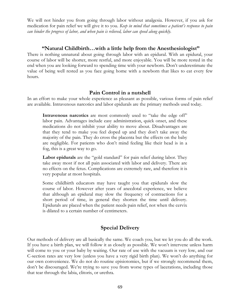We will not hinder you from going through labor without analgesia. However, if you ask for medication for pain relief we will give it to you. *Keep in mind that sometimes a patient's response to pain can hinder the progress of labor, and when pain is relieved, labor can speed along quickly.*

### **"Natural Childbirth…with a little help from the Anesthesiologist"**

There is nothing unnatural about going through labor with an epidural. With an epidural, your course of labor will be shorter, more restful, and more enjoyable. You will be more rested in the end when you are looking forward to spending time with your newborn. Don't underestimate the value of being well rested as you face going home with a newborn that likes to eat every few hours.

### **Pain Control in a nutshell**

In an effort to make your whole experience as pleasant as possible, various forms of pain relief are available. Intravenous narcotics and labor epidurals are the primary methods used today.

**Intravenous narcotics** are most commonly used to "take the edge off" labor pain. Advantages include easy administration, quick onset, and these medications do not inhibit your ability to move about. Disadvantages are that they tend to make you feel doped up and they don't take away the majority of the pain. They do cross the placenta but the effects on the baby are negligible. For patients who don't mind feeling like their head is in a fog, this is a great way to go.

**Labor epidurals** are the "gold standard" for pain relief during labor. They take away most if not all pain associated with labor and delivery. There are no effects on the fetus. Complications are extremely rare, and therefore it is very popular at most hospitals.

Some childbirth educators may have taught you that epidurals slow the course of labor. However after years of anecdotal experience, we believe that although an epidural may slow the frequency of contractions for a short period of time, in general they shorten the time until delivery. Epidurals are placed when the patient needs pain relief, not when the cervix is dilated to a certain number of centimeters.

## **Special Delivery**

Our methods of delivery are all basically the same. We coach you, but we let you do all the work. If you have a birth plan, we will follow it as closely as possible. We won't intervene unless harm will come to you or your baby by waiting. Our rate of use with the vacuum is very low, and our C-section rates are very low (unless you have a very rigid birth plan). We won't do anything for our own convenience. We do not do routine episiotomies, but if we strongly recommend them, don't be discouraged. We're trying to save you from worse types of lacerations, including those that tear through the labia, clitoris, or urethra.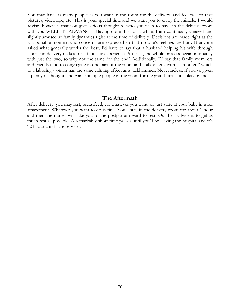You may have as many people as you want in the room for the delivery, and feel free to take pictures, videotape, etc. This is your special time and we want you to enjoy the miracle. I would advise, however, that you give serious thought to who you wish to have in the delivery room with you WELL IN ADVANCE. Having done this for a while, I am continually amazed and slightly amused at family dynamics right at the time of delivery. Decisions are made right at the last possible moment and concerns are expressed so that no one's feelings are hurt. If anyone asked what generally works the best, I'd have to say that a husband helping his wife through labor and delivery makes for a fantastic experience. After all, the whole process began intimately with just the two, so why not the same for the end? Additionally, I'd say that family members and friends tend to congregate in one part of the room and "talk quietly with each other," which to a laboring woman has the same calming effect as a jackhammer. Nevertheless, if you've given it plenty of thought, and want multiple people in the room for the grand finale, it's okay by me.

#### **The Aftermath**

After delivery, you may rest, breastfeed, eat whatever you want, or just stare at your baby in utter amazement. Whatever you want to do is fine. You'll stay in the delivery room for about 1 hour and then the nurses will take you to the postpartum ward to rest. Our best advice is to get as much rest as possible. A remarkably short time passes until you'll be leaving the hospital and it's "24 hour child-care services."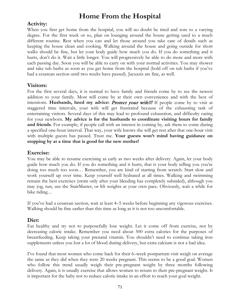# **Home From the Hospital**

### **Activity:**

When you first get home from the hospital, you will no doubt be tired and sore to a varying degree. For the first week or so, plan on lounging around the house getting used to a much different routine. Rest when you can and let those around you take care of details such as keeping the house clean and cooking. Walking around the house and going outside for short walks should be fine, but let your body guide how much you do. If you do something and it hurts, don't do it. Wait a little longer. You will progressively be able to do more and more with each passing day. Soon you will be able to carry on with your normal activities. You may shower and take tub baths as soon as you get home from the hospital (hold off on tub baths if you've had a cesarean section until two weeks have passed). Jacuzzis are fine, as well.

### **Visitors:**

For the first several days, it is normal to have family and friends come by to see the newest addition to your family. Most will come by at their own convenience and with the best of intentions. **Husbands, heed my advice:** Protect your wife!!! If people come by to visit at staggered time intervals, your wife will get frustrated because of the exhausting task of entertaining visitors. Several days of this may lead to profound exhaustion, and difficulty caring for your newborn. **My advice is for the husbands to coordinate visiting hours for family and friends**. For example, if people call with an interest in coming by, ask them to come during a specified one-hour interval. That way, your wife knows she will get rest after that one-hour visit with multiple guests has passed. Trust me. **Your guests won't mind having guidance on stopping by at a time that is good for the new mother!**

### **Exercise:**

You may be able to resume exercising as early as two weeks after delivery. Again, let your body guide how much you do. If you do something and it hurts, that is your body telling you you're doing too much too soon… Remember, you are kind of starting from scratch. Start slow and work yourself up over time. Keep yourself well hydrated at all times. Walking and swimming remain the best exercises (swim only after your bleeding has completely subsided), although you may jog, run, use the StairMaster, or lift weights at your own pace. Obviously, wait a while for bike riding…

If you've had a cesarean section, wait at least 4–5 weeks before beginning any vigorous exercises. Walking should be fine earlier than this time as long as it is not too uncomfortable.

### **Diet:**

Eat healthy and try not to purposefully lose weight. Let it come off from exercise, not by decreasing caloric intake. Remember you need about 500 extra calories for the purposes of breastfeeding. Keep taking your prenatal vitamin. You shouldn't need to continue taking iron supplements unless you lost a lot of blood during delivery, but extra calcium is not a bad idea.

I've found that most women who come back for their 6–week postpartum visit weigh on average the same as they did when they were 20 weeks pregnant. This seems to be a good goal. Women who follow this trend usually weigh their pre-pregnant weight by three months following delivery. Again, it is usually exercise that allows women to return to their pre-pregnant weight. It is important for the baby not to reduce caloric intake in an effort to reach your goal weight.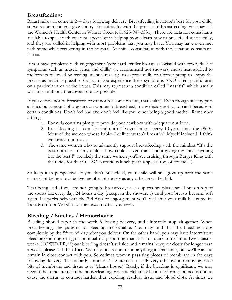## **Breastfeeding:**

Breast milk will come in 2–4 days following delivery. Breastfeeding is nature's best for your child, so we recommend you give it a try. For difficulty with the process of breastfeeding, you may call the Women's Health Center in Walnut Creek (call 925-947-3331). There are lactation consultants available to speak with you who specialize in helping moms learn how to breastfeed successfully, and they are skilled in helping with most problems that you may have. You may have even met with some while recovering in the hospital. An initial consultation with the lactation consultants is free.

If you have problems with engorgement (very hard, tender breasts associated with fever, flu-like symptoms such as muscle aches and chills) we recommend hot showers, moist heat applied to the breasts followed by feeding, manual massage to express milk, or a breast pump to empty the breasts as much as possible. Call us if you experience these symptoms AND a red, painful area on a particular area of the breast. This may represent a condition called "mastitis" which usually warrants antibiotic therapy as soon as possible.

If you decide not to breastfeed or cannot for some reason, that's okay. Even though society puts a ridiculous amount of pressure on women to breastfeed, many decide not to, or can't because of certain conditions. Don't feel bad and don't feel like you're not being a good mother. Remember 3 things:

- 1. Formula contains plenty to provide your newborn with adequate nutrition.
- 2. Breastfeeding has come in and out of "vogue" about every 10 years since the 1960s. Most of the women whose babies I deliver weren't breastfed. Myself included. I think we turned out o.k.…
- 3. The same women who so adamantly support breastfeeding with the mindset "It's the best nutrition for my child – how could I even think about giving my child anything but the best?!" are likely the same women you'll see cruising through Burger King with their kids for that OH-SO-Nutritious lunch (with a special toy, of course…).

So keep it in perspective. If you don't breastfeed, your child will still grow up with the same chances of being a productive member of society as any other breastfed kid.

That being said, if you are not going to breastfeed, wear a sports bra plus a small bra on top of the sports bra every day, 24 hours a day (except in the shower…) until your breasts become soft again. Ice packs help with the 2-4 days of engorgement you'll feel after your milk has come in. Take Motrin or Vicodin for the discomfort as you need.

## **Bleeding / Stitches / Hemorrhoids:**

Bleeding should taper in the week following delivery, and ultimately stop altogether. When breastfeeding, the patterns of bleeding are variable. You may find that the bleeding stops completely by the  $5<sup>th</sup>$  to  $6<sup>th</sup>$  day after you deliver. On the other hand, you may have intermittent bleeding/spotting or light continual daily spotting that lasts for quite some time. Even past 6 weeks. HOWEVER, if your bleeding doesn't subside and remains heavy or clotty for longer than a week, please call the office. We may not recommend anything at that time, but we'll want to remain in close contact with you. Sometimes women pass tiny pieces of membrane in the days following delivery. This is fairly common. The uterus is usually very effective in removing loose bits of membrane and tissue as it "cleans house." Rarely, if the bleeding is significant, we may need to help the uterus in the housecleaning process. Help may be in the form of a medication to cause the uterus to contract harder, thus expelling residual tissue and blood clots. At times we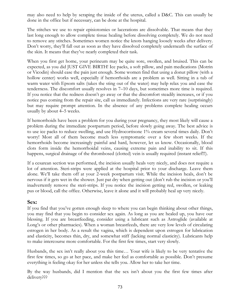may also need to help by scraping the inside of the uterus, called a D&C. This can usually be done in the office but if necessary, can be done at the hospital.

The stitches we use to repair episiotomies or lacerations are dissolvable. That means that they last long enough to allow complete tissue healing before dissolving completely. We do not need to remove any stitches. Sometimes women notice the knots hanging loosely weeks after delivery. Don't worry, they'll fall out as soon as they have dissolved completely underneath the surface of the skin. It means that they've nearly completed their task.

When you first get home, your perineum may be quite sore, swollen, and bruised. This can be expected, as you did JUST GIVE BIRTH! Ice packs, a soft pillow, and pain medications (Motrin or Vicodin) should ease the pain just enough. Some women find that using a donut pillow (with a hollow center) works well, especially if hemorrhoids are a problem as well. Sitting in a tub of warm water with Epsom salts (takes the sting out of the water) may help relax you and ease the tenderness. The discomfort usually resolves in 7–10 days, but sometimes more time is required. If you notice that the redness doesn't go away or that the discomfort steadily increases, or if you notice pus coming from the repair site, call us immediately. Infections are very rare (surprisingly) but may require prompt attention. In the absence of any problems complete healing occurs usually by about 4–5 weeks.

If hemorrhoids have been a problem for you during your pregnancy, they most likely will cause a problem during the immediate postpartum period, before slowly going away. The best advice is to use ice packs to reduce swelling, and use Hydrocortisone 1% cream several times daily. Don't worry! Most all of them become much less symptomatic over a few short weeks. If the hemorrhoids become increasingly painful and hard, however, let us know. Occasionally, blood clots form inside the hemorrhoidal veins, causing extreme pain and inability to sit. If this happens, surgical drainage of the thrombosed (clotted) vein is usually required (instant relief!!!).

If a cesarean section was performed, the incision usually heals very nicely, and does not require a lot of attention. Steri-strips were applied at the hospital prior to your discharge. Leave them alone. We'll take them off at your 2-week postpartum visit. While the incision heals, don't be nervous if it gets wet in the shower. Just pat dry when getting out (don't rub the incision or you'll inadvertently remove the steri-strips. If you notice the incision getting red, swollen, or leaking pus or blood, call the office. Otherwise, leave it alone and it will probably heal up very nicely.

### **Sex:**

If you find that you've gotten enough sleep to where you can begin thinking about other things, you may find that you begin to consider sex again. As long as you are healed up, you have our blessing. If you are breastfeeding, consider using a lubricant such as Astroglide (available at Long's or other pharmacies). When a woman breastfeeds, there are very low levels of circulating estrogen in her body. As a result the vagina, which is dependent upon estrogen for lubrication and elasticity, becomes thin, dry, and somewhat stiff (lacking normal elasticity). Lubricants help to make intercourse more comfortable. For the first few times, start very slowly.

Husbands, the sex isn't really about you this time… Your wife is likely to be very tentative the first few times, so go at her pace, and make her feel as comfortable as possible. Don't presume everything is feeling okay for her unless she tells you. Allow her to take her time.

By the way husbands, did I mention that the sex isn't about you the first few times after delivery???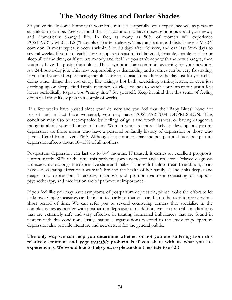## **The Moody Blues and Darker Shades**

So you've finally come home with your little miracle. Hopefully, your experience was as pleasant as childbirth can be. Keep in mind that it is common to have mixed emotions about your newly and dramatically changed life. In fact, as many as 80% of women will experience POSTPARTUM BLUES ("baby blues") after delivery. This transient mood disturbance is VERY common. It most typically occurs within 3 to 10 days after delivery, and can last from days to several weeks. If you are tearful for no apparent reason, feel fatigued, irritable, unable to sleep or sleep all of the time, or if you are moody and feel like you can't cope with the new changes, then you may have the postpartum blues. These symptoms are common, as caring for your newborn is a 24-hour-a-day job. This new responsibility is demanding and at times can be very frustrating. If you find yourself experiencing the blues, try to set aside time during the day just for yourself – doing other things that you enjoy, like taking a hot bath, exercising, writing letters, or even just catching up on sleep! Find family members or close friends to watch your infant for just a few hours periodically to give you "sanity time" for yourself. Keep in mind that this sense of feeling down will most likely pass in a couple of weeks.

If a few weeks have passed since your delivery and you feel that the "Baby Blues" have not passed and in fact have worsened, you may have POSTPARTUM DEPRESSION. This condition may also be accompanied by feelings of guilt and worthlessness, or having dangerous thoughts about yourself or your infant. Women who are more likely to develop postpartum depression are those moms who have a personal or family history of depression or those who have suffered from severe PMS. Although less common than the postpartum blues, postpartum depression affects about 10–15% of all mothers.

Postpartum depression can last up to 6–9 months. If treated, it carries an excellent prognosis. Unfortunately, 80% of the time this problem goes undetected and untreated. Delayed diagnosis unnecessarily prolongs the depressive state and makes it more difficult to treat. In addition, it can have a devastating effect on a woman's life and the health of her family, as she sinks deeper and deeper into depression. Therefore, diagnosis and prompt treatment consisting of support, psychotherapy, and medication are of paramount importance.

If you feel like you may have symptoms of postpartum depression, please make the effort to let us know. Simple measures can be instituted early so that you can be on the road to recovery in a short period of time. We can refer you to several counseling centers that specialize in the complex issues associated with postpartum depression. In addition, we can prescribe medications that are extremely safe and very effective in treating hormonal imbalances that are found in women with this condition. Lastly, national organizations devoted to the study of postpartum depression also provide literature and newsletters for the general public.

**The only way we can help you determine whether or not you are suffering from this relatively common and** very treatable **problem is if you share with us what you are experiencing. We would like to help you, so please don't hesitate to ask!!!**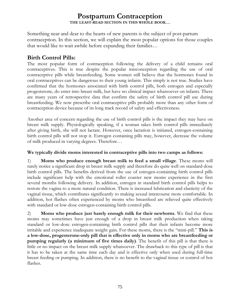## **Postpartum Contraception THE LEAST-READ SECTION IN THIS WHOLE BOOK….**

Something near and dear to the hearts of new parents is the subject of post-partum contraception. In this section, we will explain the most popular options for those couples that would like to wait awhile before expanding their families…

## **Birth Control Pills:**

The most popular form of contraception following the delivery of a child remains oral contraceptives. This is true despite the popular misconception regarding the use of oral contraceptive pills while breastfeeding. Some women still believe that the hormones found in oral contraceptives can be dangerous to their young infants. This simply is not true. Studies have confirmed that the hormones associated with birth control pills, both estrogen and especially progesterone, do enter into breast milk, but have no clinical impact whatsoever on infants. There are many years of retrospective data that confirm the safety of birth control pill use during breastfeeding. We now prescribe oral contraceptive pills probably more than any other form of contraception device because of its long track record of safety and effectiveness.

Another area of concern regarding the use of birth control pills is the impact they may have on breast milk supply. Physiologically speaking, if a woman takes birth control pills immediately after giving birth, she will not lactate. However, once lactation is initiated, estrogen-containing birth control pills will not stop it. Estrogen containing pills may, however, decrease the volume of milk produced in varying degrees. Therefore…

#### **We typically divide moms interested in contraceptive pills into two camps as follows:**

1) **Moms who produce enough breast milk to feed a small village**. These moms will rarely notice a significant drop in breast milk supply and therefore do quite well on standard-dose birth control pills. The benefits derived from the use of estrogen-containing birth control pills include significant help with the emotional roller coaster new moms experience in the first several months following delivery. In addition, estrogen in standard birth control pills helps to restore the vagina to a more natural condition. There is increased lubrication and elasticity of the vaginal tissue, which contributes significantly to making sexual intercourse more comfortable. In addition, hot flashes often experienced by moms who breastfeed are relieved quite effectively with standard or low-dose estrogen-containing birth control pills.

2) **Moms who produce just barely enough milk for their newborns**. We find that these moms may sometimes have just enough of a drop in breast milk production when taking standard or low-dose estrogen-containing birth control pills that their infants become more irritable and experience inadequate weight gain. For these moms, there is the "mini-pill." **This is a low-dose, progesterone-only pill that is effective only in moms who are breastfeeding or pumping regularly (a minimum of five times daily)**. The benefit of this pill is that there is little or no impact on the breast milk supply whatsoever. The drawback to this type of pill is that it has to be taken at the same time each day and is effective only when used during full-time breast feeding or pumping. In addition, there is no benefit to the vaginal tissue or control of hot flashes.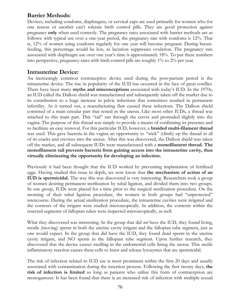## **Barrier Methods:**

Devices, including condoms, diaphragms, or cervical caps are used primarily for women who for one reason or another can't tolerate birth control pills. They are good protection against pregnancy **only** when used correctly. The pregnancy rates associated with barrier methods are as follows: with typical use over a one-year period, the pregnancy rate with condoms is 12%. That is, 12% of women using condoms regularly for one year will become pregnant. During breastfeeding, this percentage would be less, as lactation suppresses ovulation. The pregnancy rate associated with diaphragm use over one year's time is approximately 18%. To put these numbers into perspective, pregnancy rates with birth control pills are roughly 1% to 2% per year.

## **Intrauterine Device:**

An increasingly common contraceptive device used during the post-partum period is the intrauterine device. The rise in popularity of the IUD has occurred in the face of great conflict. There have been many **myths and misconceptions** associated with today's IUD. In the 1970s, an IUD called the Dalkon shield was manufactured and subsequently taken off the market due to its contribution to a huge increase in pelvic infections that sometimes resulted in permanent infertility. As it turned out, a manufacturing flaw caused these infections. The Dalkon shield consisted of a main circular part that rested in the uterus. Like most other IUDs, a thread was attached to this main part. This "tail" ran through the cervix and protruded slightly into the vagina. The purpose of this thread was simply to provide a means of confirming its presence and to facilitate an easy removal. For this particular IUD, however, a **braided multi-filament thread** was used. This gave bacteria in the vagina an opportunity to "wick" (climb) up the thread in all of its cracks and crevices into the uterus. After this was discovered, the Dalkon shield was taken off the market, and all subsequent IUDs were manufactured with a **monofilament thread. The monofilament tail prevents bacteria from gaining access into the intrauterine cavity, thus virtually eliminating the opportunity for developing an infection.** 

Previously it had been thought that the IUD worked by preventing implantation of fertilized eggs. Having studied this issue in depth, we now know that **the mechanism of action of an IUD is spermicidal.** The way this was discovered is very interesting. Researchers took a group of women desiring permanent sterilization by tubal ligation, and divided them into two groups. In one group, IUDs were placed for a time prior to the surgical sterilization procedure. On the morning of their tubal ligation procedure, the women in both groups had "unprotected" intercourse. During the actual sterilization procedure, the intrauterine cavities were irrigated and the contents of the irrigant were studied microscopically. In addition, the contents within the resected segments of fallopian tubes were inspected microscopically, as well.

What they discovered was interesting. In the group that did *not* have the IUD, they found living, motile (moving) sperm in both the uterine cavity irrigant and the fallopian tube segment, just as one would expect. In the group that did have the IUD, they found dead sperm in the uterine cavity irrigant, and NO sperm in the fallopian tube segment. Upon further research, they discovered that the device causes swelling in the endometrial cells lining the uterus. This sterile inflammatory reaction causes these cells to burst and release lysozymes that are spermicidal.

The risk of infection related to IUD use is most prominent within the first 20 days and usually associated with contamination during the insertion process. Following the first twenty days, **the risk of infection is limited** so long as patients who utilize this form of contraception are monogamous. It has been found that there is an increased risk of infection with multiple sexual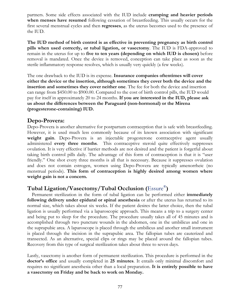partners. Some side effects associated with the IUD include **cramping and heavier periods when menses have resumed** following cessation of breastfeeding. This usually occurs for the first several menstrual cycles and then **regresses**, as the uterus becomes used to the presence of the IUD.

**The IUD method of birth control is as effective in preventing pregnancy as birth control pills when used correctly, or tubal ligation, or vasectomy**. The IUD is FDA-approved to remain in the uterus for up to **five to ten years (depending on which IUD is chosen)** before removal is mandated. Once the device is removed, conception can take place as soon as the sterile inflammatory response resolves, which is usually very quickly (a few weeks).

The one drawback to the IUD is its expense. **Insurance companies oftentimes will cover either the device or the insertion, although sometimes they cover both the device and the insertion and sometimes they cover neither one**. The fee for both the device and insertion can range from \$450.00 to \$900.00. Compared to the cost of birth control pills, the IUD would pay for itself in approximately 20 to 24 months. **If you are interested in the IUD, please ask us about the differences between the Paraguard (non-hormonal) or the Mirena (progesterone-containing) IUD.**

## **Depo-Provera:**

Depo-Provera is another alternative for postpartum contraception that is safe with breastfeeding. However, it is used much less commonly because of its known association with significant weight gain. Depo-Provera is an injectable progesterone contraceptive agent usually administered **every three months**. This contraceptive steroid quite effectively suppresses ovulation. It is very effective if barrier methods are not desired and the patient is forgetful about taking birth control pills daily. The advantage of this form of contraception is that it is "user friendly." One shot every three months is all that is necessary. Because it suppresses ovulation and does not contain estrogen, women using Depo-Provera are typically amenorrheic (no menstrual periods). **This form of contraception is highly desired among women where weight gain is not a concern.** 

## **Tubal Ligation/Vasectomy/Tubal Occlusion (**Essure®**)**

Permanent sterilization in the form of tubal ligation can be performed either **immediately following delivery under epidural or spinal anesthesia** or after the uterus has returned to its normal size, which takes about six weeks. If the patient desires the latter choice, then the tubal ligation is usually performed via a laparoscopic approach. This means a trip to a surgery center and being put to sleep for the procedure. The procedure usually takes all of 45 minutes and is accomplished through two puncture wounds in the abdomen, one in the umbilicus and one in the suprapubic area. A laparoscope is placed through the umbilicus and another small instrument is placed through the incision in the suprapubic area. The fallopian tubes are cauterized and transected. As an alternative, special clips or rings may be placed around the fallopian tubes. Recovery from this type of surgical sterilization takes about three to seven days.

Lastly, vasectomy is another form of permanent sterilization. This procedure is performed in the **doctor's office** and usually completed in **25 minutes**. It entails only minimal discomfort and requires no significant anesthesia other than a local preparation. **It is entirely possible to have a vasectomy on Friday and be back to work on Monday.**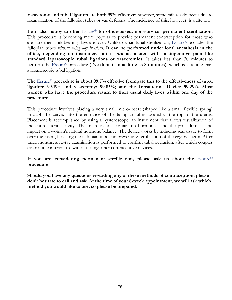**Vasectomy and tubal ligation are both 99% effective**; however, some failures do occur due to recanalization of the fallopian tubes or vas deferens. The incidence of this, however, is quite low.

**I am also happy to offer** Essure® **for office-based, non-surgical permanent sterilization.** This procedure is becoming more popular to provide permanent contraception for those who are sure their childbearing days are over. Unlike classic tubal sterilization, Essure® occludes the fallopian tubes *without using any incisions*. **It can be performed under local anesthesia in the office, depending on insurance, but is** not **associated with postoperative pain like standard laparoscopic tubal ligations or vasectomies**. It takes less than 30 minutes to perform the Essure® procedure **(I've done it in as little as 8 minutes)**, which is less time than a laparoscopic tubal ligation.

**The** Essure® **procedure is about 99.7% effective (compare this to the effectiveness of tubal ligation: 99.1%; and vasectomy: 99.85%; and the Intrauterine Device 99.2%). Most women who have the procedure return to their usual daily lives within one day of the procedure.**

This procedure involves placing a very small micro-insert (shaped like a small flexible spring) through the cervix into the entrance of the fallopian tubes located at the top of the uterus. Placement is accomplished by using a hysteroscope, an instrument that allows visualization of the entire uterine cavity. The micro-inserts contain no hormones, and the procedure has no impact on a woman's natural hormone balance. The device works by inducing scar tissue to form over the insert, blocking the fallopian tube and preventing fertilization of the egg by sperm. After three months, an x-ray examination is performed to confirm tubal occlusion, after which couples can resume intercourse without using other contraceptive devices.

If you are considering permanent sterilization, please ask us about the Essure® **procedure.** 

**Should you have any questions regarding any of these methods of contraception, please don't hesitate to call and ask. At the time of your 6-week appointment, we will ask which method you would like to use, so please be prepared.**